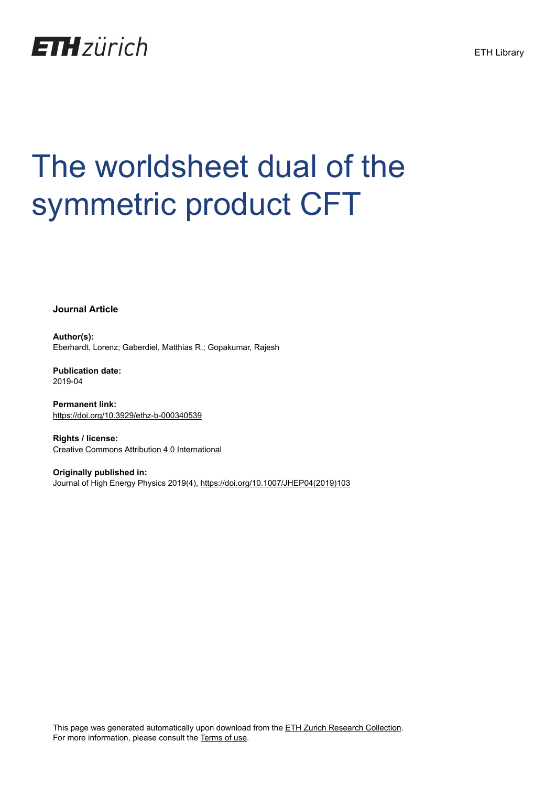

# The worldsheet dual of the symmetric product CFT

**Journal Article**

**Author(s):** Eberhardt, Lorenz; Gaberdiel, Matthias R.; Gopakumar, Rajesh

**Publication date:** 2019-04

**Permanent link:** <https://doi.org/10.3929/ethz-b-000340539>

**Rights / license:** [Creative Commons Attribution 4.0 International](http://creativecommons.org/licenses/by/4.0/)

**Originally published in:** Journal of High Energy Physics 2019(4), [https://doi.org/10.1007/JHEP04\(2019\)103](https://doi.org/10.1007/JHEP04(2019)103)

This page was generated automatically upon download from the [ETH Zurich Research Collection.](https://www.research-collection.ethz.ch) For more information, please consult the [Terms of use](https://www.research-collection.ethz.ch/terms-of-use).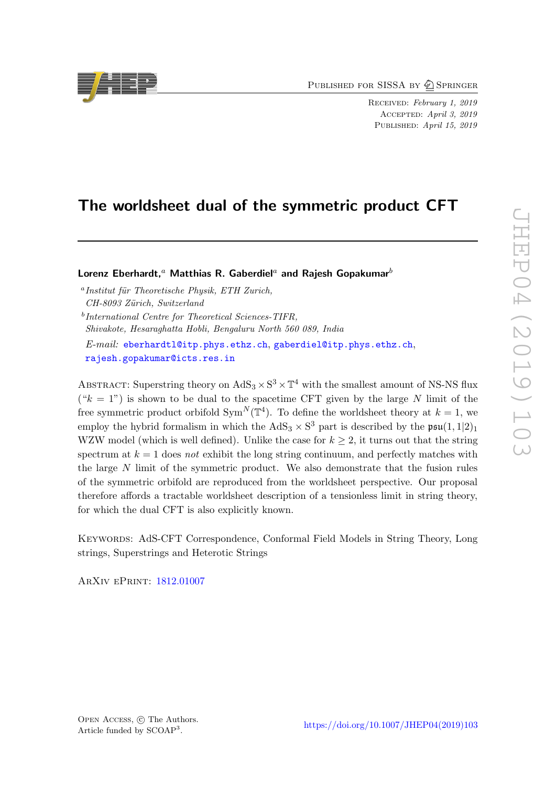PUBLISHED FOR SISSA BY 2 SPRINGER

Received: February 1, 2019 Accepted: April 3, 2019 PUBLISHED: April 15, 2019

# The worldsheet dual of the symmetric product CFT

Lorenz Eberhardt,<sup>a</sup> Matthias R. Gaberdiel<sup>a</sup> and Rajesh Gopakumar<sup>b</sup>

<sup>a</sup> Institut für Theoretische Physik, ETH Zurich, CH-8093 Zürich, Switzerland b International Centre for Theoretical Sciences-TIFR, Shivakote, Hesaraghatta Hobli, Bengaluru North 560 089, India E-mail: [eberhardtl@itp.phys.ethz.ch](mailto:eberhardtl@itp.phys.ethz.ch), [gaberdiel@itp.phys.ethz.ch](mailto:gaberdiel@itp.phys.ethz.ch), [rajesh.gopakumar@icts.res.in](mailto:rajesh.gopakumar@icts.res.in)

ABSTRACT: Superstring theory on  $AdS_3 \times S^3 \times T^4$  with the smallest amount of NS-NS flux  $(*k = 1")$  is shown to be dual to the spacetime CFT given by the large N limit of the free symmetric product orbifold  $Sym^N(\mathbb{T}^4)$ . To define the worldsheet theory at  $k=1$ , we employ the hybrid formalism in which the  $AdS_3 \times S^3$  part is described by the  $\mathfrak{psu}(1,1|2)_1$ WZW model (which is well defined). Unlike the case for  $k \geq 2$ , it turns out that the string spectrum at  $k = 1$  does not exhibit the long string continuum, and perfectly matches with the large N limit of the symmetric product. We also demonstrate that the fusion rules of the symmetric orbifold are reproduced from the worldsheet perspective. Our proposal therefore affords a tractable worldsheet description of a tensionless limit in string theory, for which the dual CFT is also explicitly known.

Keywords: AdS-CFT Correspondence, Conformal Field Models in String Theory, Long strings, Superstrings and Heterotic Strings

ArXiv ePrint: [1812.01007](https://arxiv.org/abs/1812.01007)

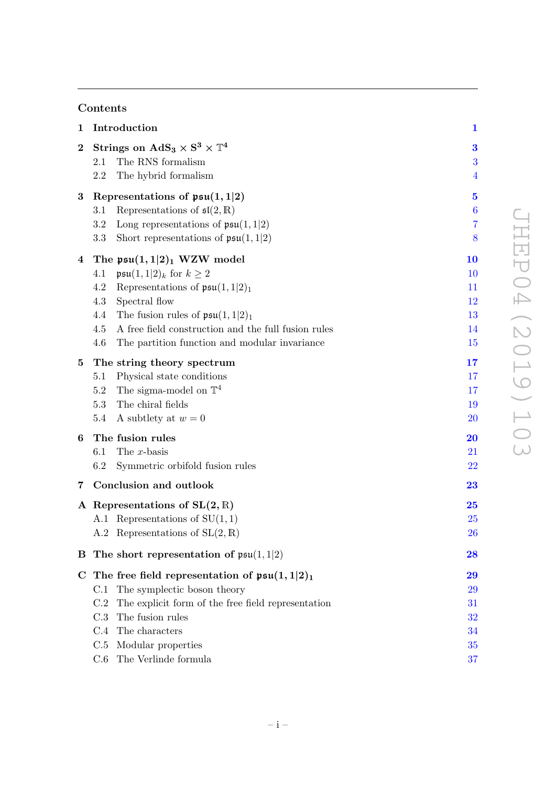# Contents

| $\mathbf 1$ | Introduction                                                 | $\mathbf 1$             |
|-------------|--------------------------------------------------------------|-------------------------|
| $\bf{2}$    | Strings on $AdS_3 \times S^3 \times T^4$                     | 3                       |
|             | The RNS formalism<br>2.1                                     | 3                       |
|             | The hybrid formalism<br>2.2                                  | $\overline{\mathbf{4}}$ |
| $\bf{3}$    | Representations of $\mathfrak{psu}(1,1 2)$                   | $\mathbf{5}$            |
|             | Representations of $\mathfrak{sl}(2,\mathbb{R})$<br>$3.1\,$  | $\boldsymbol{6}$        |
|             | 3.2<br>Long representations of $\mathfrak{psu}(1,1 2)$       | $\overline{7}$          |
|             | 3.3<br>Short representations of $\mathfrak{psu}(1,1 2)$      | 8                       |
| 4           | The $\mathfrak{psu}(1,1 2)_1$ WZW model                      | <b>10</b>               |
|             | $\mathfrak{psu}(1,1 2)_k$ for $k \geq 2$<br>4.1              | <b>10</b>               |
|             | Representations of $\mathfrak{psu}(1,1 2)_1$<br>4.2          | 11                      |
|             | 4.3<br>Spectral flow                                         | 12                      |
|             | The fusion rules of $\mathfrak{psu}(1,1 2)_1$<br>4.4         | 13                      |
|             | 4.5<br>A free field construction and the full fusion rules   | 14                      |
|             | 4.6<br>The partition function and modular invariance         | 15                      |
| 5           | The string theory spectrum                                   | 17                      |
|             | Physical state conditions<br>$5.1\,$                         | $17\,$                  |
|             | The sigma-model on $\mathbb{T}^4$<br>$5.2\,$                 | 17                      |
|             | 5.3<br>The chiral fields                                     | 19                      |
|             | 5.4<br>A subtlety at $w = 0$                                 | 20                      |
| 6           | The fusion rules                                             | 20                      |
|             | The $x$ -basis<br>6.1                                        | 21                      |
|             | 6.2<br>Symmetric orbifold fusion rules                       | <b>22</b>               |
| 7           | Conclusion and outlook                                       | 23                      |
|             | A Representations of $SL(2,\mathbb{R})$                      | 25                      |
|             | A.1 Representations of $SU(1,1)$                             | 25                      |
|             | A.2 Representations of $SL(2,\mathbb{R})$                    | <b>26</b>               |
|             | <b>B</b> The short representation of $\mathfrak{psu}(1,1 2)$ | 28                      |
|             | C The free field representation of $\mathfrak{psu}(1,1 2)_1$ | 29                      |
|             | The symplectic boson theory<br>C.1                           | 29                      |
|             | The explicit form of the free field representation<br>C.2    | 31                      |
|             | The fusion rules<br>C.3                                      | 32                      |
|             | C.4<br>The characters                                        | 34                      |
|             | C.5<br>Modular properties                                    | 35                      |
|             | The Verlinde formula<br>C.6                                  | 37                      |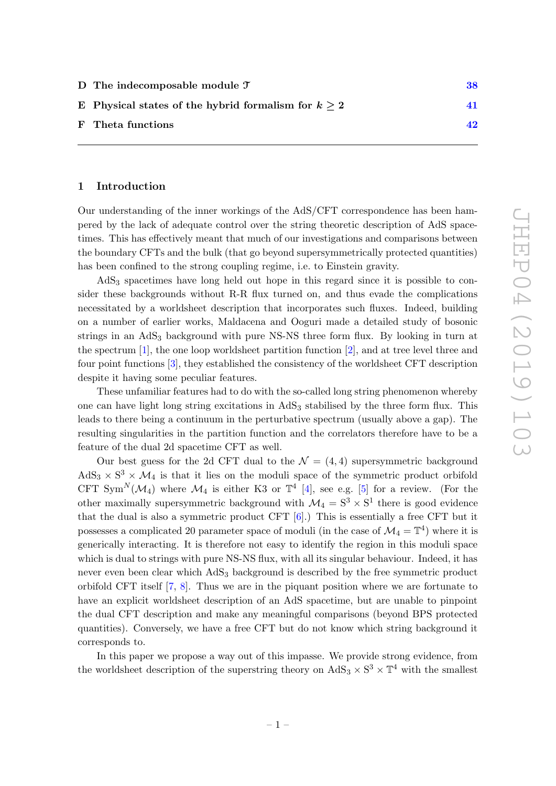| 38 |
|----|
| 41 |
| 42 |
|    |

#### <span id="page-3-0"></span>1 Introduction

Our understanding of the inner workings of the AdS/CFT correspondence has been hampered by the lack of adequate control over the string theoretic description of AdS spacetimes. This has effectively meant that much of our investigations and comparisons between the boundary CFTs and the bulk (that go beyond supersymmetrically protected quantities) has been confined to the strong coupling regime, i.e. to Einstein gravity.

AdS<sub>3</sub> spacetimes have long held out hope in this regard since it is possible to consider these backgrounds without R-R flux turned on, and thus evade the complications necessitated by a worldsheet description that incorporates such fluxes. Indeed, building on a number of earlier works, Maldacena and Ooguri made a detailed study of bosonic strings in an AdS<sup>3</sup> background with pure NS-NS three form flux. By looking in turn at the spectrum  $[1]$ , the one loop worldsheet partition function  $[2]$ , and at tree level three and four point functions [\[3\]](#page-45-2), they established the consistency of the worldsheet CFT description despite it having some peculiar features.

These unfamiliar features had to do with the so-called long string phenomenon whereby one can have light long string excitations in  $AdS_3$  stabilised by the three form flux. This leads to there being a continuum in the perturbative spectrum (usually above a gap). The resulting singularities in the partition function and the correlators therefore have to be a feature of the dual 2d spacetime CFT as well.

Our best guess for the 2d CFT dual to the  $\mathcal{N} = (4, 4)$  supersymmetric background  $AdS_3 \times S^3 \times \mathcal{M}_4$  is that it lies on the moduli space of the symmetric product orbifold CFT Sym<sup>N</sup>( $\mathcal{M}_4$ ) where  $\mathcal{M}_4$  is either K3 or  $\mathbb{T}^4$  [\[4\]](#page-45-3), see e.g. [\[5\]](#page-45-4) for a review. (For the other maximally supersymmetric background with  $\mathcal{M}_4 = \mathrm{S}^3 \times \mathrm{S}^1$  there is good evidence that the dual is also a symmetric product CFT  $[6]$ .) This is essentially a free CFT but it possesses a complicated 20 parameter space of moduli (in the case of  $\mathcal{M}_4 = \mathbb{T}^4$ ) where it is generically interacting. It is therefore not easy to identify the region in this moduli space which is dual to strings with pure NS-NS flux, with all its singular behaviour. Indeed, it has never even been clear which AdS<sup>3</sup> background is described by the free symmetric product orbifold CFT itself [\[7,](#page-45-6) [8\]](#page-45-7). Thus we are in the piquant position where we are fortunate to have an explicit worldsheet description of an AdS spacetime, but are unable to pinpoint the dual CFT description and make any meaningful comparisons (beyond BPS protected quantities). Conversely, we have a free CFT but do not know which string background it corresponds to.

In this paper we propose a way out of this impasse. We provide strong evidence, from the worldsheet description of the superstring theory on  $AdS_3 \times S^3 \times T^4$  with the smallest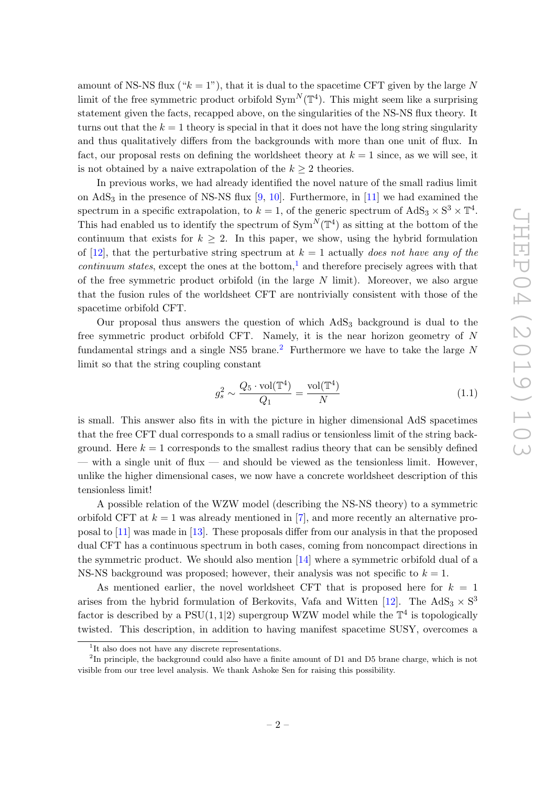amount of NS-NS flux (" $k = 1$ "), that it is dual to the spacetime CFT given by the large N limit of the free symmetric product orbifold  $Sym^N(\mathbb{T}^4)$ . This might seem like a surprising statement given the facts, recapped above, on the singularities of the NS-NS flux theory. It turns out that the  $k = 1$  theory is special in that it does not have the long string singularity and thus qualitatively differs from the backgrounds with more than one unit of flux. In fact, our proposal rests on defining the worldsheet theory at  $k = 1$  since, as we will see, it is not obtained by a naive extrapolation of the  $k \geq 2$  theories.

In previous works, we had already identified the novel nature of the small radius limit on  $AdS_3$  in the presence of NS-NS flux [\[9,](#page-45-8) [10\]](#page-45-9). Furthermore, in [\[11\]](#page-45-10) we had examined the spectrum in a specific extrapolation, to  $k = 1$ , of the generic spectrum of  $AdS_3 \times S^3 \times T^4$ . This had enabled us to identify the spectrum of  $\text{Sym}^N(\mathbb{T}^4)$  as sitting at the bottom of the continuum that exists for  $k \geq 2$ . In this paper, we show, using the hybrid formulation of [\[12\]](#page-45-11), that the perturbative string spectrum at  $k = 1$  actually does not have any of the *continuum states,* except the ones at the bottom,<sup>[1](#page-4-0)</sup> and therefore precisely agrees with that of the free symmetric product orbifold (in the large  $N$  limit). Moreover, we also argue that the fusion rules of the worldsheet CFT are nontrivially consistent with those of the spacetime orbifold CFT.

Our proposal thus answers the question of which  $AdS<sub>3</sub>$  background is dual to the free symmetric product orbifold CFT. Namely, it is the near horizon geometry of N fundamental strings and a single NS5 brane.<sup>[2](#page-4-1)</sup> Furthermore we have to take the large N limit so that the string coupling constant

$$
g_s^2 \sim \frac{Q_5 \cdot \text{vol}(\mathbb{T}^4)}{Q_1} = \frac{\text{vol}(\mathbb{T}^4)}{N} \tag{1.1}
$$

is small. This answer also fits in with the picture in higher dimensional AdS spacetimes that the free CFT dual corresponds to a small radius or tensionless limit of the string background. Here  $k = 1$  corresponds to the smallest radius theory that can be sensibly defined — with a single unit of flux — and should be viewed as the tensionless limit. However, unlike the higher dimensional cases, we now have a concrete worldsheet description of this tensionless limit!

A possible relation of the WZW model (describing the NS-NS theory) to a symmetric orbifold CFT at  $k = 1$  was already mentioned in [\[7\]](#page-45-6), and more recently an alternative proposal to [\[11\]](#page-45-10) was made in [\[13\]](#page-45-12). These proposals differ from our analysis in that the proposed dual CFT has a continuous spectrum in both cases, coming from noncompact directions in the symmetric product. We should also mention [\[14\]](#page-45-13) where a symmetric orbifold dual of a NS-NS background was proposed; however, their analysis was not specific to  $k = 1$ .

As mentioned earlier, the novel worldsheet CFT that is proposed here for  $k = 1$ arises from the hybrid formulation of Berkovits, Vafa and Witten [\[12\]](#page-45-11). The  $AdS_3 \times S^3$ factor is described by a  $PSU(1,1|2)$  supergroup WZW model while the  $\mathbb{T}^4$  is topologically twisted. This description, in addition to having manifest spacetime SUSY, overcomes a

<span id="page-4-1"></span><span id="page-4-0"></span><sup>&</sup>lt;sup>1</sup>It also does not have any discrete representations.

<sup>&</sup>lt;sup>2</sup>In principle, the background could also have a finite amount of D1 and D5 brane charge, which is not visible from our tree level analysis. We thank Ashoke Sen for raising this possibility.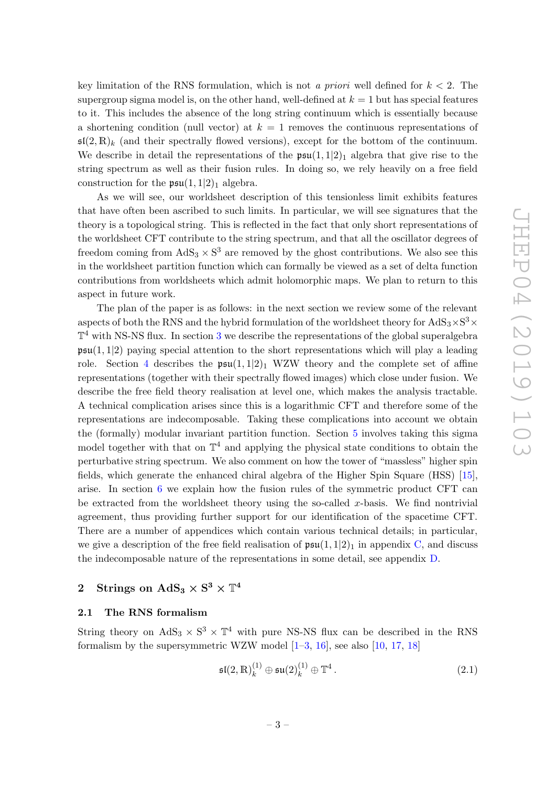key limitation of the RNS formulation, which is not a priori well defined for  $k < 2$ . The supergroup sigma model is, on the other hand, well-defined at  $k = 1$  but has special features to it. This includes the absence of the long string continuum which is essentially because a shortening condition (null vector) at  $k = 1$  removes the continuous representations of  $\mathfrak{sl}(2,\mathbb{R})_k$  (and their spectrally flowed versions), except for the bottom of the continuum. We describe in detail the representations of the  $\mathfrak{psu}(1,1|2)_1$  algebra that give rise to the string spectrum as well as their fusion rules. In doing so, we rely heavily on a free field construction for the  $\mathfrak{psu}(1,1|2)_1$  algebra.

As we will see, our worldsheet description of this tensionless limit exhibits features that have often been ascribed to such limits. In particular, we will see signatures that the theory is a topological string. This is reflected in the fact that only short representations of the worldsheet CFT contribute to the string spectrum, and that all the oscillator degrees of freedom coming from  $AdS_3 \times S^3$  are removed by the ghost contributions. We also see this in the worldsheet partition function which can formally be viewed as a set of delta function contributions from worldsheets which admit holomorphic maps. We plan to return to this aspect in future work.

The plan of the paper is as follows: in the next section we review some of the relevant aspects of both the RNS and the hybrid formulation of the worldsheet theory for  $\text{AdS}_3\times \text{S}^3\times$  $\mathbb{T}^4$  with NS-NS flux. In section [3](#page-7-0) we describe the representations of the global superalgebra  $\mathfrak{psu}(1,1|2)$  paying special attention to the short representations which will play a leading role. Section [4](#page-12-0) describes the  $\mathfrak{psu}(1,1|2)_1$  WZW theory and the complete set of affine representations (together with their spectrally flowed images) which close under fusion. We describe the free field theory realisation at level one, which makes the analysis tractable. A technical complication arises since this is a logarithmic CFT and therefore some of the representations are indecomposable. Taking these complications into account we obtain the (formally) modular invariant partition function. Section [5](#page-19-0) involves taking this sigma model together with that on  $\mathbb{T}^4$  and applying the physical state conditions to obtain the perturbative string spectrum. We also comment on how the tower of "massless" higher spin fields, which generate the enhanced chiral algebra of the Higher Spin Square (HSS) [\[15\]](#page-45-14), arise. In section [6](#page-22-1) we explain how the fusion rules of the symmetric product CFT can be extracted from the worldsheet theory using the so-called x-basis. We find nontrivial agreement, thus providing further support for our identification of the spacetime CFT. There are a number of appendices which contain various technical details; in particular, we give a description of the free field realisation of  $\mathfrak{psu}(1,1|2)_1$  in appendix [C,](#page-31-0) and discuss the indecomposable nature of the representations in some detail, see appendix [D.](#page-40-0)

# <span id="page-5-0"></span>2 Strings on  $\text{AdS}_3 \times \text{S}^3 \times \mathbb{T}^4$

#### <span id="page-5-1"></span>2.1 The RNS formalism

String theory on  $AdS_3 \times S^3 \times T^4$  with pure NS-NS flux can be described in the RNS formalism by the supersymmetric WZW model  $[1-3, 16]$  $[1-3, 16]$  $[1-3, 16]$  $[1-3, 16]$ , see also  $[10, 17, 18]$  $[10, 17, 18]$  $[10, 17, 18]$  $[10, 17, 18]$ 

$$
\mathfrak{sl}(2,\mathbb{R})_k^{(1)} \oplus \mathfrak{su}(2)_k^{(1)} \oplus \mathbb{T}^4.
$$
 (2.1)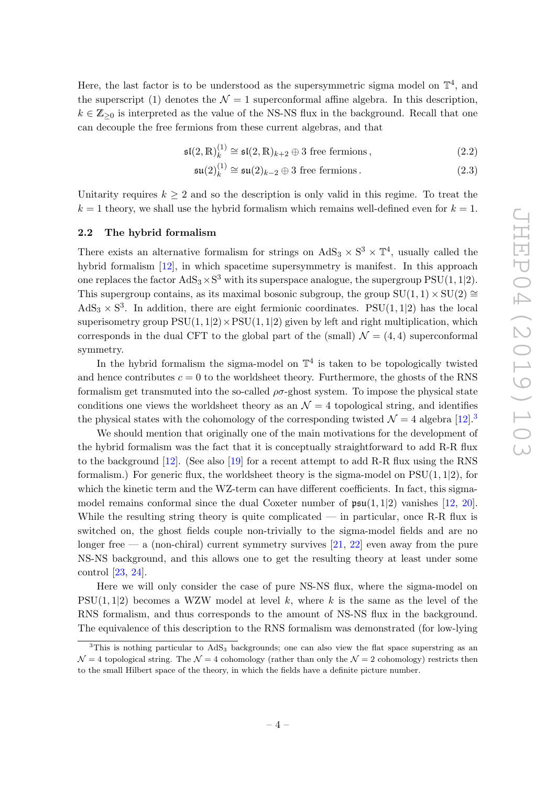Here, the last factor is to be understood as the supersymmetric sigma model on  $\mathbb{T}^4$ , and the superscript (1) denotes the  $\mathcal{N}=1$  superconformal affine algebra. In this description,  $k \in \mathbb{Z}_{\geq 0}$  is interpreted as the value of the NS-NS flux in the background. Recall that one can decouple the free fermions from these current algebras, and that

$$
\mathfrak{sl}(2,\mathbb{R})_k^{(1)} \cong \mathfrak{sl}(2,\mathbb{R})_{k+2} \oplus 3 \text{ free fermions},\tag{2.2}
$$

$$
\mathfrak{su}(2)^{(1)}_k \cong \mathfrak{su}(2)_{k-2} \oplus 3 \text{ free fermions.}
$$
 (2.3)

Unitarity requires  $k \geq 2$  and so the description is only valid in this regime. To treat the  $k = 1$  theory, we shall use the hybrid formalism which remains well-defined even for  $k = 1$ .

#### <span id="page-6-0"></span>2.2 The hybrid formalism

There exists an alternative formalism for strings on  $AdS_3 \times S^3 \times T^4$ , usually called the hybrid formalism [\[12\]](#page-45-11), in which spacetime supersymmetry is manifest. In this approach one replaces the factor  $AdS_3 \times S^3$  with its superspace analogue, the supergroup  $\mathrm{PSU}(1,1|2)$ . This supergroup contains, as its maximal bosonic subgroup, the group  $SU(1, 1) \times SU(2) \cong$  $AdS_3 \times S^3$ . In addition, there are eight fermionic coordinates. PSU(1,1|2) has the local superisometry group  $PSU(1, 1|2) \times PSU(1, 1|2)$  given by left and right multiplication, which corresponds in the dual CFT to the global part of the (small)  $\mathcal{N} = (4, 4)$  superconformal symmetry.

In the hybrid formalism the sigma-model on  $\mathbb{T}^4$  is taken to be topologically twisted and hence contributes  $c = 0$  to the worldsheet theory. Furthermore, the ghosts of the RNS formalism get transmuted into the so-called  $\rho\sigma$ -ghost system. To impose the physical state conditions one views the worldsheet theory as an  $\mathcal{N}=4$  topological string, and identifies the physical states with the cohomology of the corresponding twisted  $\mathcal{N}=4$  algebra [\[12\]](#page-45-11).<sup>[3](#page-6-1)</sup>

We should mention that originally one of the main motivations for the development of the hybrid formalism was the fact that it is conceptually straightforward to add R-R flux to the background [\[12\]](#page-45-11). (See also [\[19\]](#page-45-18) for a recent attempt to add R-R flux using the RNS formalism.) For generic flux, the worldsheet theory is the sigma-model on  $PSU(1, 1|2)$ , for which the kinetic term and the WZ-term can have different coefficients. In fact, this sigmamodel remains conformal since the dual Coxeter number of  $\mathfrak{psu}(1,1|2)$  vanishes [\[12,](#page-45-11) [20\]](#page-45-19). While the resulting string theory is quite complicated — in particular, once R-R flux is switched on, the ghost fields couple non-trivially to the sigma-model fields and are no longer free — a (non-chiral) current symmetry survives [\[21,](#page-46-0) [22\]](#page-46-1) even away from the pure NS-NS background, and this allows one to get the resulting theory at least under some control [\[23,](#page-46-2) [24\]](#page-46-3).

Here we will only consider the case of pure NS-NS flux, where the sigma-model on  $PSU(1, 1|2)$  becomes a WZW model at level k, where k is the same as the level of the RNS formalism, and thus corresponds to the amount of NS-NS flux in the background. The equivalence of this description to the RNS formalism was demonstrated (for low-lying

<span id="page-6-1"></span> $3$ This is nothing particular to AdS<sub>3</sub> backgrounds; one can also view the flat space superstring as an  $\mathcal{N} = 4$  topological string. The  $\mathcal{N} = 4$  cohomology (rather than only the  $\mathcal{N} = 2$  cohomology) restricts then to the small Hilbert space of the theory, in which the fields have a definite picture number.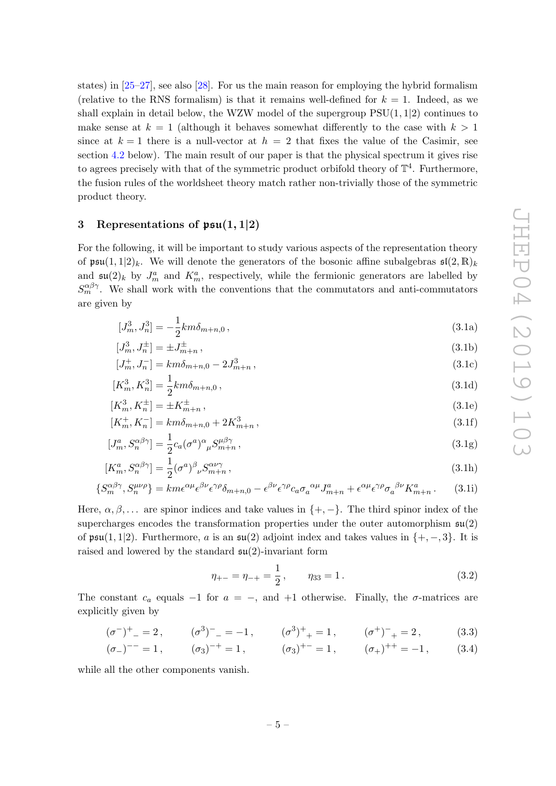states) in  $[25-27]$ , see also  $[28]$ . For us the main reason for employing the hybrid formalism (relative to the RNS formalism) is that it remains well-defined for  $k = 1$ . Indeed, as we shall explain in detail below, the WZW model of the supergroup  $PSU(1, 1|2)$  continues to make sense at  $k = 1$  (although it behaves somewhat differently to the case with  $k > 1$ since at  $k = 1$  there is a null-vector at  $h = 2$  that fixes the value of the Casimir, see section [4.2](#page-13-0) below). The main result of our paper is that the physical spectrum it gives rise to agrees precisely with that of the symmetric product orbifold theory of  $\mathbb{T}^4$ . Furthermore, the fusion rules of the worldsheet theory match rather non-trivially those of the symmetric product theory.

# <span id="page-7-0"></span>3 Representations of  $\mathfrak{psu}(1,1|2)$

For the following, it will be important to study various aspects of the representation theory of  $\mathfrak{psu}(1,1|2)_k$ . We will denote the generators of the bosonic affine subalgebras  $\mathfrak{sl}(2,\mathbb{R})_k$ and  $\mathfrak{su}(2)_k$  by  $J_m^a$  and  $K_m^a$ , respectively, while the fermionic generators are labelled by  $S_m^{\alpha\beta\gamma}$ . We shall work with the conventions that the commutators and anti-commutators are given by

<span id="page-7-1"></span>
$$
[J_m^3, J_n^3] = -\frac{1}{2}km\delta_{m+n,0},\qquad(3.1a)
$$

$$
[J_m^3, J_n^{\pm}] = \pm J_{m+n}^{\pm} \,, \tag{3.1b}
$$

$$
[J_m^+, J_n^-] = km\delta_{m+n,0} - 2J_{m+n}^3\,,\tag{3.1c}
$$

$$
[K_m^3, K_n^3] = \frac{1}{2} k m \delta_{m+n,0} \,, \tag{3.1d}
$$

$$
[K_m^3, K_n^{\pm}] = \pm K_{m+n}^{\pm} \,, \tag{3.1e}
$$

$$
[K_m^+, K_n^-] = km\delta_{m+n,0} + 2K_{m+n}^3\,,\tag{3.1f}
$$

$$
[J_m^a, S_n^{\alpha\beta\gamma}] = \frac{1}{2} c_a (\sigma^a)^\alpha{}_\mu S_{m+n}^{\mu\beta\gamma} ,\qquad (3.1g)
$$

$$
[K_m^a, S_n^{\alpha\beta\gamma}] = \frac{1}{2} (\sigma^a)^\beta_{\ \nu} S_{m+n}^{\alpha\nu\gamma} , \qquad (3.1h)
$$

$$
\{S_m^{\alpha\beta\gamma}, S_n^{\mu\nu\rho}\} = km\epsilon^{\alpha\mu}\epsilon^{\beta\nu}\epsilon^{\gamma\rho}\delta_{m+n,0} - \epsilon^{\beta\nu}\epsilon^{\gamma\rho}c_a\sigma_a^{\ \alpha\mu}J_{m+n}^a + \epsilon^{\alpha\mu}\epsilon^{\gamma\rho}\sigma_a^{\ \beta\nu}K_{m+n}^a. \tag{3.1i}
$$

Here,  $\alpha, \beta, \ldots$  are spinor indices and take values in  $\{+, -\}$ . The third spinor index of the supercharges encodes the transformation properties under the outer automorphism  $\mathfrak{su}(2)$ of  $\mathfrak{psu}(1,1|2)$ . Furthermore, a is an  $\mathfrak{su}(2)$  adjoint index and takes values in  $\{+,-,3\}$ . It is raised and lowered by the standard  $\mathfrak{su}(2)$ -invariant form

<span id="page-7-2"></span>
$$
\eta_{+-} = \eta_{-+} = \frac{1}{2}, \qquad \eta_{33} = 1. \tag{3.2}
$$

The constant  $c_a$  equals  $-1$  for  $a = -$ , and  $+1$  otherwise. Finally, the  $\sigma$ -matrices are explicitly given by

$$
(\sigma^{-})^{+}{}_{-} = 2\,, \qquad (\sigma^{3})^{-}{}_{-} = -1\,, \qquad (\sigma^{3})^{+}{}_{+} = 1\,, \qquad (\sigma^{+})^{-}{}_{+} = 2\,, \tag{3.3}
$$

$$
(\sigma_{-})^{--} = 1
$$
,  $(\sigma_{3})^{-+} = 1$ ,  $(\sigma_{3})^{+-} = 1$ ,  $(\sigma_{+})^{++} = -1$ , (3.4)

while all the other components vanish.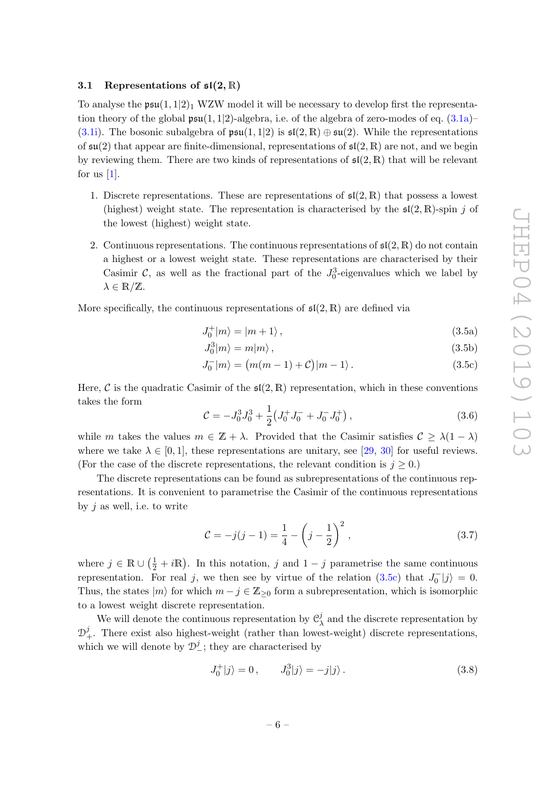# <span id="page-8-0"></span>3.1 Representations of  $\mathfrak{sl}(2,\mathbb{R})$

To analyse the  $\mathfrak{psu}(1,1|2)_1$  WZW model it will be necessary to develop first the representation theory of the global  $\mathfrak{psu}(1,1|2)$ -algebra, i.e. of the algebra of zero-modes of eq.  $(3.1a)$ -[\(3.1i\)](#page-7-2). The bosonic subalgebra of  $\mathfrak{psu}(1,1|2)$  is  $\mathfrak{sl}(2,\mathbb{R})\oplus \mathfrak{su}(2)$ . While the representations of  $\mathfrak{su}(2)$  that appear are finite-dimensional, representations of  $\mathfrak{sl}(2,\mathbb{R})$  are not, and we begin by reviewing them. There are two kinds of representations of  $\mathfrak{sl}(2,\mathbb{R})$  that will be relevant for us  $[1]$ .

- 1. Discrete representations. These are representations of  $\mathfrak{sl}(2,\mathbb{R})$  that possess a lowest (highest) weight state. The representation is characterised by the  $\mathfrak{sl}(2,\mathbb{R})$ -spin j of the lowest (highest) weight state.
- 2. Continuous representations. The continuous representations of  $\mathfrak{sl}(2,\mathbb{R})$  do not contain a highest or a lowest weight state. These representations are characterised by their Casimir C, as well as the fractional part of the  $J_0^3$ -eigenvalues which we label by  $\lambda \in \mathbb{R}/\mathbb{Z}$ .

More specifically, the continuous representations of  $\mathfrak{sl}(2,\mathbb{R})$  are defined via

<span id="page-8-2"></span>
$$
J_0^+|m\rangle = |m+1\rangle \,,\tag{3.5a}
$$

<span id="page-8-1"></span>
$$
J_0^3|m\rangle = m|m\rangle \,,\tag{3.5b}
$$

$$
J_0^-|m\rangle = (m(m-1)+C)|m-1\rangle.
$$
 (3.5c)

Here, C is the quadratic Casimir of the  $\mathfrak{sl}(2,\mathbb{R})$  representation, which in these conventions takes the form

$$
\mathcal{C} = -J_0^3 J_0^3 + \frac{1}{2} \left( J_0^+ J_0^- + J_0^- J_0^+ \right),\tag{3.6}
$$

while m takes the values  $m \in \mathbb{Z} + \lambda$ . Provided that the Casimir satisfies  $\mathcal{C} \geq \lambda(1 - \lambda)$ where we take  $\lambda \in [0, 1]$ , these representations are unitary, see [\[29,](#page-46-7) [30\]](#page-46-8) for useful reviews. (For the case of the discrete representations, the relevant condition is  $j \geq 0$ .)

The discrete representations can be found as subrepresentations of the continuous representations. It is convenient to parametrise the Casimir of the continuous representations by  $i$  as well, i.e. to write

<span id="page-8-3"></span>
$$
\mathcal{C} = -j(j-1) = \frac{1}{4} - \left(j - \frac{1}{2}\right)^2, \tag{3.7}
$$

where  $j \in \mathbb{R} \cup (\frac{1}{2} + i\mathbb{R})$ . In this notation, j and  $1 - j$  parametrise the same continuous representation. For real j, we then see by virtue of the relation [\(3.5c\)](#page-8-1) that  $J_0^-|j\rangle = 0$ . Thus, the states  $|m\rangle$  for which  $m - j \in \mathbb{Z}_{\geq 0}$  form a subrepresentation, which is isomorphic to a lowest weight discrete representation.

We will denote the continuous representation by  $\mathcal{C}_{\gamma}^{j}$  $\lambda$  and the discrete representation by  $\mathcal{D}^j_+$ . There exist also highest-weight (rather than lowest-weight) discrete representations, which we will denote by  $\mathcal{D}_{-}^{j}$ ; they are characterised by

$$
J_0^+|j\rangle = 0, \qquad J_0^3|j\rangle = -j|j\rangle. \tag{3.8}
$$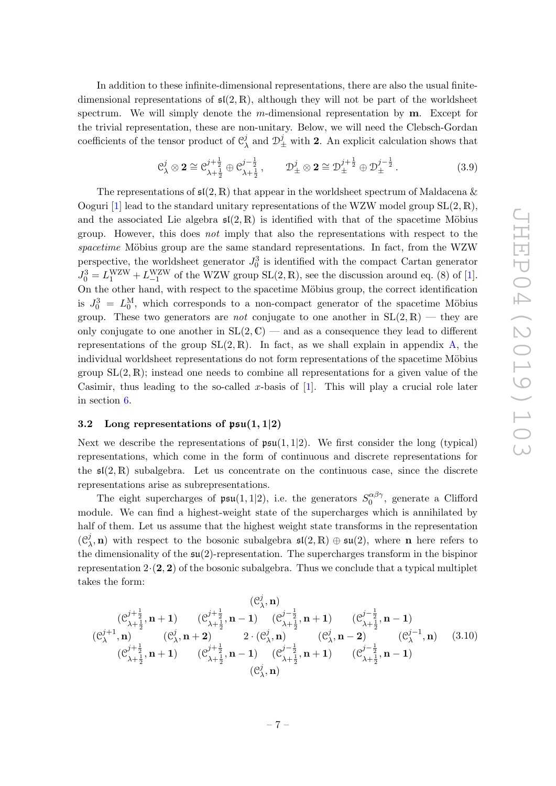In addition to these infinite-dimensional representations, there are also the usual finitedimensional representations of  $\mathfrak{sl}(2,\mathbb{R})$ , although they will not be part of the worldsheet spectrum. We will simply denote the m-dimensional representation by  $\mathbf{m}$ . Except for the trivial representation, these are non-unitary. Below, we will need the Clebsch-Gordan coefficients of the tensor product of  $\mathcal{C}_{2}^{j}$  $\mathcal{D}_{\pm}^j$  and  $\mathcal{D}_{\pm}^j$  with **2**. An explicit calculation shows that

$$
C_{\lambda}^{j} \otimes 2 \cong C_{\lambda + \frac{1}{2}}^{j + \frac{1}{2}} \oplus C_{\lambda + \frac{1}{2}}^{j - \frac{1}{2}}, \qquad D_{\pm}^{j} \otimes 2 \cong D_{\pm}^{j + \frac{1}{2}} \oplus D_{\pm}^{j - \frac{1}{2}}.
$$
 (3.9)

The representations of  $\mathfrak{sl}(2,\mathbb{R})$  that appear in the worldsheet spectrum of Maldacena & Ooguri [\[1\]](#page-45-0) lead to the standard unitary representations of the WZW model group  $SL(2, \mathbb{R})$ , and the associated Lie algebra  $\mathfrak{sl}(2,\mathbb{R})$  is identified with that of the spacetime Möbius group. However, this does not imply that also the representations with respect to the  $spacetime$  Möbius group are the same standard representations. In fact, from the WZW perspective, the worldsheet generator  $J_0^3$  is identified with the compact Cartan generator  $J_0^3 = L_1^{\text{WZW}} + L_{-1}^{\text{WZW}}$  of the WZW group SL(2, R), see the discussion around eq. (8) of [\[1\]](#page-45-0). On the other hand, with respect to the spacetime Möbius group, the correct identification is  $J_0^3 = L_0^M$ , which corresponds to a non-compact generator of the spacetime Möbius group. These two generators are *not* conjugate to one another in  $SL(2, \mathbb{R})$  — they are only conjugate to one another in  $SL(2, \mathbb{C})$  — and as a consequence they lead to different representations of the group  $SL(2, \mathbb{R})$ . In fact, as we shall explain in appendix [A,](#page-27-0) the individual worldsheet representations do not form representations of the spacetime Möbius group  $SL(2, \mathbb{R})$ ; instead one needs to combine all representations for a given value of the Casimir, thus leading to the so-called x-basis of  $[1]$ . This will play a crucial role later in section [6.](#page-22-1)

#### <span id="page-9-0"></span>3.2 Long representations of  $\mathfrak{psu}(1,1|2)$

Next we describe the representations of  $\mathfrak{psu}(1,1|2)$ . We first consider the long (typical) representations, which come in the form of continuous and discrete representations for the  $\mathfrak{sl}(2,\mathbb{R})$  subalgebra. Let us concentrate on the continuous case, since the discrete representations arise as subrepresentations.

The eight supercharges of  $\mathfrak{psu}(1,1|2)$ , i.e. the generators  $S_0^{\alpha\beta\gamma}$  $0^{\alpha\rho\gamma}$ , generate a Clifford module. We can find a highest-weight state of the supercharges which is annihilated by half of them. Let us assume that the highest weight state transforms in the representation  $(\mathcal{C}^j)$  $(\lambda, \mathbf{n})$  with respect to the bosonic subalgebra  $\mathfrak{sl}(2, \mathbb{R}) \oplus \mathfrak{su}(2)$ , where **n** here refers to the dimensionality of the  $\mathfrak{su}(2)$ -representation. The supercharges transform in the bispinor representation  $2 \cdot (2, 2)$  of the bosonic subalgebra. Thus we conclude that a typical multiplet takes the form:

$$
(C_{\lambda}^{j+\frac{1}{2}}, \mathbf{n} + 1) \qquad (C_{\lambda+\frac{1}{2}}^{j+\frac{1}{2}}, \mathbf{n} - 1) \qquad (C_{\lambda+\frac{1}{2}}^{j-\frac{1}{2}}, \mathbf{n} + 1) \qquad (C_{\lambda+\frac{1}{2}}^{j-\frac{1}{2}}, \mathbf{n} - 1) (C_{\lambda}^{j+1}, \mathbf{n}) \qquad (C_{\lambda}^{j}, \mathbf{n} + 2) \qquad 2 \cdot (C_{\lambda}^{j}, \mathbf{n}) \qquad (C_{\lambda}^{j}, \mathbf{n} - 2) \qquad (C_{\lambda}^{j-1}, \mathbf{n}) (C_{\lambda+\frac{1}{2}}^{j+\frac{1}{2}}, \mathbf{n} + 1) \qquad (C_{\lambda+\frac{1}{2}}^{j+\frac{1}{2}}, \mathbf{n} - 1) \qquad (C_{\lambda+\frac{1}{2}}^{j-\frac{1}{2}}, \mathbf{n} + 1) \qquad (C_{\lambda+\frac{1}{2}}^{j-\frac{1}{2}}, \mathbf{n} - 1) (C_{\lambda}^{j}, \mathbf{n}) \qquad (C_{\lambda}^{j}, \mathbf{n})
$$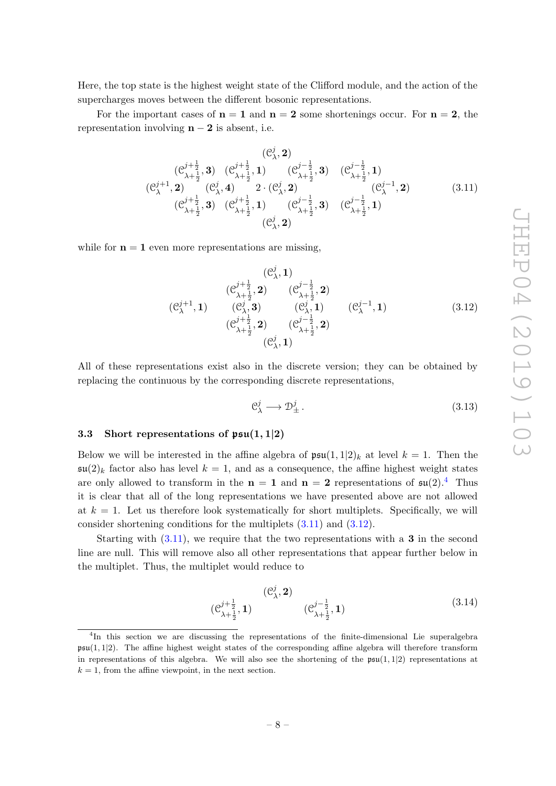Here, the top state is the highest weight state of the Clifford module, and the action of the supercharges moves between the different bosonic representations.

For the important cases of  $n = 1$  and  $n = 2$  some shortenings occur. For  $n = 2$ , the representation involving  $n - 2$  is absent, i.e.

j

<span id="page-10-2"></span>
$$
(C^j_\lambda, \mathbf{2})
$$
\n
$$
(C^{j+\frac{1}{2}}_{\lambda+\frac{1}{2}}, \mathbf{3})
$$
\n
$$
(C^{j+\frac{1}{2}}_{\lambda+\frac{1}{2}}, \mathbf{1})
$$
\n
$$
(C^{j+\frac{1}{2}}_{\lambda+\frac{1}{2}}, \mathbf{1})
$$
\n
$$
(C^{j+\frac{1}{2}}_{\lambda+\frac{1}{2}}, \mathbf{1})
$$
\n
$$
(C^{j+1}_{\lambda}, \mathbf{2})
$$
\n
$$
(C^{j+\frac{1}{2}}_{\lambda+\frac{1}{2}}, \mathbf{1})
$$
\n
$$
(C^{j+\frac{1}{2}}_{\lambda+\frac{1}{2}}, \mathbf{1})
$$
\n
$$
(C^{j-\frac{1}{2}}_{\lambda+\frac{1}{2}}, \mathbf{1})
$$
\n
$$
(C^{j+\frac{1}{2}}_{\lambda+\frac{1}{2}}, \mathbf{1})
$$
\n
$$
(C^{j+1}_{\lambda+\frac{1}{2}}, \mathbf{1})
$$
\n
$$
(C^{j+1}_{\lambda+\frac{1}{2}}, \mathbf{1})
$$
\n
$$
(C^{j+1}_{\lambda+\frac{1}{2}}, \mathbf{1})
$$
\n
$$
(C^{j+1}_{\lambda+\frac{1}{2}}, \mathbf{1})
$$
\n
$$
(C^{j+1}_{\lambda+\frac{1}{2}}, \mathbf{1})
$$
\n
$$
(C^{j+1}_{\lambda+\frac{1}{2}}, \mathbf{1})
$$
\n
$$
(C^{j+1}_{\lambda+\frac{1}{2}}, \mathbf{1})
$$
\n
$$
(C^{j+1}_{\lambda+\frac{1}{2}}, \mathbf{1})
$$
\n
$$
(C^{j+1}_{\lambda+\frac{1}{2}}, \mathbf{1})
$$
\n
$$
(C^{j+1}_{\lambda+\frac{1}{2}}, \mathbf{1})
$$
\n
$$
(C^{j+1}_{\lambda+\frac{1}{2}}, \mathbf{1})
$$
\n
$$
(C^{j+1}_{\lambda+\frac{1}{2}}, \mathbf{1})
$$
\n
$$
(C^{j+1}_{\lambda+\frac{1}{2}}, \mathbf{1})
$$
\n
$$
(C^{j+1}_{\lambda+\frac{1}{2}}, \mathbf{1})
$$

while for  $n = 1$  even more representations are missing,

<span id="page-10-3"></span>
$$
(C_{\lambda}^{j+1}, 1) \t (C_{\lambda+\frac{1}{2}}^{j+\frac{1}{2}}, 2) \t (C_{\lambda+\frac{1}{2}}^{j-\frac{1}{2}}, 2) (C_{\lambda+\frac{1}{2}}^{j+\frac{1}{2}}, 2) \t (C_{\lambda}^{j}, 1) \t (C_{\lambda}^{j}, 1) \t (C_{\lambda+\frac{1}{2}}^{j+\frac{1}{2}}, 2) (C_{\lambda+\frac{1}{2}}^{j+\frac{1}{2}}, 2) \t (C_{\lambda+1}^{j+1})
$$
(3.12)   
(3.12)   
(3.13)

All of these representations exist also in the discrete version; they can be obtained by replacing the continuous by the corresponding discrete representations,

$$
\mathcal{C}^j_{\lambda} \longrightarrow \mathcal{D}^j_{\pm} \,. \tag{3.13}
$$

#### <span id="page-10-0"></span>3.3 Short representations of  $\mathfrak{psu}(1,1|2)$

Below we will be interested in the affine algebra of  $\mathfrak{psu}(1,1|2)_k$  at level  $k=1$ . Then the  $\mathfrak{su}(2)_k$  factor also has level  $k = 1$ , and as a consequence, the affine highest weight states are only allowed to transform in the  $n = 1$  and  $n = 2$  representations of  $\mathfrak{su}(2)$ .<sup>[4](#page-10-1)</sup> Thus it is clear that all of the long representations we have presented above are not allowed at  $k = 1$ . Let us therefore look systematically for short multiplets. Specifically, we will consider shortening conditions for the multiplets [\(3.11\)](#page-10-2) and [\(3.12\)](#page-10-3).

Starting with  $(3.11)$ , we require that the two representations with a **3** in the second line are null. This will remove also all other representations that appear further below in the multiplet. Thus, the multiplet would reduce to

<span id="page-10-4"></span>
$$
(\mathcal{C}_{\lambda+1}^{j+\frac{1}{2}}, \mathbf{1}) \qquad (\mathcal{C}_{\lambda+2}^{j-\frac{1}{2}}, \mathbf{1}) \qquad (3.14)
$$

<span id="page-10-1"></span><sup>4</sup> In this section we are discussing the representations of the finite-dimensional Lie superalgebra  $psu(1, 1|2)$ . The affine highest weight states of the corresponding affine algebra will therefore transform in representations of this algebra. We will also see the shortening of the  $\mathfrak{psu}(1,1|2)$  representations at  $k = 1$ , from the affine viewpoint, in the next section.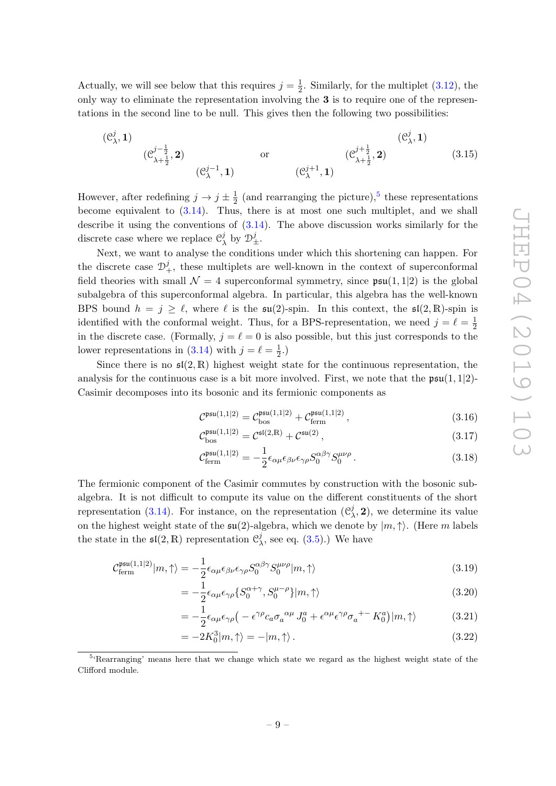Actually, we will see below that this requires  $j=\frac{1}{2}$  $\frac{1}{2}$ . Similarly, for the multiplet [\(3.12\)](#page-10-3), the only way to eliminate the representation involving the 3 is to require one of the representations in the second line to be null. This gives then the following two possibilities:

$$
(\mathcal{C}_{\lambda}^{j}, 1)
$$
  $(\mathcal{C}_{\lambda+\frac{1}{2}}^{j-\frac{1}{2}}, 2)$  or  $(\mathcal{C}_{\lambda+\frac{1}{2}}^{j+\frac{1}{2}}, 2)$   $(\mathcal{C}_{\lambda+1}^{j+\frac{1}{2}}, 2)$  (3.15)

However, after redefining  $j \to j \pm \frac{1}{2}$  $\frac{1}{2}$  (and rearranging the picture),<sup>[5](#page-11-0)</sup> these representations become equivalent to  $(3.14)$ . Thus, there is at most one such multiplet, and we shall describe it using the conventions of  $(3.14)$ . The above discussion works similarly for the discrete case where we replace  $\mathcal{C}_{\gamma}^{j}$  $\frac{j}{\lambda}$  by  $\mathcal{D}_{\pm}^{j}$ .

Next, we want to analyse the conditions under which this shortening can happen. For the discrete case  $\mathcal{D}_{+}^{j}$ , these multiplets are well-known in the context of superconformal field theories with small  $\mathcal{N} = 4$  superconformal symmetry, since  $\mathfrak{psu}(1,1|2)$  is the global subalgebra of this superconformal algebra. In particular, this algebra has the well-known BPS bound  $h = j \ge \ell$ , where  $\ell$  is the  $\mathfrak{su}(2)$ -spin. In this context, the  $\mathfrak{sl}(2,\mathbb{R})$ -spin is identified with the conformal weight. Thus, for a BPS-representation, we need  $j = \ell = \frac{1}{2}$ 2 in the discrete case. (Formally,  $j = \ell = 0$  is also possible, but this just corresponds to the lower representations in [\(3.14\)](#page-10-4) with  $j = \ell = \frac{1}{2}$  $(\frac{1}{2},)$ 

Since there is no  $\mathfrak{sl}(2,\mathbb{R})$  highest weight state for the continuous representation, the analysis for the continuous case is a bit more involved. First, we note that the  $\mathfrak{psu}(1,1|2)$ -Casimir decomposes into its bosonic and its fermionic components as

$$
\mathcal{C}^{\mathfrak{psu}(1,1|2)} = \mathcal{C}_{\text{bos}}^{\mathfrak{psu}(1,1|2)} + \mathcal{C}_{\text{ferm}}^{\mathfrak{psu}(1,1|2)}\,,\tag{3.16}
$$

$$
\mathcal{C}_{\rm bos}^{\rm psu(1,1|2)} = \mathcal{C}^{\rm sl(2,R)} + \mathcal{C}^{\rm su(2)}\,,\tag{3.17}
$$

$$
\mathcal{C}_{\text{ferm}}^{\mathfrak{psu}(1,1|2)} = -\frac{1}{2} \epsilon_{\alpha\mu} \epsilon_{\beta\nu} \epsilon_{\gamma\rho} S_0^{\alpha\beta\gamma} S_0^{\mu\nu\rho} . \tag{3.18}
$$

The fermionic component of the Casimir commutes by construction with the bosonic subalgebra. It is not difficult to compute its value on the different constituents of the short representation [\(3.14\)](#page-10-4). For instance, on the representation  $(\mathcal{C})$  $\lambda$ , 2), we determine its value on the highest weight state of the  $\mathfrak{su}(2)$ -algebra, which we denote by  $|m, \uparrow\rangle$ . (Here m labels the state in the  $\mathfrak{sl}(2,\mathbb{R})$  representation  $\mathcal{C}^j$  $\lambda$ , see eq. [\(3.5\)](#page-8-2).) We have

$$
\mathcal{C}_{\text{ferm}}^{\text{psu}(1,1|2)}|m,\uparrow\rangle = -\frac{1}{2}\epsilon_{\alpha\mu}\epsilon_{\beta\nu}\epsilon_{\gamma\rho}S_0^{\alpha\beta\gamma}S_0^{\mu\nu\rho}|m,\uparrow\rangle\tag{3.19}
$$

$$
= -\frac{1}{2} \epsilon_{\alpha\mu} \epsilon_{\gamma\rho} \{ S_0^{\alpha+\gamma}, S_0^{\mu-\rho} \} |m,\uparrow\rangle \tag{3.20}
$$

$$
= -\frac{1}{2} \epsilon_{\alpha\mu} \epsilon_{\gamma\rho} \left( -\epsilon^{\gamma\rho} c_a \sigma_a^{\ \alpha\mu} J_0^a + \epsilon^{\alpha\mu} \epsilon^{\gamma\rho} \sigma_a^{+ -} K_0^a \right) |m,\uparrow\rangle \tag{3.21}
$$

$$
= -2K_0^3|m,\uparrow\rangle = -|m,\uparrow\rangle. \tag{3.22}
$$

<span id="page-11-0"></span><sup>&</sup>lt;sup>5</sup>'Rearranging' means here that we change which state we regard as the highest weight state of the Clifford module.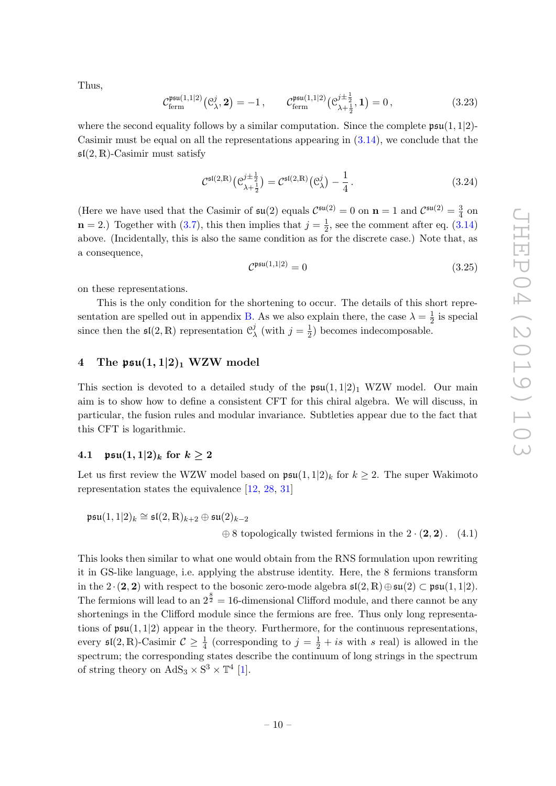Thus,

$$
\mathcal{C}_{\text{ferm}}^{\mathfrak{psu}(1,1|2)}(\mathcal{C}_{\lambda}^{j},\mathbf{2})=-1\,,\qquad \mathcal{C}_{\text{ferm}}^{\mathfrak{psu}(1,1|2)}(\mathcal{C}_{\lambda+\frac{1}{2}}^{j\pm\frac{1}{2}},\mathbf{1})=0\,,\tag{3.23}
$$

where the second equality follows by a similar computation. Since the complete  $\mathfrak{psu}(1,1|2)$ -Casimir must be equal on all the representations appearing in  $(3.14)$ , we conclude that the  $\mathfrak{sl}(2,\mathbb{R})$ -Casimir must satisfy

$$
\mathcal{C}^{\mathfrak{sl}(2,\mathbb{R})}(\mathcal{C}^{j\pm\frac{1}{2}}_{\lambda+\frac{1}{2}}) = \mathcal{C}^{\mathfrak{sl}(2,\mathbb{R})}(\mathcal{C}^{j}_{\lambda}) - \frac{1}{4}.
$$
 (3.24)

(Here we have used that the Casimir of  $\mathfrak{su}(2)$  equals  $\mathcal{C}^{\mathfrak{su}(2)} = 0$  on  $n = 1$  and  $\mathcal{C}^{\mathfrak{su}(2)} = \frac{3}{4}$  $rac{3}{4}$  on  $\mathbf{n} = 2$ .) Together with [\(3.7\)](#page-8-3), this then implies that  $j = \frac{1}{2}$  $\frac{1}{2}$ , see the comment after eq.  $(3.14)$ above. (Incidentally, this is also the same condition as for the discrete case.) Note that, as a consequence,

<span id="page-12-3"></span><span id="page-12-2"></span>
$$
\mathcal{C}^{\mathfrak{psu}(1,1|2)} = 0\tag{3.25}
$$

on these representations.

This is the only condition for the shortening to occur. The details of this short repre-sentation are spelled out in appendix [B.](#page-30-0) As we also explain there, the case  $\lambda = \frac{1}{2}$  $\frac{1}{2}$  is special since then the  $\mathfrak{sl}(2,\mathbb{R})$  representation  $\mathfrak{C}_2^j$  $\frac{j}{\lambda}$  (with  $j=\frac{1}{2}$  $(\frac{1}{2})$  becomes indecomposable.

# <span id="page-12-0"></span>4 The  $\mathfrak{psu}(1,1|2)_1$  WZW model

This section is devoted to a detailed study of the  $\mathfrak{psu}(1,1|2)_1$  WZW model. Our main aim is to show how to define a consistent CFT for this chiral algebra. We will discuss, in particular, the fusion rules and modular invariance. Subtleties appear due to the fact that this CFT is logarithmic.

# <span id="page-12-1"></span>4.1  $\mathfrak{psu}(1,1|2)_k$  for  $k > 2$

Let us first review the WZW model based on  $\mathfrak{psu}(1,1|2)_k$  for  $k \geq 2$ . The super Wakimoto representation states the equivalence [\[12,](#page-45-11) [28,](#page-46-6) [31\]](#page-46-9)

$$
\mathfrak{psu}(1,1|2)_k \cong \mathfrak{sl}(2,\mathbb{R})_{k+2} \oplus \mathfrak{su}(2)_{k-2}
$$
  

$$
\oplus 8
$$
 topologically twisted fermions in the 2 · (2,2). (4.1)

This looks then similar to what one would obtain from the RNS formulation upon rewriting it in GS-like language, i.e. applying the abstruse identity. Here, the 8 fermions transform in the 2 · (2, 2) with respect to the bosonic zero-mode algebra  $\mathfrak{sl}(2,\mathbb{R})\oplus \mathfrak{su}(2)\subset \mathfrak{psu}(1,1|2)$ . The fermions will lead to an  $2^{\frac{8}{2}} = 16$ -dimensional Clifford module, and there cannot be any shortenings in the Clifford module since the fermions are free. Thus only long representations of  $\mathfrak{psu}(1,1|2)$  appear in the theory. Furthermore, for the continuous representations, every  $\mathfrak{sl}(2,\mathbb{R})$ -Casimir  $\mathcal{C} \geq \frac{1}{4}$  (corresponding to  $j = \frac{1}{2} + is$  with s real) is allowed in the spectrum; the corresponding states describe the continuum of long strings in the spectrum of string theory on  $AdS_3 \times S^3 \times T^4$  [\[1\]](#page-45-0).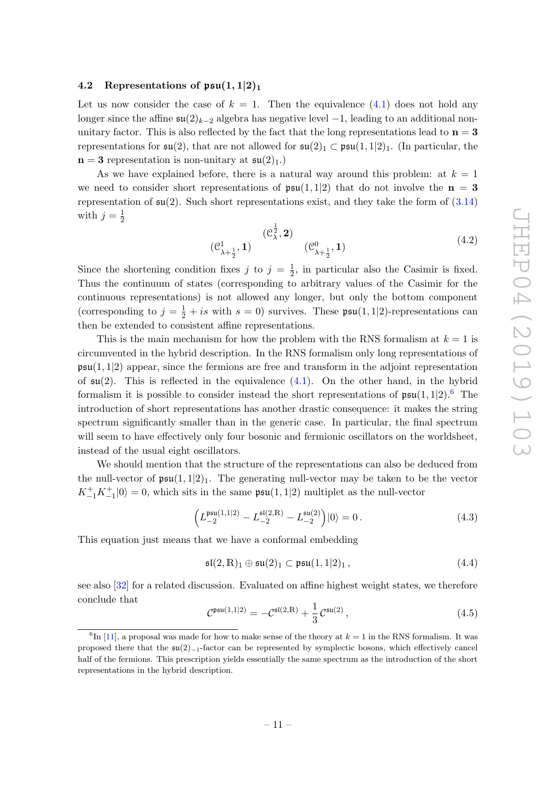# <span id="page-13-0"></span>4.2 Representations of  $\mathfrak{psu}(1,1|2)_1$

Let us now consider the case of  $k = 1$ . Then the equivalence [\(4.1\)](#page-12-2) does not hold any longer since the affine  $\mathfrak{su}(2)_{k-2}$  algebra has negative level  $-1$ , leading to an additional nonunitary factor. This is also reflected by the fact that the long representations lead to  $n = 3$ representations for  $\mathfrak{su}(2)$ , that are not allowed for  $\mathfrak{su}(2)_1 \subset \mathfrak{psu}(1,1|2)_1$ . (In particular, the  $n = 3$  representation is non-unitary at  $\mathfrak{su}(2)_1$ .

As we have explained before, there is a natural way around this problem: at  $k = 1$ we need to consider short representations of  $\mathfrak{psu}(1,1|2)$  that do not involve the  $n = 3$ representation of  $\mathfrak{su}(2)$ . Such short representations exist, and they take the form of  $(3.14)$ with  $j=\frac{1}{2}$ 2

<span id="page-13-3"></span>
$$
(\mathcal{C}_{\lambda+\frac{1}{2}}^{1}, 1) \qquad (\mathcal{C}_{\lambda+\frac{1}{2}}^{0}, 1) \qquad (4.2)
$$

Since the shortening condition fixes j to  $j = \frac{1}{2}$  $\frac{1}{2}$ , in particular also the Casimir is fixed. Thus the continuum of states (corresponding to arbitrary values of the Casimir for the continuous representations) is not allowed any longer, but only the bottom component (corresponding to  $j = \frac{1}{2} + is$  with  $s = 0$ ) survives. These  $\mathfrak{psu}(1,1|2)$ -representations can then be extended to consistent affine representations.

This is the main mechanism for how the problem with the RNS formalism at  $k = 1$  is circumvented in the hybrid description. In the RNS formalism only long representations of  $\mathfrak{psu}(1,1|2)$  appear, since the fermions are free and transform in the adjoint representation of  $\mathfrak{su}(2)$ . This is reflected in the equivalence  $(4.1)$ . On the other hand, in the hybrid formalism it is possible to consider instead the short representations of  $\mathfrak{psu}(1,1|2)$ .<sup>[6](#page-13-1)</sup> The introduction of short representations has another drastic consequence: it makes the string spectrum significantly smaller than in the generic case. In particular, the final spectrum will seem to have effectively only four bosonic and fermionic oscillators on the worldsheet, instead of the usual eight oscillators.

We should mention that the structure of the representations can also be deduced from the null-vector of  $\mathfrak{psu}(1,1|2)_1$ . The generating null-vector may be taken to be the vector  $K_{-1}^{+}K_{-1}^{+}|0\rangle = 0$ , which sits in the same  $\mathfrak{psu}(1,1|2)$  multiplet as the null-vector

<span id="page-13-2"></span>
$$
\left(L_{-2}^{\mathfrak{psu}(1,1|2)} - L_{-2}^{\mathfrak{sl}(2,\mathbb{R})} - L_{-2}^{\mathfrak{su}(2)}\right)|0\rangle = 0.
$$
\n(4.3)

This equation just means that we have a conformal embedding

$$
\mathfrak{sl}(2,\mathbb{R})_1\oplus \mathfrak{su}(2)_1\subset \mathfrak{psu}(1,1|2)_1\,,\tag{4.4}
$$

see also [\[32\]](#page-46-10) for a related discussion. Evaluated on affine highest weight states, we therefore conclude that

$$
C^{\mathfrak{psu}(1,1|2)} = -C^{\mathfrak{sl}(2,\mathbb{R})} + \frac{1}{3} C^{\mathfrak{su}(2)},
$$
\n(4.5)

<span id="page-13-1"></span> ${}^{6}$ In [\[11\]](#page-45-10), a proposal was made for how to make sense of the theory at  $k = 1$  in the RNS formalism. It was proposed there that the su(2)<sup>−</sup>1-factor can be represented by symplectic bosons, which effectively cancel half of the fermions. This prescription yields essentially the same spectrum as the introduction of the short representations in the hybrid description.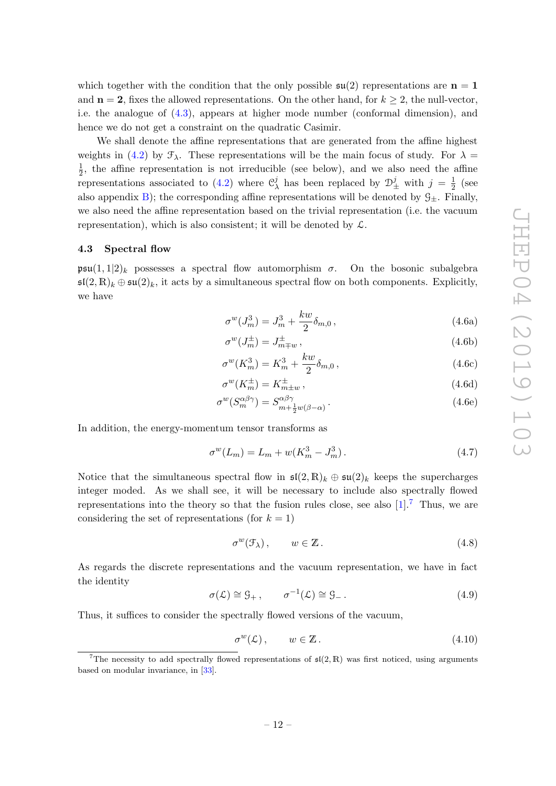which together with the condition that the only possible  $\mathfrak{su}(2)$  representations are  $n = 1$ and  $n = 2$ , fixes the allowed representations. On the other hand, for  $k \geq 2$ , the null-vector, i.e. the analogue of [\(4.3\)](#page-13-2), appears at higher mode number (conformal dimension), and hence we do not get a constraint on the quadratic Casimir.

We shall denote the affine representations that are generated from the affine highest weights in [\(4.2\)](#page-13-3) by  $\mathcal{F}_{\lambda}$ . These representations will be the main focus of study. For  $\lambda =$ 1  $\frac{1}{2}$ , the affine representation is not irreducible (see below), and we also need the affine representations associated to  $(4.2)$  where  $\mathcal{C}_{2}^{j}$  $\frac{j}{\lambda}$  has been replaced by  $\mathcal{D}_{\pm}^{j}$  with  $j = \frac{1}{2}$  $rac{1}{2}$  (see also appendix [B\)](#page-30-0); the corresponding affine representations will be denoted by  $\mathcal{G}_{\pm}$ . Finally, we also need the affine representation based on the trivial representation (i.e. the vacuum representation), which is also consistent; it will be denoted by  $\mathcal{L}$ .

#### <span id="page-14-0"></span>4.3 Spectral flow

psu(1, 1|2)<sub>k</sub> possesses a spectral flow automorphism  $\sigma$ . On the bosonic subalgebra  $\mathfrak{sl}(2,\mathbb{R})_k \oplus \mathfrak{su}(2)_k$ , it acts by a simultaneous spectral flow on both components. Explicitly, we have

<span id="page-14-2"></span>
$$
\sigma^w(J_m^3) = J_m^3 + \frac{kw}{2} \delta_{m,0} \,, \tag{4.6a}
$$

<span id="page-14-3"></span>
$$
\sigma^w(J_m^{\pm}) = J_{m \mp w}^{\pm} \,, \tag{4.6b}
$$

$$
\sigma^w(K_m^3) = K_m^3 + \frac{kw}{2} \delta_{m,0} \,, \tag{4.6c}
$$

<span id="page-14-4"></span>
$$
\sigma^w(K_m^{\pm}) = K_{m \pm w}^{\pm} \,, \tag{4.6d}
$$

$$
\sigma^w(S_m^{\alpha\beta\gamma}) = S_{m + \frac{1}{2}w(\beta - \alpha)}^{\alpha\beta\gamma}.
$$
\n(4.6e)

In addition, the energy-momentum tensor transforms as

<span id="page-14-5"></span>
$$
\sigma^w(L_m) = L_m + w(K_m^3 - J_m^3). \tag{4.7}
$$

Notice that the simultaneous spectral flow in  $\mathfrak{sl}(2,\mathbb{R})_k \oplus \mathfrak{su}(2)_k$  keeps the supercharges integer moded. As we shall see, it will be necessary to include also spectrally flowed representations into the theory so that the fusion rules close, see also  $[1]$ .<sup>[7](#page-14-1)</sup> Thus, we are considering the set of representations (for  $k = 1$ )

$$
\sigma^w(\mathcal{F}_\lambda)\,,\qquad w\in\mathbb{Z}\,.
$$
\n
$$
(4.8)
$$

As regards the discrete representations and the vacuum representation, we have in fact the identity

$$
\sigma(\mathcal{L}) \cong \mathcal{G}_+, \qquad \sigma^{-1}(\mathcal{L}) \cong \mathcal{G}_- \,. \tag{4.9}
$$

Thus, it suffices to consider the spectrally flowed versions of the vacuum,

$$
\sigma^w(\mathcal{L}), \qquad w \in \mathbb{Z} \,. \tag{4.10}
$$

<span id="page-14-1"></span><sup>&</sup>lt;sup>7</sup>The necessity to add spectrally flowed representations of  $\mathfrak{sl}(2,\mathbb{R})$  was first noticed, using arguments based on modular invariance, in [\[33\]](#page-46-11).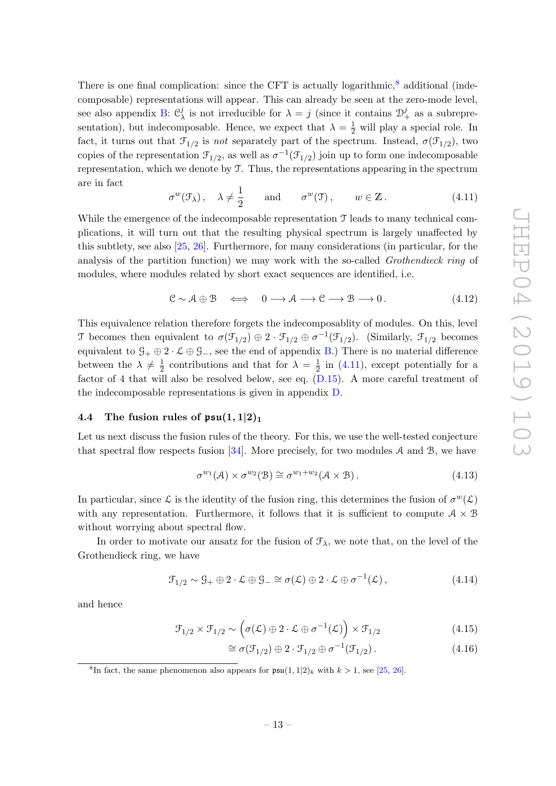There is one final complication: since the CFT is actually logarithmic, $8$  additional (indecomposable) representations will appear. This can already be seen at the zero-mode level, see also appendix [B:](#page-30-0)  $\mathfrak{C}_1^j$  $\lambda$  is not irreducible for  $\lambda = j$  (since it contains  $\mathcal{D}_{+}^{j}$  as a subrepresentation), but indecomposable. Hence, we expect that  $\lambda = \frac{1}{2}$  will play a special role. In fact, it turns out that  $\mathcal{F}_{1/2}$  is not separately part of the spectrum. Instead,  $\sigma(\mathcal{F}_{1/2})$ , two copies of the representation  $\mathcal{F}_{1/2}$ , as well as  $\sigma^{-1}(\mathcal{F}_{1/2})$  join up to form one indecomposable representation, which we denote by T. Thus, the representations appearing in the spectrum are in fact

<span id="page-15-2"></span>
$$
\sigma^w(\mathcal{F}_\lambda), \quad \lambda \neq \frac{1}{2} \quad \text{and} \quad \sigma^w(\mathcal{T}), \quad w \in \mathbb{Z}. \tag{4.11}
$$

While the emergence of the indecomposable representation  $\mathcal T$  leads to many technical complications, it will turn out that the resulting physical spectrum is largely unaffected by this subtlety, see also [\[25,](#page-46-4) [26\]](#page-46-12). Furthermore, for many considerations (in particular, for the analysis of the partition function) we may work with the so-called *Grothendieck ring* of modules, where modules related by short exact sequences are identified, i.e.

<span id="page-15-4"></span>
$$
\mathcal{C} \sim \mathcal{A} \oplus \mathcal{B} \quad \Longleftrightarrow \quad 0 \longrightarrow \mathcal{A} \longrightarrow \mathcal{C} \longrightarrow \mathcal{B} \longrightarrow 0. \tag{4.12}
$$

This equivalence relation therefore forgets the indecomposablity of modules. On this, level T becomes then equivalent to  $\sigma(\mathcal{F}_{1/2}) \oplus 2 \cdot \mathcal{F}_{1/2} \oplus \sigma^{-1}(\mathcal{F}_{1/2})$ . (Similarly,  $\mathcal{F}_{1/2}$  becomes equivalent to  $\mathcal{G}_+ \oplus 2 \cdot \mathcal{L} \oplus \mathcal{G}_-,$  see the end of appendix [B.](#page-30-0)) There is no material difference between the  $\lambda \neq \frac{1}{2}$  $\frac{1}{2}$  contributions and that for  $\lambda = \frac{1}{2}$  $\frac{1}{2}$  in [\(4.11\)](#page-15-2), except potentially for a factor of 4 that will also be resolved below, see eq. [\(D.15\)](#page-42-0). A more careful treatment of the indecomposable representations is given in appendix [D.](#page-40-0)

#### <span id="page-15-0"></span>4.4 The fusion rules of  $\mathfrak{psu}(1,1|2)_1$

Let us next discuss the fusion rules of the theory. For this, we use the well-tested conjecture that spectral flow respects fusion [\[34\]](#page-46-13). More precisely, for two modules  $A$  and  $B$ , we have

<span id="page-15-5"></span>
$$
\sigma^{w_1}(\mathcal{A}) \times \sigma^{w_2}(\mathcal{B}) \cong \sigma^{w_1 + w_2}(\mathcal{A} \times \mathcal{B}). \tag{4.13}
$$

In particular, since L is the identity of the fusion ring, this determines the fusion of  $\sigma^w(\mathcal{L})$ with any representation. Furthermore, it follows that it is sufficient to compute  $A \times B$ without worrying about spectral flow.

In order to motivate our ansatz for the fusion of  $\mathcal{F}_{\lambda}$ , we note that, on the level of the Grothendieck ring, we have

<span id="page-15-6"></span>
$$
\mathcal{F}_{1/2} \sim \mathcal{G}_+ \oplus 2 \cdot \mathcal{L} \oplus \mathcal{G}_- \cong \sigma(\mathcal{L}) \oplus 2 \cdot \mathcal{L} \oplus \sigma^{-1}(\mathcal{L}), \qquad (4.14)
$$

and hence

$$
\mathcal{F}_{1/2} \times \mathcal{F}_{1/2} \sim \left( \sigma(\mathcal{L}) \oplus 2 \cdot \mathcal{L} \oplus \sigma^{-1}(\mathcal{L}) \right) \times \mathcal{F}_{1/2}
$$
\n(4.15)

<span id="page-15-3"></span>
$$
\cong \sigma(\mathfrak{F}_{1/2}) \oplus 2 \cdot \mathfrak{F}_{1/2} \oplus \sigma^{-1}(\mathfrak{F}_{1/2}). \tag{4.16}
$$

<span id="page-15-1"></span><sup>&</sup>lt;sup>8</sup>In fact, the same phenomenon also appears for  $\mathfrak{psu}(1,1|2)_k$  with  $k > 1$ , see [\[25,](#page-46-4) [26\]](#page-46-12).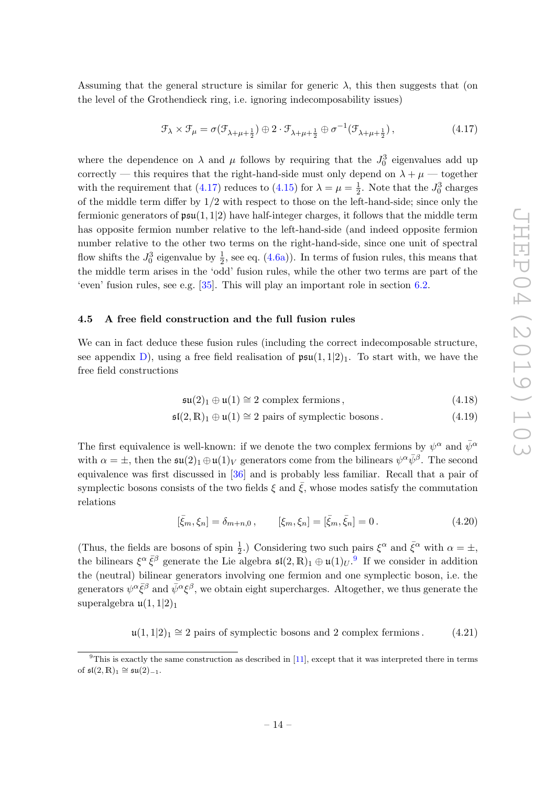Assuming that the general structure is similar for generic  $\lambda$ , this then suggests that (on the level of the Grothendieck ring, i.e. ignoring indecomposability issues)

<span id="page-16-1"></span>
$$
\mathcal{F}_{\lambda} \times \mathcal{F}_{\mu} = \sigma(\mathcal{F}_{\lambda + \mu + \frac{1}{2}}) \oplus 2 \cdot \mathcal{F}_{\lambda + \mu + \frac{1}{2}} \oplus \sigma^{-1}(\mathcal{F}_{\lambda + \mu + \frac{1}{2}}), \tag{4.17}
$$

where the dependence on  $\lambda$  and  $\mu$  follows by requiring that the  $J_0^3$  eigenvalues add up correctly — this requires that the right-hand-side must only depend on  $\lambda + \mu$  — together with the requirement that [\(4.17\)](#page-16-1) reduces to [\(4.15\)](#page-15-3) for  $\lambda = \mu = \frac{1}{2}$  $\frac{1}{2}$ . Note that the  $J_0^3$  charges of the middle term differ by  $1/2$  with respect to those on the left-hand-side; since only the fermionic generators of  $\mathfrak{psu}(1,1|2)$  have half-integer charges, it follows that the middle term has opposite fermion number relative to the left-hand-side (and indeed opposite fermion number relative to the other two terms on the right-hand-side, since one unit of spectral flow shifts the  $J_0^3$  eigenvalue by  $\frac{1}{2}$ , see eq. [\(4.6a\)](#page-14-2)). In terms of fusion rules, this means that the middle term arises in the 'odd' fusion rules, while the other two terms are part of the 'even' fusion rules, see e.g. [\[35\]](#page-46-14). This will play an important role in section [6.2.](#page-24-0)

#### <span id="page-16-0"></span>4.5 A free field construction and the full fusion rules

We can in fact deduce these fusion rules (including the correct indecomposable structure, see appendix [D\)](#page-40-0), using a free field realisation of  $\mathfrak{psu}(1,1|2)_1$ . To start with, we have the free field constructions

$$
\mathfrak{su}(2)_1 \oplus \mathfrak{u}(1) \cong 2 \text{ complex fermions},\tag{4.18}
$$

$$
\mathfrak{sl}(2,\mathbb{R})_1 \oplus \mathfrak{u}(1) \cong 2 \text{ pairs of symplectic bosons.} \tag{4.19}
$$

The first equivalence is well-known: if we denote the two complex fermions by  $\psi^{\alpha}$  and  $\bar{\psi}^{\alpha}$ with  $\alpha = \pm$ , then the  $\mathfrak{su}(2)_1 \oplus \mathfrak{u}(1)_V$  generators come from the bilinears  $\psi^{\alpha} \bar{\psi}^{\beta}$ . The second equivalence was first discussed in [\[36\]](#page-46-15) and is probably less familiar. Recall that a pair of symplectic bosons consists of the two fields  $\xi$  and  $\overline{\xi}$ , whose modes satisfy the commutation relations

$$
[\bar{\xi}_m, \xi_n] = \delta_{m+n,0} , \qquad [\xi_m, \xi_n] = [\bar{\xi}_m, \bar{\xi}_n] = 0 . \qquad (4.20)
$$

(Thus, the fields are bosons of spin  $\frac{1}{2}$ .) Considering two such pairs  $\xi^{\alpha}$  and  $\bar{\xi}^{\alpha}$  with  $\alpha = \pm$ , the bilinears  $\xi^{\alpha} \bar{\xi}^{\beta}$  generate the Lie algebra  $\mathfrak{sl}(2,\mathbb{R})_1 \oplus \mathfrak{u}(1)_U$ .<sup>[9](#page-16-2)</sup> If we consider in addition the (neutral) bilinear generators involving one fermion and one symplectic boson, i.e. the generators  $\psi^{\alpha}\bar{\xi}^{\beta}$  and  $\bar{\psi}^{\alpha}\xi^{\beta}$ , we obtain eight supercharges. Altogether, we thus generate the superalgebra  $\mathfrak{u}(1,1|2)_1$ 

 $\mathfrak{u}(1,1|2)_1 \cong 2$  pairs of symplectic bosons and 2 complex fermions. (4.21)

<span id="page-16-2"></span> $9$ This is exactly the same construction as described in [\[11\]](#page-45-10), except that it was interpreted there in terms of  $\mathfrak{sl}(2,\mathbb{R})_1 \cong \mathfrak{su}(2)_{-1}$ .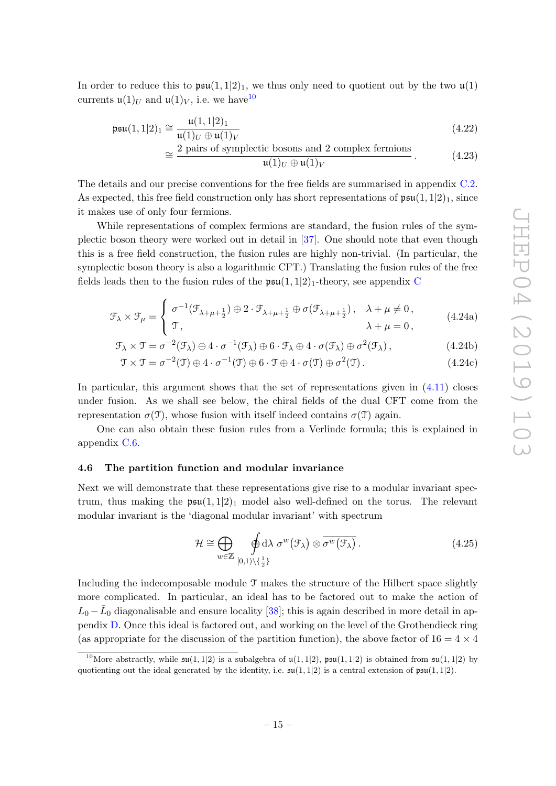In order to reduce this to  $\mathfrak{psu}(1,1|2)_1$ , we thus only need to quotient out by the two  $\mathfrak{u}(1)$ currents  $\mathfrak{u}(1)_U$  and  $\mathfrak{u}(1)_V$ , i.e. we have <sup>[10](#page-17-1)</sup>

$$
\mathfrak{psu}(1,1|2)_1 \cong \frac{\mathfrak{u}(1,1|2)_1}{\mathfrak{u}(1)_U \oplus \mathfrak{u}(1)_V} \tag{4.22}
$$

<span id="page-17-5"></span><span id="page-17-3"></span>
$$
\approx \frac{2 \text{ pairs of symplectic bosons and } 2 \text{ complex fermions}}{\mathfrak{u}(1)_U \oplus \mathfrak{u}(1)_V}.
$$
 (4.23)

The details and our precise conventions for the free fields are summarised in appendix [C.2.](#page-33-0) As expected, this free field construction only has short representations of  $\mathfrak{psu}(1,1|2)_1$ , since it makes use of only four fermions.

While representations of complex fermions are standard, the fusion rules of the symplectic boson theory were worked out in detail in [\[37\]](#page-46-16). One should note that even though this is a free field construction, the fusion rules are highly non-trivial. (In particular, the symplectic boson theory is also a logarithmic CFT.) Translating the fusion rules of the free fields leads then to the fusion rules of the  $\mathfrak{psu}(1,1|2)$ <sub>1</sub>-theory, see appendix [C](#page-31-0)

$$
\mathcal{F}_{\lambda} \times \mathcal{F}_{\mu} = \begin{cases}\n\sigma^{-1}(\mathcal{F}_{\lambda+\mu+\frac{1}{2}}) \oplus 2 \cdot \mathcal{F}_{\lambda+\mu+\frac{1}{2}} \oplus \sigma(\mathcal{F}_{\lambda+\mu+\frac{1}{2}}), & \lambda + \mu \neq 0, \\
\mathcal{T}, & \lambda + \mu = 0,\n\end{cases}
$$
\n(4.24a)

$$
\mathcal{F}_{\lambda} \times \mathcal{T} = \sigma^{-2}(\mathcal{F}_{\lambda}) \oplus 4 \cdot \sigma^{-1}(\mathcal{F}_{\lambda}) \oplus 6 \cdot \mathcal{F}_{\lambda} \oplus 4 \cdot \sigma(\mathcal{F}_{\lambda}) \oplus \sigma^{2}(\mathcal{F}_{\lambda}), \qquad (4.24b)
$$

$$
\mathcal{T} \times \mathcal{T} = \sigma^{-2}(\mathcal{T}) \oplus 4 \cdot \sigma^{-1}(\mathcal{T}) \oplus 6 \cdot \mathcal{T} \oplus 4 \cdot \sigma(\mathcal{T}) \oplus \sigma^{2}(\mathcal{T}). \tag{4.24c}
$$

In particular, this argument shows that the set of representations given in  $(4.11)$  closes under fusion. As we shall see below, the chiral fields of the dual CFT come from the representation  $\sigma(\mathcal{T})$ , whose fusion with itself indeed contains  $\sigma(\mathcal{T})$  again.

One can also obtain these fusion rules from a Verlinde formula; this is explained in appendix [C.6.](#page-39-0)

#### <span id="page-17-0"></span>4.6 The partition function and modular invariance

Next we will demonstrate that these representations give rise to a modular invariant spectrum, thus making the  $\mathfrak{psu}(1,1|2)_1$  model also well-defined on the torus. The relevant modular invariant is the 'diagonal modular invariant' with spectrum

<span id="page-17-4"></span><span id="page-17-2"></span>
$$
\mathcal{H} \cong \bigoplus_{w \in \mathbb{Z}} \oint_{[0,1) \setminus \{\frac{1}{2}\}} \Phi \, d\lambda \, \sigma^w(\mathcal{F}_\lambda) \otimes \overline{\sigma^w(\mathcal{F}_\lambda)} \, . \tag{4.25}
$$

Including the indecomposable module  $\mathcal T$  makes the structure of the Hilbert space slightly more complicated. In particular, an ideal has to be factored out to make the action of  $L_0 - \bar{L}_0$  diagonalisable and ensure locality [\[38\]](#page-46-17); this is again described in more detail in appendix [D.](#page-40-0) Once this ideal is factored out, and working on the level of the Grothendieck ring (as appropriate for the discussion of the partition function), the above factor of  $16 = 4 \times 4$ 

<span id="page-17-1"></span><sup>&</sup>lt;sup>10</sup>More abstractly, while  $\mathfrak{su}(1,1|2)$  is a subalgebra of  $\mathfrak{u}(1,1|2)$ ,  $\mathfrak{psu}(1,1|2)$  is obtained from  $\mathfrak{su}(1,1|2)$  by quotienting out the ideal generated by the identity, i.e.  $\mathfrak{su}(1,1|2)$  is a central extension of  $\mathfrak{psu}(1,1|2)$ .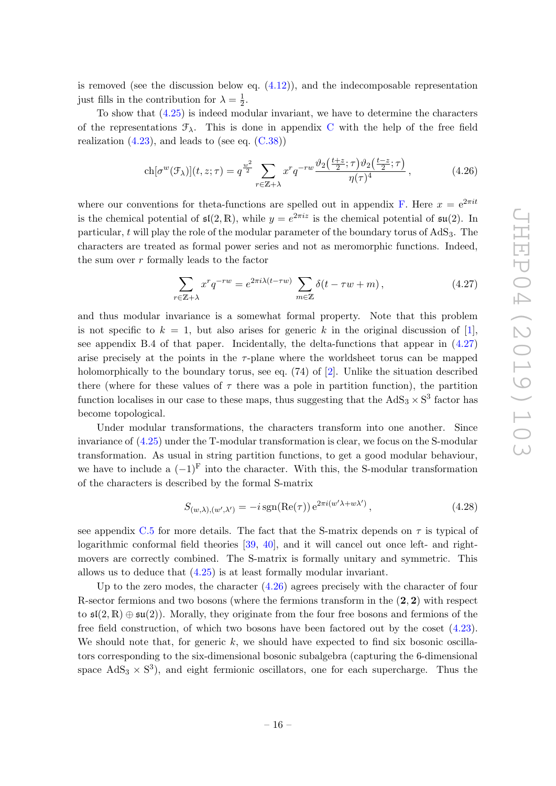is removed (see the discussion below eq.  $(4.12)$ ), and the indecomposable representation just fills in the contribution for  $\lambda = \frac{1}{2}$  $rac{1}{2}$ .

To show that [\(4.25\)](#page-17-2) is indeed modular invariant, we have to determine the characters of the representations  $\mathcal{F}_{\lambda}$ . This is done in appendix [C](#page-31-0) with the help of the free field realization  $(4.23)$ , and leads to (see eq.  $(C.38)$ )

$$
\operatorname{ch}[\sigma^w(\mathcal{F}_\lambda)](t,z;\tau) = q^{\frac{w^2}{2}} \sum_{r \in \mathbb{Z}+\lambda} x^r q^{-rw} \frac{\vartheta_2\left(\frac{t+z}{2};\tau\right)\vartheta_2\left(\frac{t-z}{2};\tau\right)}{\eta(\tau)^4},\tag{4.26}
$$

where our conventions for theta-functions are spelled out in appendix [F.](#page-44-0) Here  $x = e^{2\pi i t}$ is the chemical potential of  $\mathfrak{sl}(2,\mathbb{R})$ , while  $y=e^{2\pi i z}$  is the chemical potential of  $\mathfrak{su}(2)$ . In particular, t will play the role of the modular parameter of the boundary torus of  $AdS_3$ . The characters are treated as formal power series and not as meromorphic functions. Indeed, the sum over  $r$  formally leads to the factor

<span id="page-18-1"></span><span id="page-18-0"></span>
$$
\sum_{r \in \mathbb{Z} + \lambda} x^r q^{-rw} = e^{2\pi i \lambda (t - \tau w)} \sum_{m \in \mathbb{Z}} \delta(t - \tau w + m), \qquad (4.27)
$$

and thus modular invariance is a somewhat formal property. Note that this problem is not specific to  $k = 1$ , but also arises for generic k in the original discussion of [\[1\]](#page-45-0), see appendix B.4 of that paper. Incidentally, the delta-functions that appear in  $(4.27)$ arise precisely at the points in the  $\tau$ -plane where the worldsheet torus can be mapped holomorphically to the boundary torus, see eq. (74) of [\[2\]](#page-45-1). Unlike the situation described there (where for these values of  $\tau$  there was a pole in partition function), the partition function localises in our case to these maps, thus suggesting that the  $AdS_3 \times S^3$  factor has become topological.

Under modular transformations, the characters transform into one another. Since invariance of [\(4.25\)](#page-17-2) under the T-modular transformation is clear, we focus on the S-modular transformation. As usual in string partition functions, to get a good modular behaviour, we have to include a  $(-1)^{F}$  into the character. With this, the S-modular transformation of the characters is described by the formal S-matrix

<span id="page-18-2"></span>
$$
S_{(w,\lambda),(w',\lambda')} = -i \operatorname{sgn}(\operatorname{Re}(\tau)) e^{2\pi i (w'\lambda + w\lambda')}, \qquad (4.28)
$$

see appendix [C.5](#page-37-0) for more details. The fact that the S-matrix depends on  $\tau$  is typical of logarithmic conformal field theories [\[39,](#page-46-18) [40\]](#page-46-19), and it will cancel out once left- and rightmovers are correctly combined. The S-matrix is formally unitary and symmetric. This allows us to deduce that [\(4.25\)](#page-17-2) is at least formally modular invariant.

Up to the zero modes, the character [\(4.26\)](#page-18-1) agrees precisely with the character of four R-sector fermions and two bosons (where the fermions transform in the  $(2, 2)$  with respect to  $\mathfrak{sl}(2,\mathbb{R})\oplus\mathfrak{su}(2)$ . Morally, they originate from the four free bosons and fermions of the free field construction, of which two bosons have been factored out by the coset [\(4.23\)](#page-17-3). We should note that, for generic  $k$ , we should have expected to find six bosonic oscillators corresponding to the six-dimensional bosonic subalgebra (capturing the 6-dimensional space  $AdS_3 \times S^3$ , and eight fermionic oscillators, one for each supercharge. Thus the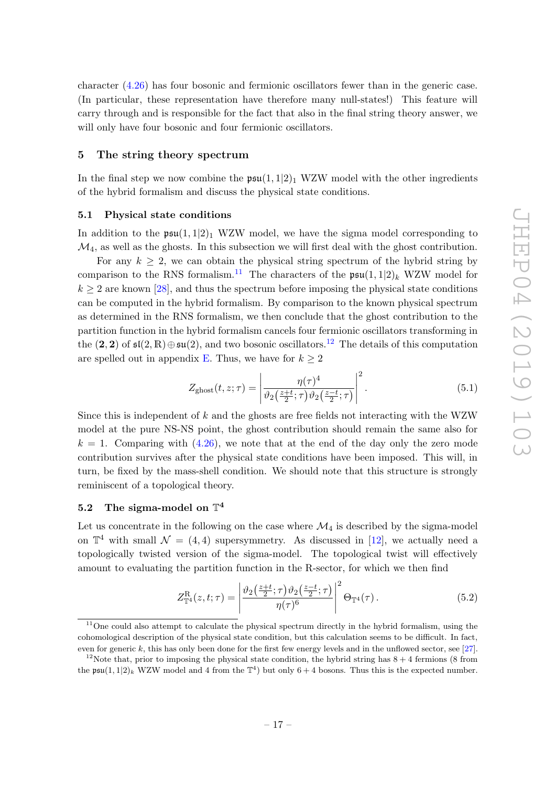character [\(4.26\)](#page-18-1) has four bosonic and fermionic oscillators fewer than in the generic case. (In particular, these representation have therefore many null-states!) This feature will carry through and is responsible for the fact that also in the final string theory answer, we will only have four bosonic and four fermionic oscillators.

#### <span id="page-19-0"></span>5 The string theory spectrum

In the final step we now combine the  $\mathfrak{psu}(1,1|2)_1$  WZW model with the other ingredients of the hybrid formalism and discuss the physical state conditions.

#### <span id="page-19-1"></span>5.1 Physical state conditions

In addition to the  $\mathfrak{psu}(1,1|2)_1$  WZW model, we have the sigma model corresponding to  $\mathcal{M}_4$ , as well as the ghosts. In this subsection we will first deal with the ghost contribution.

For any  $k > 2$ , we can obtain the physical string spectrum of the hybrid string by comparison to the RNS formalism.<sup>[11](#page-19-3)</sup> The characters of the  $\mathfrak{psu}(1,1|2)_k$  WZW model for  $k \geq 2$  are known [\[28\]](#page-46-6), and thus the spectrum before imposing the physical state conditions can be computed in the hybrid formalism. By comparison to the known physical spectrum as determined in the RNS formalism, we then conclude that the ghost contribution to the partition function in the hybrid formalism cancels four fermionic oscillators transforming in the (2, 2) of  $\mathfrak{sl}(2,\mathbb{R})\oplus\mathfrak{su}(2)$ , and two bosonic oscillators.<sup>[12](#page-19-4)</sup> The details of this computation are spelled out in appendix [E.](#page-43-0) Thus, we have for  $k \geq 2$ 

<span id="page-19-5"></span>
$$
Z_{\text{ghost}}(t, z; \tau) = \left| \frac{\eta(\tau)^4}{\vartheta_2\left(\frac{z+t}{2}; \tau\right) \vartheta_2\left(\frac{z-t}{2}; \tau\right)} \right|^2. \tag{5.1}
$$

Since this is independent of  $k$  and the ghosts are free fields not interacting with the WZW model at the pure NS-NS point, the ghost contribution should remain the same also for  $k = 1$ . Comparing with  $(4.26)$ , we note that at the end of the day only the zero mode contribution survives after the physical state conditions have been imposed. This will, in turn, be fixed by the mass-shell condition. We should note that this structure is strongly reminiscent of a topological theory.

# <span id="page-19-2"></span> $5.2$  The sigma-model on  $\mathbb{T}^4$

Let us concentrate in the following on the case where  $\mathcal{M}_4$  is described by the sigma-model on  $\mathbb{T}^4$  with small  $\mathcal{N} = (4, 4)$  supersymmetry. As discussed in [\[12\]](#page-45-11), we actually need a topologically twisted version of the sigma-model. The topological twist will effectively amount to evaluating the partition function in the R-sector, for which we then find

<span id="page-19-6"></span>
$$
Z_{\mathbb{T}^4}^{\mathcal{R}}(z,t;\tau) = \left| \frac{\vartheta_2\left(\frac{z+t}{2};\tau\right)\vartheta_2\left(\frac{z-t}{2};\tau\right)}{\eta(\tau)^6} \right|^2 \Theta_{\mathbb{T}^4}(\tau). \tag{5.2}
$$

<span id="page-19-3"></span><sup>&</sup>lt;sup>11</sup>One could also attempt to calculate the physical spectrum directly in the hybrid formalism, using the cohomological description of the physical state condition, but this calculation seems to be difficult. In fact, even for generic k, this has only been done for the first few energy levels and in the unflowed sector, see [\[27\]](#page-46-5).

<span id="page-19-4"></span><sup>&</sup>lt;sup>12</sup>Note that, prior to imposing the physical state condition, the hybrid string has  $8 + 4$  fermions (8 from the  $\mathfrak{psu}(1,1|2)_k$  WZW model and 4 from the  $\mathbb{T}^4$ ) but only  $6+4$  bosons. Thus this is the expected number.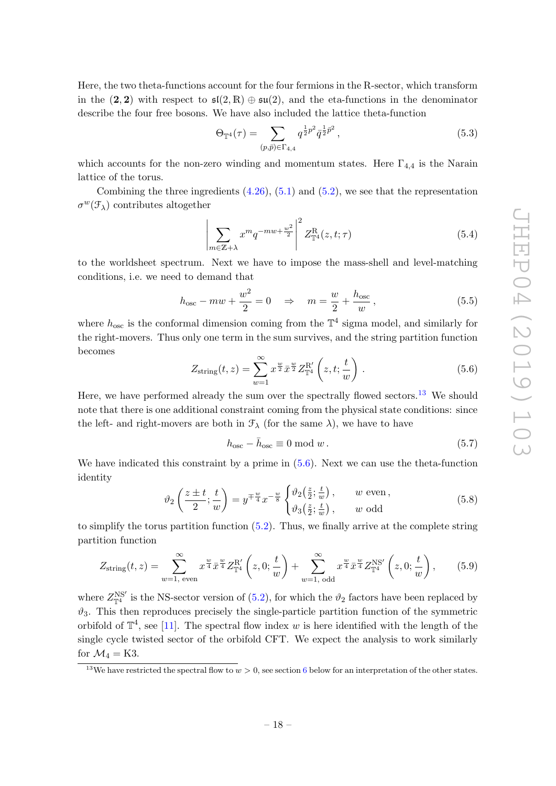Here, the two theta-functions account for the four fermions in the R-sector, which transform in the (2, 2) with respect to  $\mathfrak{sl}(2,\mathbb{R})\oplus \mathfrak{su}(2)$ , and the eta-functions in the denominator describe the four free bosons. We have also included the lattice theta-function

$$
\Theta_{\mathbb{T}^4}(\tau) = \sum_{(p,\bar{p}) \in \Gamma_{4,4}} q^{\frac{1}{2}p^2} \bar{q}^{\frac{1}{2}\bar{p}^2},\tag{5.3}
$$

which accounts for the non-zero winding and momentum states. Here  $\Gamma_{4,4}$  is the Narain lattice of the torus.

Combining the three ingredients  $(4.26)$ ,  $(5.1)$  and  $(5.2)$ , we see that the representation  $\sigma^w(\mathcal{F}_\lambda)$  contributes altogether

<span id="page-20-3"></span>
$$
\left| \sum_{m \in \mathbb{Z} + \lambda} x^m q^{-mw + \frac{w^2}{2}} \right|^2 Z^{\mathcal{R}}_{\mathbb{T}^4}(z, t; \tau) \tag{5.4}
$$

to the worldsheet spectrum. Next we have to impose the mass-shell and level-matching conditions, i.e. we need to demand that

<span id="page-20-2"></span>
$$
h_{\text{osc}} - mw + \frac{w^2}{2} = 0 \quad \Rightarrow \quad m = \frac{w}{2} + \frac{h_{\text{osc}}}{w},\tag{5.5}
$$

where  $h_{\text{osc}}$  is the conformal dimension coming from the  $\mathbb{T}^4$  sigma model, and similarly for the right-movers. Thus only one term in the sum survives, and the string partition function becomes

<span id="page-20-1"></span>
$$
Z_{\text{string}}(t,z) = \sum_{w=1}^{\infty} x^{\frac{w}{2}} \bar{x}^{\frac{w}{2}} Z_{\mathbb{T}^4}^{\mathbb{R}'} \left( z, t; \frac{t}{w} \right).
$$
 (5.6)

Here, we have performed already the sum over the spectrally flowed sectors.<sup>[13](#page-20-0)</sup> We should note that there is one additional constraint coming from the physical state conditions: since the left- and right-movers are both in  $\mathcal{F}_{\lambda}$  (for the same  $\lambda$ ), we have to have

$$
h_{\text{osc}} - \bar{h}_{\text{osc}} \equiv 0 \text{ mod } w. \tag{5.7}
$$

We have indicated this constraint by a prime in [\(5.6\)](#page-20-1). Next we can use the theta-function identity

$$
\vartheta_2\left(\frac{z\pm t}{2};\frac{t}{w}\right) = y^{\mp \frac{w}{4}} x^{-\frac{w}{8}} \begin{cases} \vartheta_2(\frac{z}{2};\frac{t}{w}) \,, & w \text{ even },\\ \vartheta_3(\frac{z}{2};\frac{t}{w}) \,, & w \text{ odd } \end{cases} \tag{5.8}
$$

to simplify the torus partition function [\(5.2\)](#page-19-6). Thus, we finally arrive at the complete string partition function

$$
Z_{\text{string}}(t,z) = \sum_{w=1, \text{ even}}^{\infty} x^{\frac{w}{4}} \overline{x}^{\frac{w}{4}} Z_{\mathbb{T}^4}^{\mathbb{R}'} \left( z, 0; \frac{t}{w} \right) + \sum_{w=1, \text{ odd}}^{\infty} x^{\frac{w}{4}} \overline{x}^{\frac{w}{4}} Z_{\mathbb{T}^4}^{\mathbb{NS}'} \left( z, 0; \frac{t}{w} \right), \quad (5.9)
$$

where  $Z_{\mathbb{T}^4}^{\text{NS}'}$  is the NS-sector version of [\(5.2\)](#page-19-6), for which the  $\vartheta_2$  factors have been replaced by  $\vartheta_3$ . This then reproduces precisely the single-particle partition function of the symmetric orbifold of  $\mathbb{T}^4$ , see [\[11\]](#page-45-10). The spectral flow index w is here identified with the length of the single cycle twisted sector of the orbifold CFT. We expect the analysis to work similarly for  $\mathcal{M}_4 =$  K3.

<span id="page-20-0"></span><sup>&</sup>lt;sup>13</sup>We have restricted the spectral flow to  $w > 0$ , see section [6](#page-22-1) below for an interpretation of the other states.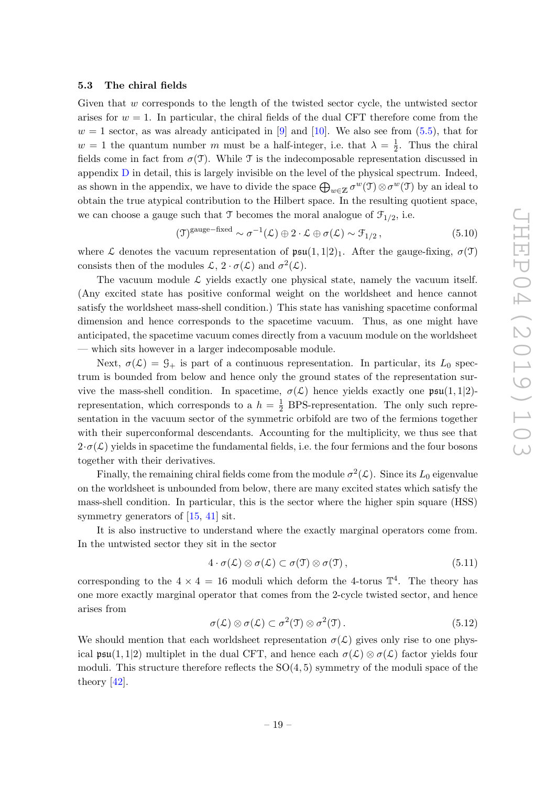#### <span id="page-21-0"></span>5.3 The chiral fields

Given that w corresponds to the length of the twisted sector cycle, the untwisted sector arises for  $w = 1$ . In particular, the chiral fields of the dual CFT therefore come from the  $w = 1$  sector, as was already anticipated in [\[9\]](#page-45-8) and [\[10\]](#page-45-9). We also see from  $(5.5)$ , that for  $w = 1$  the quantum number m must be a half-integer, i.e. that  $\lambda = \frac{1}{2}$  $\frac{1}{2}$ . Thus the chiral fields come in fact from  $\sigma(\mathfrak{T})$ . While  $\mathfrak{T}$  is the indecomposable representation discussed in appendix [D](#page-40-0) in detail, this is largely invisible on the level of the physical spectrum. Indeed, as shown in the appendix, we have to divide the space  $\bigoplus_{w\in\mathbb{Z}}\sigma^w(\mathfrak{I})\otimes\sigma^w(\mathfrak{I})$  by an ideal to obtain the true atypical contribution to the Hilbert space. In the resulting quotient space, we can choose a gauge such that  $\mathcal T$  becomes the moral analogue of  $\mathcal F_{1/2}$ , i.e.

<span id="page-21-1"></span>
$$
(\mathfrak{I})^{\text{gauge-fixed}} \sim \sigma^{-1}(\mathcal{L}) \oplus 2 \cdot \mathcal{L} \oplus \sigma(\mathcal{L}) \sim \mathfrak{F}_{1/2}, \qquad (5.10)
$$

where L denotes the vacuum representation of  $\mathfrak{psu}(1,1|2)_1$ . After the gauge-fixing,  $\sigma(\mathfrak{T})$ consists then of the modules  $\mathcal{L}, 2 \cdot \sigma(\mathcal{L})$  and  $\sigma^2(\mathcal{L})$ .

The vacuum module  $\mathcal{L}$  yields exactly one physical state, namely the vacuum itself. (Any excited state has positive conformal weight on the worldsheet and hence cannot satisfy the worldsheet mass-shell condition.) This state has vanishing spacetime conformal dimension and hence corresponds to the spacetime vacuum. Thus, as one might have anticipated, the spacetime vacuum comes directly from a vacuum module on the worldsheet — which sits however in a larger indecomposable module.

Next,  $\sigma(\mathcal{L}) = \mathcal{G}_+$  is part of a continuous representation. In particular, its  $L_0$  spectrum is bounded from below and hence only the ground states of the representation survive the mass-shell condition. In spacetime,  $\sigma(\mathcal{L})$  hence yields exactly one  $\mathfrak{psu}(1,1|2)$ representation, which corresponds to a  $h = \frac{1}{2}$  BPS-representation. The only such representation in the vacuum sector of the symmetric orbifold are two of the fermions together with their superconformal descendants. Accounting for the multiplicity, we thus see that  $2 \cdot \sigma(\mathcal{L})$  yields in spacetime the fundamental fields, i.e. the four fermions and the four bosons together with their derivatives.

Finally, the remaining chiral fields come from the module  $\sigma^2(\mathcal{L})$ . Since its  $L_0$  eigenvalue on the worldsheet is unbounded from below, there are many excited states which satisfy the mass-shell condition. In particular, this is the sector where the higher spin square (HSS) symmetry generators of [\[15,](#page-45-14) [41\]](#page-47-0) sit.

It is also instructive to understand where the exactly marginal operators come from. In the untwisted sector they sit in the sector

$$
4 \cdot \sigma(\mathcal{L}) \otimes \sigma(\mathcal{L}) \subset \sigma(\mathfrak{I}) \otimes \sigma(\mathfrak{I}), \qquad (5.11)
$$

corresponding to the  $4 \times 4 = 16$  moduli which deform the 4-torus  $\mathbb{T}^4$ . The theory has one more exactly marginal operator that comes from the 2-cycle twisted sector, and hence arises from

$$
\sigma(\mathcal{L}) \otimes \sigma(\mathcal{L}) \subset \sigma^2(\mathfrak{I}) \otimes \sigma^2(\mathfrak{I}). \tag{5.12}
$$

We should mention that each worldsheet representation  $\sigma(\mathcal{L})$  gives only rise to one physical  $\mathfrak{psu}(1,1|2)$  multiplet in the dual CFT, and hence each  $\sigma(\mathcal{L}) \otimes \sigma(\mathcal{L})$  factor yields four moduli. This structure therefore reflects the  $SO(4,5)$  symmetry of the moduli space of the theory [\[42\]](#page-47-1).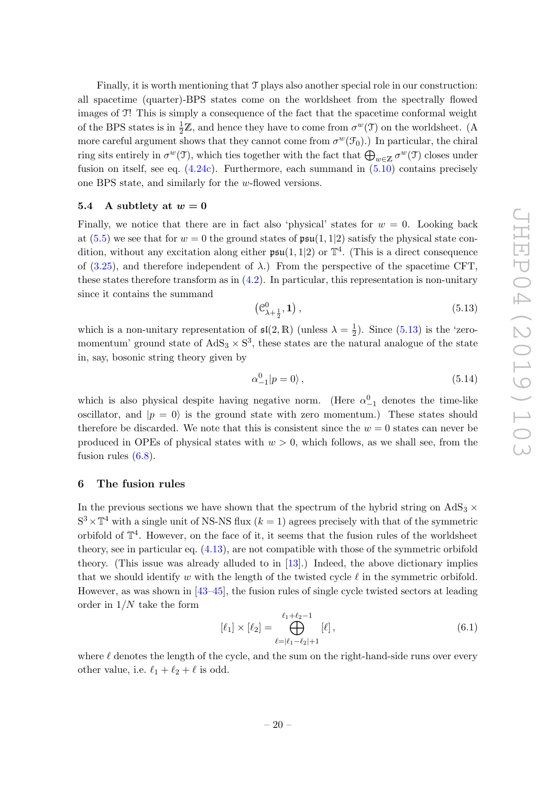Finally, it is worth mentioning that T plays also another special role in our construction: all spacetime (quarter)-BPS states come on the worldsheet from the spectrally flowed images of T! This is simply a consequence of the fact that the spacetime conformal weight of the BPS states is in  $\frac{1}{2}\mathbb{Z}$ , and hence they have to come from  $\sigma^w(\mathfrak{I})$  on the worldsheet. (A more careful argument shows that they cannot come from  $\sigma^w(\mathcal{F}_0)$ .) In particular, the chiral ring sits entirely in  $\sigma^w(\mathfrak{I})$ , which ties together with the fact that  $\bigoplus_{w\in\mathbb{Z}}\sigma^w(\mathfrak{I})$  closes under fusion on itself, see eq.  $(4.24c)$ . Furthermore, each summand in  $(5.10)$  contains precisely one BPS state, and similarly for the w-flowed versions.

#### <span id="page-22-0"></span>5.4 A subtlety at  $w = 0$

Finally, we notice that there are in fact also 'physical' states for  $w = 0$ . Looking back at [\(5.5\)](#page-20-2) we see that for  $w = 0$  the ground states of  $\mathfrak{psu}(1,1|2)$  satisfy the physical state condition, without any excitation along either  $\mathfrak{psu}(1,1|2)$  or  $\mathbb{T}^4$ . (This is a direct consequence of [\(3.25\)](#page-12-3), and therefore independent of  $\lambda$ .) From the perspective of the spacetime CFT, these states therefore transform as in  $(4.2)$ . In particular, this representation is non-unitary since it contains the summand

<span id="page-22-2"></span>
$$
\left(\mathcal{C}_{\lambda+\frac{1}{2}}^0,\mathbf{1}\right),\tag{5.13}
$$

which is a non-unitary representation of  $\mathfrak{sl}(2,\mathbb{R})$  (unless  $\lambda = \frac{1}{2}$ )  $\frac{1}{2}$ ). Since  $(5.13)$  is the 'zeromomentum' ground state of  $AdS_3 \times S^3$ , these states are the natural analogue of the state in, say, bosonic string theory given by

$$
\alpha_{-1}^0 |p=0\rangle \,,\tag{5.14}
$$

which is also physical despite having negative norm. (Here  $\alpha_{-1}^0$  denotes the time-like oscillator, and  $|p = 0\rangle$  is the ground state with zero momentum.) These states should therefore be discarded. We note that this is consistent since the  $w = 0$  states can never be produced in OPEs of physical states with  $w > 0$ , which follows, as we shall see, from the fusion rules [\(6.8\)](#page-25-1).

#### <span id="page-22-1"></span>6 The fusion rules

In the previous sections we have shown that the spectrum of the hybrid string on  $AdS_3 \times$  $S^3 \times \mathbb{T}^4$  with a single unit of NS-NS flux  $(k = 1)$  agrees precisely with that of the symmetric orbifold of  $\mathbb{T}^4$ . However, on the face of it, it seems that the fusion rules of the worldsheet theory, see in particular eq. [\(4.13\)](#page-15-5), are not compatible with those of the symmetric orbifold theory. (This issue was already alluded to in [\[13\]](#page-45-12).) Indeed, the above dictionary implies that we should identify w with the length of the twisted cycle  $\ell$  in the symmetric orbifold. However, as was shown in [\[43](#page-47-2)[–45\]](#page-47-3), the fusion rules of single cycle twisted sectors at leading order in  $1/N$  take the form

<span id="page-22-3"></span>
$$
[\ell_1] \times [\ell_2] = \bigoplus_{\ell = |\ell_1 - \ell_2| + 1}^{\ell_1 + \ell_2 - 1} [\ell], \tag{6.1}
$$

where  $\ell$  denotes the length of the cycle, and the sum on the right-hand-side runs over every other value, i.e.  $\ell_1 + \ell_2 + \ell$  is odd.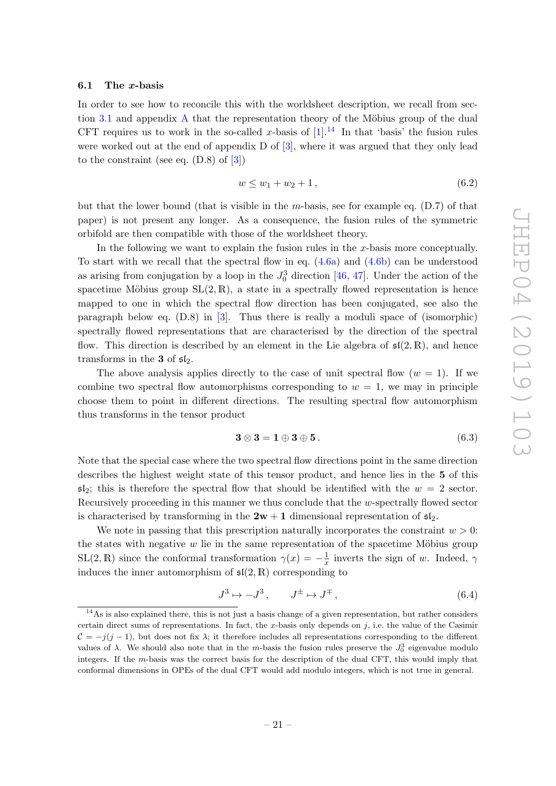#### <span id="page-23-0"></span>6.1 The x-basis

In order to see how to reconcile this with the worldsheet description, we recall from sec-tion [3.1](#page-8-0) and appendix [A](#page-27-0) that the representation theory of the Möbius group of the dual CFT requires us to work in the so-called x-basis of  $[1]$ .<sup>[14](#page-23-1)</sup> In that 'basis' the fusion rules were worked out at the end of appendix D of [\[3\]](#page-45-2), where it was argued that they only lead to the constraint (see eq. (D.8) of [\[3\]](#page-45-2))

<span id="page-23-2"></span>
$$
w \le w_1 + w_2 + 1, \tag{6.2}
$$

but that the lower bound (that is visible in the m-basis, see for example eq.  $(D.7)$  of that paper) is not present any longer. As a consequence, the fusion rules of the symmetric orbifold are then compatible with those of the worldsheet theory.

In the following we want to explain the fusion rules in the x-basis more conceptually. To start with we recall that the spectral flow in eq.  $(4.6a)$  and  $(4.6b)$  can be understood as arising from conjugation by a loop in the  $J_0^3$  direction [\[46,](#page-47-4) [47\]](#page-47-5). Under the action of the spacetime Möbius group  $SL(2, \mathbb{R})$ , a state in a spectrally flowed representation is hence mapped to one in which the spectral flow direction has been conjugated, see also the paragraph below eq. (D.8) in [\[3\]](#page-45-2). Thus there is really a moduli space of (isomorphic) spectrally flowed representations that are characterised by the direction of the spectral flow. This direction is described by an element in the Lie algebra of  $\mathfrak{sl}(2,\mathbb{R})$ , and hence transforms in the 3 of  $\mathfrak{sl}_2$ .

The above analysis applies directly to the case of unit spectral flow  $(w = 1)$ . If we combine two spectral flow automorphisms corresponding to  $w = 1$ , we may in principle choose them to point in different directions. The resulting spectral flow automorphism thus transforms in the tensor product

$$
3 \otimes 3 = 1 \oplus 3 \oplus 5. \tag{6.3}
$$

Note that the special case where the two spectral flow directions point in the same direction describes the highest weight state of this tensor product, and hence lies in the 5 of this  $\mathfrak{sl}_2$ ; this is therefore the spectral flow that should be identified with the  $w = 2$  sector. Recursively proceeding in this manner we thus conclude that the w-spectrally flowed sector is characterised by transforming in the  $2w + 1$  dimensional representation of  $\mathfrak{sl}_2$ .

We note in passing that this prescription naturally incorporates the constraint  $w > 0$ : the states with negative  $w$  lie in the same representation of the spacetime Möbius group  $SL(2,\mathbb{R})$  since the conformal transformation  $\gamma(x) = -\frac{1}{x}$  $\frac{1}{x}$  inverts the sign of w. Indeed,  $\gamma$ induces the inner automorphism of  $\mathfrak{sl}(2,\mathbb{R})$  corresponding to

$$
J^3 \mapsto -J^3, \qquad J^\pm \mapsto J^\mp,\tag{6.4}
$$

<span id="page-23-1"></span><sup>&</sup>lt;sup>14</sup>As is also explained there, this is not just a basis change of a given representation, but rather considers certain direct sums of representations. In fact, the x-basis only depends on j, i.e. the value of the Casimir  $C = -j(j-1)$ , but does not fix  $\lambda$ ; it therefore includes all representations corresponding to the different values of  $\lambda$ . We should also note that in the *m*-basis the fusion rules preserve the  $J_0^3$  eigenvalue modulo integers. If the m-basis was the correct basis for the description of the dual CFT, this would imply that conformal dimensions in OPEs of the dual CFT would add modulo integers, which is not true in general.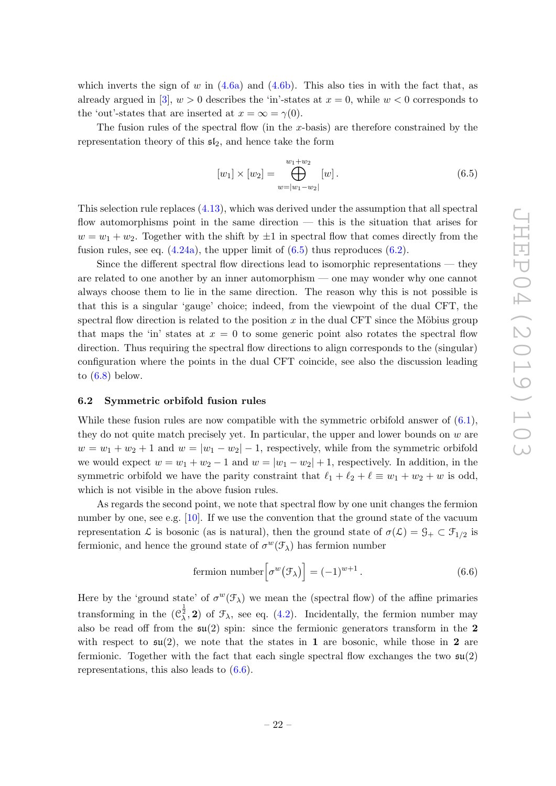which inverts the sign of w in  $(4.6a)$  and  $(4.6b)$ . This also ties in with the fact that, as already argued in [\[3\]](#page-45-2),  $w > 0$  describes the 'in'-states at  $x = 0$ , while  $w < 0$  corresponds to the 'out'-states that are inserted at  $x = \infty = \gamma(0)$ .

The fusion rules of the spectral flow (in the x-basis) are therefore constrained by the representation theory of this  $\mathfrak{sl}_2$ , and hence take the form

<span id="page-24-1"></span>
$$
[w_1] \times [w_2] = \bigoplus_{w=|w_1-w_2|}^{w_1+w_2} [w]. \tag{6.5}
$$

This selection rule replaces [\(4.13\)](#page-15-5), which was derived under the assumption that all spectral flow automorphisms point in the same direction — this is the situation that arises for  $w = w_1 + w_2$ . Together with the shift by  $\pm 1$  in spectral flow that comes directly from the fusion rules, see eq.  $(4.24a)$ , the upper limit of  $(6.5)$  thus reproduces  $(6.2)$ .

Since the different spectral flow directions lead to isomorphic representations — they are related to one another by an inner automorphism — one may wonder why one cannot always choose them to lie in the same direction. The reason why this is not possible is that this is a singular 'gauge' choice; indeed, from the viewpoint of the dual CFT, the spectral flow direction is related to the position x in the dual CFT since the Möbius group that maps the 'in' states at  $x = 0$  to some generic point also rotates the spectral flow direction. Thus requiring the spectral flow directions to align corresponds to the (singular) configuration where the points in the dual CFT coincide, see also the discussion leading to  $(6.8)$  below.

#### <span id="page-24-0"></span>6.2 Symmetric orbifold fusion rules

While these fusion rules are now compatible with the symmetric orbifold answer of  $(6.1)$ , they do not quite match precisely yet. In particular, the upper and lower bounds on  $w$  are  $w = w_1 + w_2 + 1$  and  $w = |w_1 - w_2| - 1$ , respectively, while from the symmetric orbifold we would expect  $w = w_1 + w_2 - 1$  and  $w = |w_1 - w_2| + 1$ , respectively. In addition, in the symmetric orbifold we have the parity constraint that  $\ell_1 + \ell_2 + \ell \equiv w_1 + w_2 + w$  is odd, which is not visible in the above fusion rules.

As regards the second point, we note that spectral flow by one unit changes the fermion number by one, see e.g. [\[10\]](#page-45-9). If we use the convention that the ground state of the vacuum representation  $\mathcal L$  is bosonic (as is natural), then the ground state of  $\sigma(\mathcal L) = \mathcal G_+ \subset \mathcal F_{1/2}$  is fermionic, and hence the ground state of  $\sigma^w(\mathcal{F}_\lambda)$  has fermion number

<span id="page-24-2"></span>fermion number 
$$
\left[\sigma^w(\mathcal{F}_\lambda)\right] = (-1)^{w+1}.
$$
 (6.6)

Here by the 'ground state' of  $\sigma^w(\mathcal{F}_\lambda)$  we mean the (spectral flow) of the affine primaries transforming in the  $(\mathcal{C}_{\lambda}^{\frac{1}{2}}, 2)$  of  $\mathcal{F}_{\lambda}$ , see eq. [\(4.2\)](#page-13-3). Incidentally, the fermion number may also be read off from the  $\mathfrak{su}(2)$  spin: since the fermionic generators transform in the 2 with respect to  $\mathfrak{su}(2)$ , we note that the states in 1 are bosonic, while those in 2 are fermionic. Together with the fact that each single spectral flow exchanges the two  $\mathfrak{su}(2)$ representations, this also leads to [\(6.6\)](#page-24-2).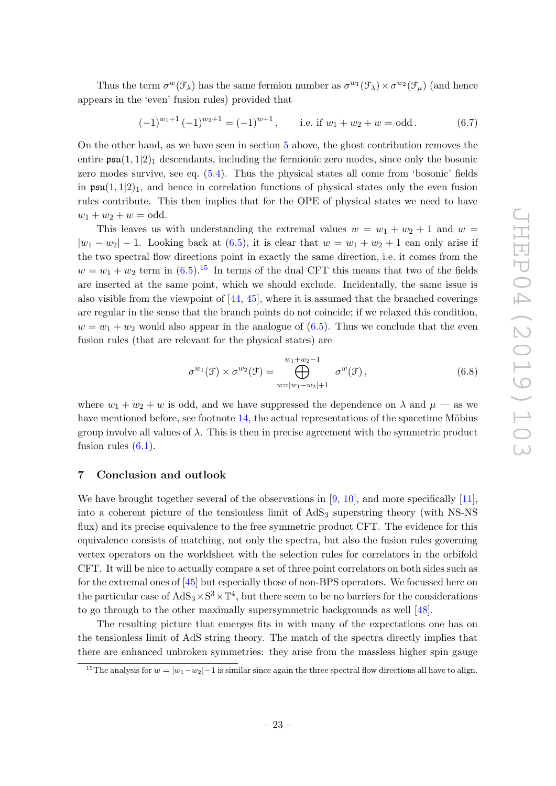Thus the term  $\sigma^w(\mathcal{F}_\lambda)$  has the same fermion number as  $\sigma^{w_1}(\mathcal{F}_\lambda)\times \sigma^{w_2}(\mathcal{F}_\mu)$  (and hence appears in the 'even' fusion rules) provided that

$$
(-1)^{w_1+1}(-1)^{w_2+1} = (-1)^{w+1}, \qquad \text{i.e. if } w_1 + w_2 + w = \text{odd}.
$$
 (6.7)

On the other hand, as we have seen in section [5](#page-19-0) above, the ghost contribution removes the entire  $\mathfrak{psu}(1,1|2)_1$  descendants, including the fermionic zero modes, since only the bosonic zero modes survive, see eq. [\(5.4\)](#page-20-3). Thus the physical states all come from 'bosonic' fields in  $\mathfrak{psu}(1,1|2)_1$ , and hence in correlation functions of physical states only the even fusion rules contribute. This then implies that for the OPE of physical states we need to have  $w_1 + w_2 + w = \text{odd}.$ 

This leaves us with understanding the extremal values  $w = w_1 + w_2 + 1$  and  $w =$  $|w_1 - w_2| - 1$ . Looking back at [\(6.5\)](#page-24-1), it is clear that  $w = w_1 + w_2 + 1$  can only arise if the two spectral flow directions point in exactly the same direction, i.e. it comes from the  $w = w_1 + w_2$  term in  $(6.5)^{15}$  $(6.5)^{15}$  $(6.5)^{15}$  In terms of the dual CFT this means that two of the fields are inserted at the same point, which we should exclude. Incidentally, the same issue is also visible from the viewpoint of [\[44,](#page-47-6) [45\]](#page-47-3), where it is assumed that the branched coverings are regular in the sense that the branch points do not coincide; if we relaxed this condition,  $w = w_1 + w_2$  would also appear in the analogue of [\(6.5\)](#page-24-1). Thus we conclude that the even fusion rules (that are relevant for the physical states) are

<span id="page-25-1"></span>
$$
\sigma^{w_1}(\mathcal{F}) \times \sigma^{w_2}(\mathcal{F}) = \bigoplus_{w=|w_1-w_2|+1}^{w_1+w_2-1} \sigma^w(\mathcal{F}), \qquad (6.8)
$$

where  $w_1 + w_2 + w$  is odd, and we have suppressed the dependence on  $\lambda$  and  $\mu$  — as we have mentioned before, see footnote  $14$ , the actual representations of the spacetime Möbius group involve all values of  $\lambda$ . This is then in precise agreement with the symmetric product fusion rules  $(6.1)$ .

# <span id="page-25-0"></span>7 Conclusion and outlook

We have brought together several of the observations in [\[9,](#page-45-8) [10\]](#page-45-9), and more specifically [\[11\]](#page-45-10), into a coherent picture of the tensionless limit of  $AdS_3$  superstring theory (with NS-NS flux) and its precise equivalence to the free symmetric product CFT. The evidence for this equivalence consists of matching, not only the spectra, but also the fusion rules governing vertex operators on the worldsheet with the selection rules for correlators in the orbifold CFT. It will be nice to actually compare a set of three point correlators on both sides such as for the extremal ones of [\[45\]](#page-47-3) but especially those of non-BPS operators. We focussed here on the particular case of  $AdS_3 \times S^3 \times T^4$ , but there seem to be no barriers for the considerations to go through to the other maximally supersymmetric backgrounds as well [\[48\]](#page-47-7).

The resulting picture that emerges fits in with many of the expectations one has on the tensionless limit of AdS string theory. The match of the spectra directly implies that there are enhanced unbroken symmetries: they arise from the massless higher spin gauge

<span id="page-25-2"></span><sup>&</sup>lt;sup>15</sup>The analysis for  $w = |w_1 - w_2| - 1$  is similar since again the three spectral flow directions all have to align.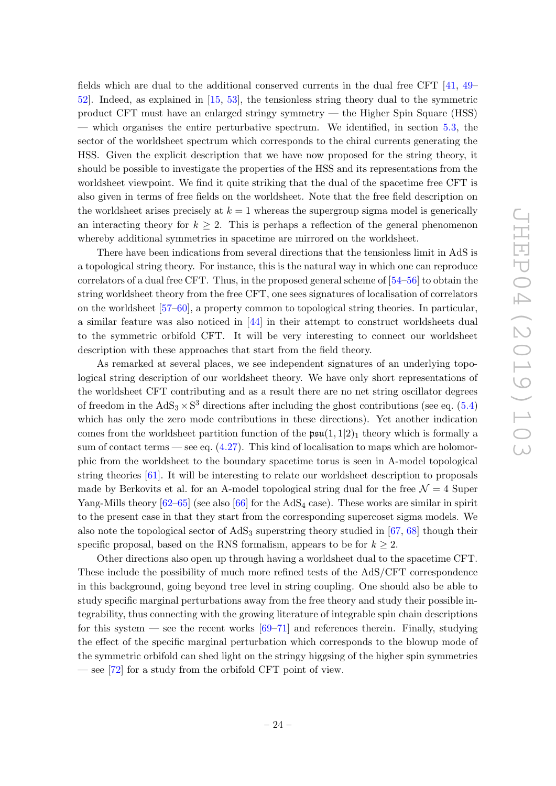fields which are dual to the additional conserved currents in the dual free CFT [\[41,](#page-47-0) [49–](#page-47-8) [52\]](#page-47-9). Indeed, as explained in [\[15,](#page-45-14) [53\]](#page-47-10), the tensionless string theory dual to the symmetric product CFT must have an enlarged stringy symmetry — the Higher Spin Square (HSS) — which organises the entire perturbative spectrum. We identified, in section [5.3,](#page-21-0) the sector of the worldsheet spectrum which corresponds to the chiral currents generating the HSS. Given the explicit description that we have now proposed for the string theory, it should be possible to investigate the properties of the HSS and its representations from the worldsheet viewpoint. We find it quite striking that the dual of the spacetime free CFT is also given in terms of free fields on the worldsheet. Note that the free field description on the worldsheet arises precisely at  $k = 1$  whereas the supergroup sigma model is generically an interacting theory for  $k \geq 2$ . This is perhaps a reflection of the general phenomenon whereby additional symmetries in spacetime are mirrored on the worldsheet.

There have been indications from several directions that the tensionless limit in AdS is a topological string theory. For instance, this is the natural way in which one can reproduce correlators of a dual free CFT. Thus, in the proposed general scheme of [\[54–](#page-47-11)[56\]](#page-47-12) to obtain the string worldsheet theory from the free CFT, one sees signatures of localisation of correlators on the worldsheet [\[57–](#page-47-13)[60\]](#page-47-14), a property common to topological string theories. In particular, a similar feature was also noticed in [\[44\]](#page-47-6) in their attempt to construct worldsheets dual to the symmetric orbifold CFT. It will be very interesting to connect our worldsheet description with these approaches that start from the field theory.

As remarked at several places, we see independent signatures of an underlying topological string description of our worldsheet theory. We have only short representations of the worldsheet CFT contributing and as a result there are no net string oscillator degrees of freedom in the  $AdS_3 \times S^3$  directions after including the ghost contributions (see eq. [\(5.4\)](#page-20-3) which has only the zero mode contributions in these directions). Yet another indication comes from the worldsheet partition function of the  $\mathfrak{psu}(1,1|2)_1$  theory which is formally a sum of contact terms — see eq.  $(4.27)$ . This kind of localisation to maps which are holomorphic from the worldsheet to the boundary spacetime torus is seen in A-model topological string theories [\[61\]](#page-47-15). It will be interesting to relate our worldsheet description to proposals made by Berkovits et al. for an A-model topological string dual for the free  $\mathcal{N}=4$  Super Yang-Mills theory  $[62-65]$  (see also  $[66]$  for the AdS<sub>4</sub> case). These works are similar in spirit to the present case in that they start from the corresponding supercoset sigma models. We also note the topological sector of  $AdS_3$  superstring theory studied in [\[67,](#page-48-3) [68\]](#page-48-4) though their specific proposal, based on the RNS formalism, appears to be for  $k \geq 2$ .

Other directions also open up through having a worldsheet dual to the spacetime CFT. These include the possibility of much more refined tests of the AdS/CFT correspondence in this background, going beyond tree level in string coupling. One should also be able to study specific marginal perturbations away from the free theory and study their possible integrability, thus connecting with the growing literature of integrable spin chain descriptions for this system — see the recent works  $[69-71]$  $[69-71]$  and references therein. Finally, studying the effect of the specific marginal perturbation which corresponds to the blowup mode of the symmetric orbifold can shed light on the stringy higgsing of the higher spin symmetries — see [\[72\]](#page-48-7) for a study from the orbifold CFT point of view.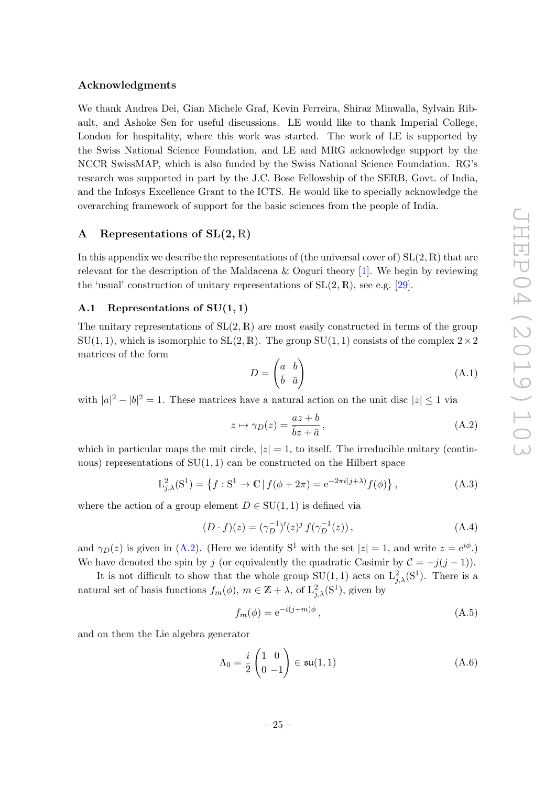#### Acknowledgments

We thank Andrea Dei, Gian Michele Graf, Kevin Ferreira, Shiraz Minwalla, Sylvain Ribault, and Ashoke Sen for useful discussions. LE would like to thank Imperial College, London for hospitality, where this work was started. The work of LE is supported by the Swiss National Science Foundation, and LE and MRG acknowledge support by the NCCR SwissMAP, which is also funded by the Swiss National Science Foundation. RG's research was supported in part by the J.C. Bose Fellowship of the SERB, Govt. of India, and the Infosys Excellence Grant to the ICTS. He would like to specially acknowledge the overarching framework of support for the basic sciences from the people of India.

# <span id="page-27-0"></span>A Representations of  $SL(2,\mathbb{R})$

In this appendix we describe the representations of (the universal cover of)  $SL(2,\mathbb{R})$  that are relevant for the description of the Maldacena & Ooguri theory [\[1\]](#page-45-0). We begin by reviewing the 'usual' construction of unitary representations of  $SL(2, \mathbb{R})$ , see e.g. [\[29\]](#page-46-7).

#### <span id="page-27-1"></span>A.1 Representations of  $SU(1,1)$

The unitary representations of  $SL(2,\mathbb{R})$  are most easily constructed in terms of the group  $SU(1, 1)$ , which is isomorphic to  $SL(2, \mathbb{R})$ . The group  $SU(1, 1)$  consists of the complex  $2 \times 2$ matrices of the form

$$
D = \begin{pmatrix} a & b \\ \bar{b} & \bar{a} \end{pmatrix}
$$
 (A.1)

with  $|a|^2 - |b|^2 = 1$ . These matrices have a natural action on the unit disc  $|z| \leq 1$  via

<span id="page-27-2"></span>
$$
z \mapsto \gamma_D(z) = \frac{az + b}{\overline{b}z + \overline{a}},\tag{A.2}
$$

which in particular maps the unit circle,  $|z|=1$ , to itself. The irreducible unitary (continuous) representations of  $SU(1,1)$  can be constructed on the Hilbert space

$$
L_{j,\lambda}^{2}(S^{1}) = \left\{ f : S^{1} \to \mathbb{C} \, | \, f(\phi + 2\pi) = e^{-2\pi i(j+\lambda)} f(\phi) \right\},\tag{A.3}
$$

where the action of a group element  $D \in SU(1,1)$  is defined via

$$
(D \cdot f)(z) = (\gamma_D^{-1})'(z)^j f(\gamma_D^{-1}(z)), \qquad (A.4)
$$

and  $\gamma_D(z)$  is given in [\(A.2\)](#page-27-2). (Here we identify S<sup>1</sup> with the set  $|z|=1$ , and write  $z=e^{i\phi}$ .) We have denoted the spin by j (or equivalently the quadratic Casimir by  $\mathcal{C} = -j(j-1)$ ).

It is not difficult to show that the whole group  $SU(1,1)$  acts on  $L^2_{j,\lambda}(S^1)$ . There is a natural set of basis functions  $f_m(\phi)$ ,  $m \in \mathbb{Z} + \lambda$ , of  $\mathcal{L}^2_{j,\lambda}(\mathbb{S}^1)$ , given by

$$
f_m(\phi) = e^{-i(j+m)\phi},\tag{A.5}
$$

and on them the Lie algebra generator

$$
\Lambda_0 = \frac{i}{2} \begin{pmatrix} 1 & 0 \\ 0 & -1 \end{pmatrix} \in \mathfrak{su}(1,1) \tag{A.6}
$$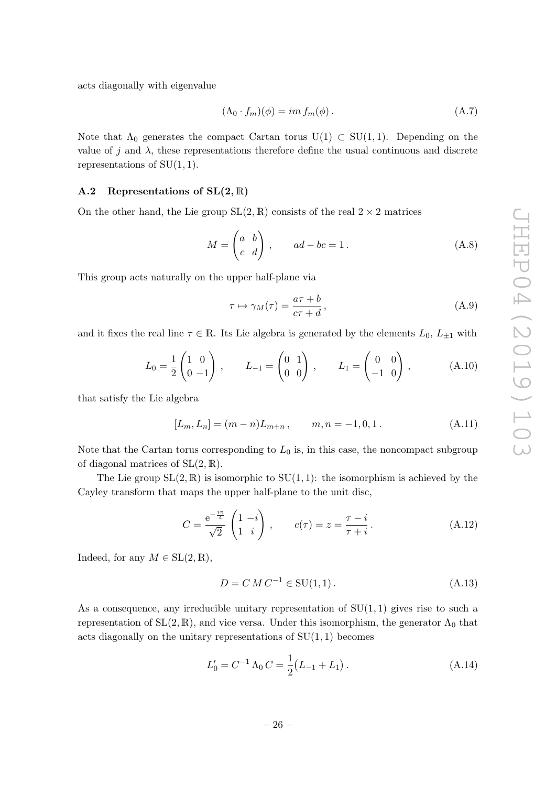acts diagonally with eigenvalue

$$
(\Lambda_0 \cdot f_m)(\phi) = im f_m(\phi). \tag{A.7}
$$

Note that  $\Lambda_0$  generates the compact Cartan torus  $U(1) \subset SU(1, 1)$ . Depending on the value of j and  $\lambda$ , these representations therefore define the usual continuous and discrete representations of  $SU(1,1)$ .

#### <span id="page-28-0"></span>A.2 Representations of  $SL(2,\mathbb{R})$

On the other hand, the Lie group  $SL(2, \mathbb{R})$  consists of the real  $2 \times 2$  matrices

$$
M = \begin{pmatrix} a & b \\ c & d \end{pmatrix}, \qquad ad - bc = 1.
$$
 (A.8)

This group acts naturally on the upper half-plane via

$$
\tau \mapsto \gamma_M(\tau) = \frac{a\tau + b}{c\tau + d},\tag{A.9}
$$

and it fixes the real line  $\tau \in \mathbb{R}$ . Its Lie algebra is generated by the elements  $L_0, L_{\pm 1}$  with

$$
L_0 = \frac{1}{2} \begin{pmatrix} 1 & 0 \\ 0 & -1 \end{pmatrix}, \qquad L_{-1} = \begin{pmatrix} 0 & 1 \\ 0 & 0 \end{pmatrix}, \qquad L_1 = \begin{pmatrix} 0 & 0 \\ -1 & 0 \end{pmatrix}, \tag{A.10}
$$

that satisfy the Lie algebra

$$
[L_m, L_n] = (m - n)L_{m+n}, \qquad m, n = -1, 0, 1.
$$
 (A.11)

Note that the Cartan torus corresponding to  $L_0$  is, in this case, the noncompact subgroup of diagonal matrices of  $SL(2, \mathbb{R})$ .

The Lie group  $SL(2,\mathbb{R})$  is isomorphic to  $SU(1,1)$ : the isomorphism is achieved by the Cayley transform that maps the upper half-plane to the unit disc,

$$
C = \frac{e^{-\frac{i\pi}{4}}}{\sqrt{2}} \begin{pmatrix} 1 & -i \\ 1 & i \end{pmatrix}, \qquad c(\tau) = z = \frac{\tau - i}{\tau + i}.
$$
 (A.12)

Indeed, for any  $M \in SL(2, \mathbb{R}),$ 

$$
D = C M C^{-1} \in SU(1, 1).
$$
\n(A.13)

As a consequence, any irreducible unitary representation of  $SU(1,1)$  gives rise to such a representation of  $SL(2, \mathbb{R})$ , and vice versa. Under this isomorphism, the generator  $\Lambda_0$  that acts diagonally on the unitary representations of  $SU(1, 1)$  becomes

$$
L'_0 = C^{-1} \Lambda_0 C = \frac{1}{2} (L_{-1} + L_1).
$$
 (A.14)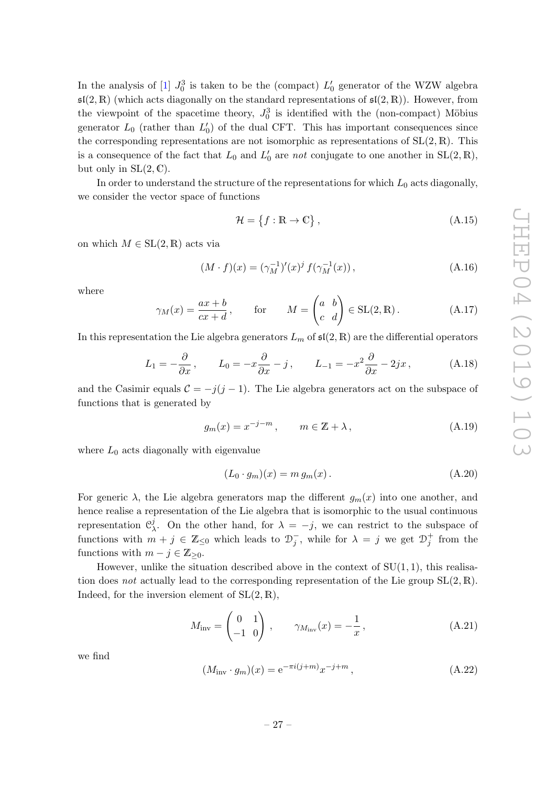In the analysis of [\[1\]](#page-45-0)  $J_0^3$  is taken to be the (compact)  $L'_0$  generator of the WZW algebra  $\mathfrak{sl}(2,\mathbb{R})$  (which acts diagonally on the standard representations of  $\mathfrak{sl}(2,\mathbb{R})$ ). However, from the viewpoint of the spacetime theory,  $J_0^3$  is identified with the (non-compact) Möbius generator  $L_0$  (rather than  $L'_0$ ) of the dual CFT. This has important consequences since the corresponding representations are not isomorphic as representations of  $SL(2,\mathbb{R})$ . This is a consequence of the fact that  $L_0$  and  $L'_0$  are not conjugate to one another in  $SL(2, \mathbb{R})$ , but only in  $SL(2, \mathbb{C})$ .

In order to understand the structure of the representations for which  $L_0$  acts diagonally, we consider the vector space of functions

<span id="page-29-0"></span>
$$
\mathcal{H} = \{f : \mathbb{R} \to \mathbb{C}\},\tag{A.15}
$$

on which  $M \in SL(2,\mathbb{R})$  acts via

<span id="page-29-1"></span>
$$
(M \cdot f)(x) = (\gamma_M^{-1})'(x)^j f(\gamma_M^{-1}(x)), \qquad (A.16)
$$

where

$$
\gamma_M(x) = \frac{ax+b}{cx+d}, \qquad \text{for} \qquad M = \begin{pmatrix} a & b \\ c & d \end{pmatrix} \in SL(2, \mathbb{R}). \tag{A.17}
$$

In this representation the Lie algebra generators  $L_m$  of  $\mathfrak{sl}(2,\mathbb{R})$  are the differential operators

$$
L_1 = -\frac{\partial}{\partial x}, \qquad L_0 = -x\frac{\partial}{\partial x} - j, \qquad L_{-1} = -x^2\frac{\partial}{\partial x} - 2jx, \tag{A.18}
$$

and the Casimir equals  $C = -j(j-1)$ . The Lie algebra generators act on the subspace of functions that is generated by

$$
g_m(x) = x^{-j-m}, \qquad m \in \mathbb{Z} + \lambda,
$$
\n(A.19)

where  $L_0$  acts diagonally with eigenvalue

$$
(L_0 \cdot g_m)(x) = m g_m(x). \tag{A.20}
$$

For generic  $\lambda$ , the Lie algebra generators map the different  $g_m(x)$  into one another, and hence realise a representation of the Lie algebra that is isomorphic to the usual continuous representation  $\mathfrak{C}_1^j$ <sup>*j*</sup>. On the other hand, for  $λ = -j$ , we can restrict to the subspace of functions with  $m + j \in \mathbb{Z}_{\leq 0}$  which leads to  $\mathcal{D}_j^-$ , while for  $\lambda = j$  we get  $\mathcal{D}_j^+$  from the functions with  $m - j \in \mathbb{Z}_{\geq 0}$ .

However, unlike the situation described above in the context of  $SU(1,1)$ , this realisation does not actually lead to the corresponding representation of the Lie group  $SL(2, \mathbb{R})$ . Indeed, for the inversion element of  $SL(2, \mathbb{R}),$ 

$$
M_{\text{inv}} = \begin{pmatrix} 0 & 1 \\ -1 & 0 \end{pmatrix}, \qquad \gamma_{M_{\text{inv}}}(x) = -\frac{1}{x}, \qquad (A.21)
$$

we find

$$
(M_{\text{inv}} \cdot g_m)(x) = e^{-\pi i (j+m)} x^{-j+m}, \qquad (A.22)
$$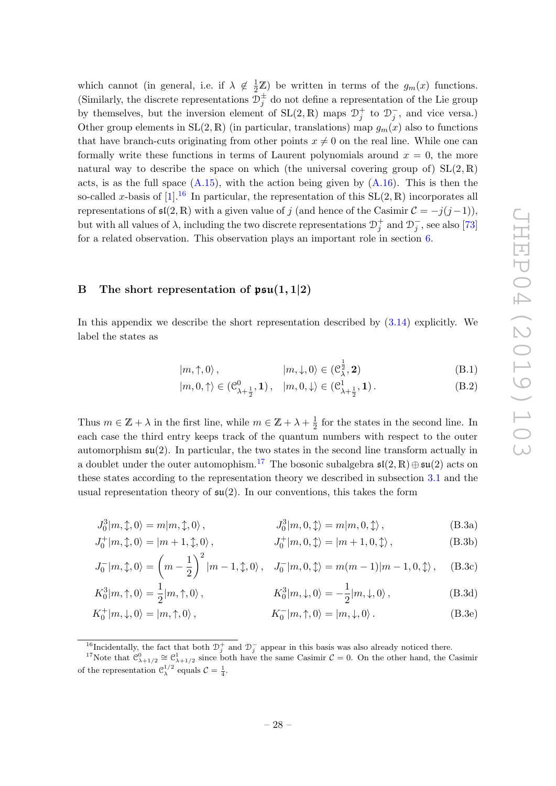which cannot (in general, i.e. if  $\lambda \notin \frac{1}{2}\mathbb{Z}$ ) be written in terms of the  $g_m(x)$  functions. (Similarly, the discrete representations  $\mathcal{D}_{j}^{\pm}$  do not define a representation of the Lie group by themselves, but the inversion element of  $SL(2, \mathbb{R})$  maps  $\mathcal{D}_j^+$  to  $\mathcal{D}_j^-$ , and vice versa.) Other group elements in  $SL(2, \mathbb{R})$  (in particular, translations) map  $g_m(x)$  also to functions that have branch-cuts originating from other points  $x \neq 0$  on the real line. While one can formally write these functions in terms of Laurent polynomials around  $x = 0$ , the more natural way to describe the space on which (the universal covering group of)  $SL(2,\mathbb{R})$ acts, is as the full space  $(A.15)$ , with the action being given by  $(A.16)$ . This is then the so-called x-basis of [\[1\]](#page-45-0).<sup>[16](#page-30-1)</sup> In particular, the representation of this  $SL(2, \mathbb{R})$  incorporates all representations of  $\mathfrak{sl}(2,\mathbb{R})$  with a given value of j (and hence of the Casimir  $\mathcal{C} = -j(j-1)$ ), but with all values of  $\lambda$ , including the two discrete representations  $\mathcal{D}_j^+$  and  $\mathcal{D}_j^-$ , see also [\[73\]](#page-48-8) for a related observation. This observation plays an important role in section [6.](#page-22-1)

# <span id="page-30-0"></span>B The short representation of  $\mathfrak{psu}(1,1|2)$

In this appendix we describe the short representation described by [\(3.14\)](#page-10-4) explicitly. We label the states as

$$
|m, \uparrow, 0\rangle, \qquad |m, \downarrow, 0\rangle \in (\mathcal{C}_{\lambda}^{\frac{1}{2}}, \mathbf{2}) \tag{B.1}
$$

$$
|m,0,\uparrow\rangle \in (\mathcal{C}^0_{\lambda+\frac{1}{2}},1), \quad |m,0,\downarrow\rangle \in (\mathcal{C}^1_{\lambda+\frac{1}{2}},1). \tag{B.2}
$$

Thus  $m \in \mathbb{Z} + \lambda$  in the first line, while  $m \in \mathbb{Z} + \lambda + \frac{1}{2}$  $\frac{1}{2}$  for the states in the second line. In each case the third entry keeps track of the quantum numbers with respect to the outer automorphism  $\mathfrak{su}(2)$ . In particular, the two states in the second line transform actually in a doublet under the outer automophism.<sup>[17](#page-30-2)</sup> The bosonic subalgebra  $\mathfrak{sl}(2,\mathbb{R})\oplus \mathfrak{su}(2)$  acts on these states according to the representation theory we described in subsection [3.1](#page-8-0) and the usual representation theory of  $\mathfrak{su}(2)$ . In our conventions, this takes the form

$$
J_0^3|m,\updownarrow,0\rangle = m|m,\updownarrow,0\rangle, \qquad J_0^3|m,0,\updownarrow\rangle = m|m,0,\downarrow\rangle, \qquad (B.3a)
$$

$$
J_0^+|m,\updownarrow,0\rangle=|m+1,\updownarrow,0\rangle\,,\qquad\qquad\qquad J_0^+|m,0,\updownarrow\rangle=|m+1,0,\updownarrow\rangle\,,\qquad\qquad\qquad\text{(B.3b)}
$$

$$
J_0^-|m,\updownarrow,0\rangle = \left(m - \frac{1}{2}\right)^2 |m-1,\updownarrow,0\rangle, \quad J_0^-|m,0,\updownarrow\rangle = m(m-1)|m-1,0,\updownarrow\rangle, \quad \text{(B.3c)}
$$

$$
K_0^3|m,\uparrow,0\rangle = \frac{1}{2}|m,\uparrow,0\rangle\,,\qquad\qquad K_0^3|m,\downarrow,0\rangle = -\frac{1}{2}|m,\downarrow,0\rangle\,,\tag{B.3d}
$$

$$
K_0^+|m,\downarrow,0\rangle = |m,\uparrow,0\rangle, \qquad K_0^-|m,\uparrow,0\rangle = |m,\downarrow,0\rangle. \tag{B.3e}
$$

<span id="page-30-2"></span><span id="page-30-1"></span><sup>&</sup>lt;sup>16</sup>Incidentally, the fact that both  $\mathcal{D}_j^+$  and  $\mathcal{D}_j^-$  appear in this basis was also already noticed there.

<sup>&</sup>lt;sup>17</sup>Note that  $\mathcal{C}^0_{\lambda+1/2} \cong \mathcal{C}^1_{\lambda+1/2}$  since both have the same Casimir  $\mathcal{C} = 0$ . On the other hand, the Casimir of the representation  $\mathcal{C}_{\lambda}^{1/2}$  equals  $\mathcal{C} = \frac{1}{4}$ .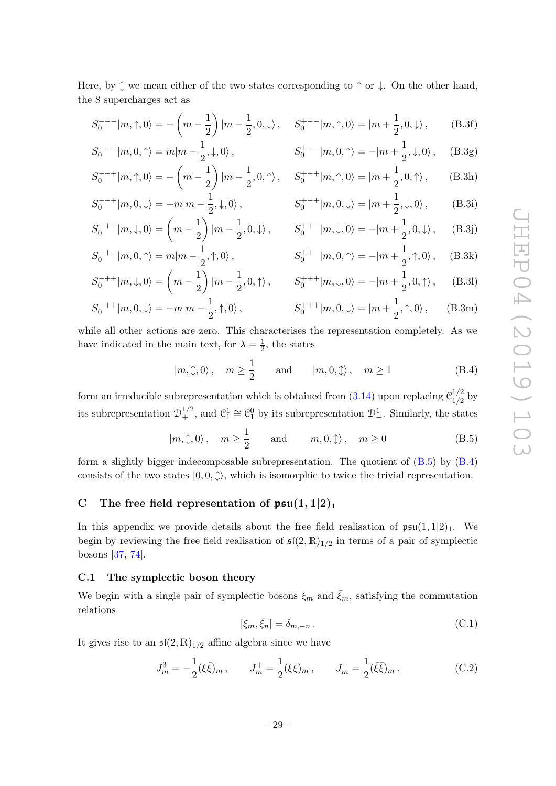Here, by  $\uparrow$  we mean either of the two states corresponding to  $\uparrow$  or  $\downarrow$ . On the other hand, the 8 supercharges act as

$$
S_0^{---}|m,\uparrow,0\rangle = -\left(m-\frac{1}{2}\right)|m-\frac{1}{2},0,\downarrow\rangle, \quad S_0^{+---}|m,\uparrow,0\rangle = |m+\frac{1}{2},0,\downarrow\rangle, \quad (B.3f)
$$

$$
S_0^{---}|m,0,\uparrow\rangle = m|m - \frac{1}{2},\downarrow,0\rangle, \qquad S_0^{+--}|m,0,\uparrow\rangle = -|m + \frac{1}{2},\downarrow,0\rangle, \quad (B.3g)
$$

$$
S_0^{-++}|m,\uparrow,0\rangle = -\left(m - \frac{1}{2}\right)|m - \frac{1}{2},0,\uparrow\rangle, \quad S_0^{+-+}|m,\uparrow,0\rangle = |m + \frac{1}{2},0,\uparrow\rangle, \quad \text{(B.3h)}
$$
  

$$
S_0^{--+}|m,\uparrow,0\rangle = |m + \frac{1}{2},0,\uparrow\rangle, \quad \text{(B.3h)}
$$

$$
S_0^{-++}|m,0,\downarrow\rangle = -m|m - \frac{1}{2},\downarrow,0\rangle, \qquad S_0^{+-+}|m,0,\downarrow\rangle = |m + \frac{1}{2},\downarrow,0\rangle, \qquad (B.3i)
$$
  

$$
S_0^{-+-}|m,\downarrow,0\rangle = \left(m - \frac{1}{2}\right)|m - \frac{1}{2},0,\downarrow\rangle, \qquad S_0^{++-}|m,\downarrow,0\rangle = -|m + \frac{1}{2},0,\downarrow\rangle, \qquad (B.3j)
$$

$$
S_0^{-+-}|m,\downarrow,0\rangle = \left(m - \frac{1}{2}\right)|m - \frac{1}{2},0,\downarrow\rangle, \qquad S_0^{++-}|m,\downarrow,0\rangle = -|m + \frac{1}{2},0,\downarrow\rangle, \qquad (B.3j)
$$
  

$$
S_0^{-+-}|m,0,\uparrow\rangle = m|m - \frac{1}{2},\uparrow,0\rangle, \qquad S_0^{++-}|m,0,\uparrow\rangle = -|m + \frac{1}{2},\uparrow,0\rangle, \qquad (B.3k)
$$

$$
S_0^{-+-}|m,0,\uparrow\rangle = m|m - \frac{1}{2},\uparrow,0\rangle, \qquad S_0^{++-}|m,0,\uparrow\rangle = -|m + \frac{1}{2},\uparrow,0\rangle, \quad \text{(B.3k)}
$$

$$
S_0^{-++}|m,\downarrow,0\rangle = \left(m - \frac{1}{2}\right)|m - \frac{1}{2},0,\uparrow\rangle, \qquad S_0^{+++}|m,\downarrow,0\rangle = -|m + \frac{1}{2},0,\uparrow\rangle, \qquad \text{(B.31)}
$$

$$
S_0^{-++}|m,0,\downarrow\rangle = -m|m-\frac{1}{2},\uparrow,0\rangle, \qquad S_0^{+++}|m,0,\downarrow\rangle = |m+\frac{1}{2},\uparrow,0\rangle, \qquad (B.3m)
$$

while all other actions are zero. This characterises the representation completely. As we have indicated in the main text, for  $\lambda = \frac{1}{2}$  $\frac{1}{2}$ , the states

<span id="page-31-3"></span>
$$
|m, \updownarrow, 0\rangle
$$
,  $m \ge \frac{1}{2}$  and  $|m, 0, \updownarrow\rangle$ ,  $m \ge 1$  (B.4)

form an irreducible subrepresentation which is obtained from [\(3.14\)](#page-10-4) upon replacing  $\mathcal{C}_{1/2}^{1/2}$  $\frac{1}{2}$  by its subrepresentation  $\mathcal{D}_{+}^{1/2}$ , and  $\mathcal{C}_{1}^{1} \cong \mathcal{C}_{1}^{0}$  by its subrepresentation  $\mathcal{D}_{+}^{1}$ . Similarly, the states

<span id="page-31-2"></span>
$$
|m, \updownarrow, 0\rangle
$$
,  $m \ge \frac{1}{2}$  and  $|m, 0, \updownarrow\rangle$ ,  $m \ge 0$  (B.5)

form a slightly bigger indecomposable subrepresentation. The quotient of  $(B.5)$  by  $(B.4)$ consists of the two states  $|0, 0, \updownarrow\rangle$ , which is isomorphic to twice the trivial representation.

# <span id="page-31-0"></span>C The free field representation of  $\mathfrak{psu}(1,1|2)_1$

In this appendix we provide details about the free field realisation of  $\mathfrak{psu}(1,1|2)_1$ . We begin by reviewing the free field realisation of  $\mathfrak{sl}(2,\mathbb{R})_{1/2}$  in terms of a pair of symplectic bosons [\[37,](#page-46-16) [74\]](#page-48-9).

## <span id="page-31-1"></span>C.1 The symplectic boson theory

We begin with a single pair of symplectic bosons  $\xi_m$  and  $\bar{\xi}_m$ , satisfying the commutation relations

$$
[\xi_m, \bar{\xi}_n] = \delta_{m,-n} . \tag{C.1}
$$

It gives rise to an  $\mathfrak{sl}(2,\mathbb{R})_{1/2}$  affine algebra since we have

$$
J_m^3 = -\frac{1}{2} (\xi \bar{\xi})_m, \qquad J_m^+ = \frac{1}{2} (\xi \xi)_m, \qquad J_m^- = \frac{1}{2} (\bar{\xi} \bar{\xi})_m.
$$
 (C.2)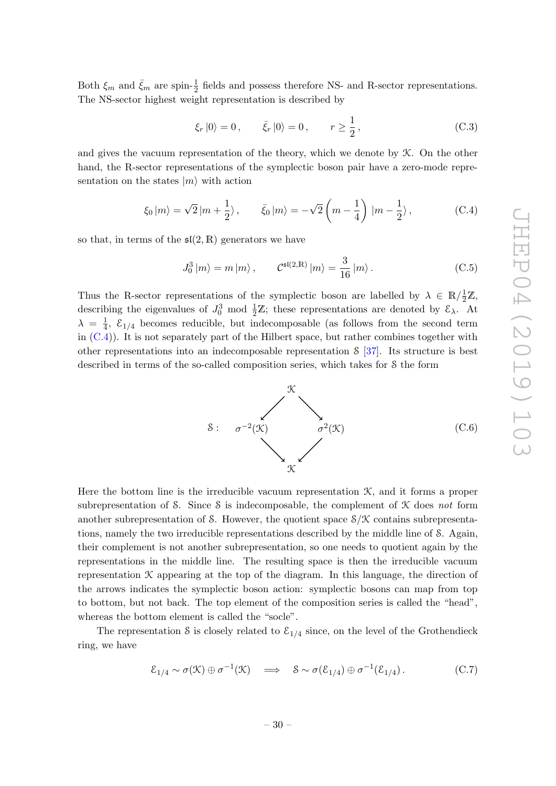Both  $\xi_m$  and  $\bar{\xi}_m$  are spin- $\frac{1}{2}$  fields and possess therefore NS- and R-sector representations. The NS-sector highest weight representation is described by

$$
\xi_r |0\rangle = 0, \qquad \bar{\xi}_r |0\rangle = 0, \qquad r \ge \frac{1}{2}, \tag{C.3}
$$

and gives the vacuum representation of the theory, which we denote by K. On the other hand, the R-sector representations of the symplectic boson pair have a zero-mode representation on the states  $|m\rangle$  with action

<span id="page-32-0"></span>
$$
\xi_0 |m\rangle = \sqrt{2} |m + \frac{1}{2}\rangle, \qquad \bar{\xi}_0 |m\rangle = -\sqrt{2} \left( m - \frac{1}{4} \right) |m - \frac{1}{2}\rangle, \tag{C.4}
$$

so that, in terms of the  $\mathfrak{sl}(2,\mathbb{R})$  generators we have

$$
J_0^3 |m\rangle = m |m\rangle, \qquad C^{\mathfrak{sl}(2,\mathbb{R})} |m\rangle = \frac{3}{16} |m\rangle. \tag{C.5}
$$

Thus the R-sector representations of the symplectic boson are labelled by  $\lambda \in \mathbb{R}/\frac{1}{2}\mathbb{Z}$ , describing the eigenvalues of  $J_0^3$  mod  $\frac{1}{2}\mathbb{Z}$ ; these representations are denoted by  $\mathcal{E}_{\lambda}$ . At  $\lambda = \frac{1}{4}$  $\frac{1}{4}$ ,  $\mathcal{E}_{1/4}$  becomes reducible, but indecomposable (as follows from the second term in  $(C.4)$ ). It is not separately part of the Hilbert space, but rather combines together with other representations into an indecomposable representation S [\[37\]](#page-46-16). Its structure is best described in terms of the so-called composition series, which takes for S the form

> S:  $\sigma^{-2}(\mathcal{K})$   $\sigma^2(\mathcal{K})$  $\mathcal{K}$  $\mathcal{K}$ (C.6)

Here the bottom line is the irreducible vacuum representation  $K$ , and it forms a proper subrepresentation of S. Since S is indecomposable, the complement of  $K$  does not form another subrepresentation of S. However, the quotient space  $S/X$  contains subrepresentations, namely the two irreducible representations described by the middle line of S. Again, their complement is not another subrepresentation, so one needs to quotient again by the representations in the middle line. The resulting space is then the irreducible vacuum representation  $K$  appearing at the top of the diagram. In this language, the direction of the arrows indicates the symplectic boson action: symplectic bosons can map from top to bottom, but not back. The top element of the composition series is called the "head", whereas the bottom element is called the "socle".

The representation S is closely related to  $\mathcal{E}_{1/4}$  since, on the level of the Grothendieck ring, we have

$$
\mathcal{E}_{1/4} \sim \sigma(\mathcal{K}) \oplus \sigma^{-1}(\mathcal{K}) \quad \Longrightarrow \quad \mathcal{S} \sim \sigma(\mathcal{E}_{1/4}) \oplus \sigma^{-1}(\mathcal{E}_{1/4}). \tag{C.7}
$$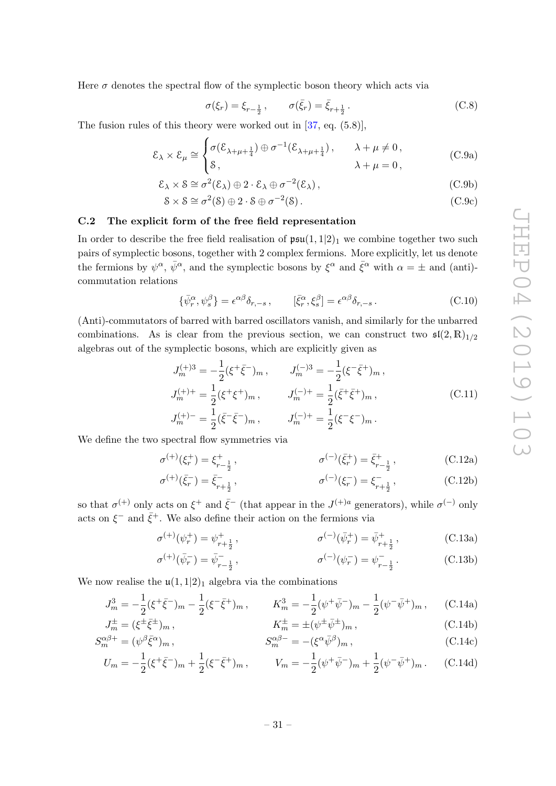Here  $\sigma$  denotes the spectral flow of the symplectic boson theory which acts via

<span id="page-33-6"></span><span id="page-33-5"></span><span id="page-33-4"></span>
$$
\sigma(\xi_r) = \xi_{r-\frac{1}{2}}, \qquad \sigma(\bar{\xi}_r) = \bar{\xi}_{r+\frac{1}{2}}.
$$
 (C.8)

The fusion rules of this theory were worked out in [\[37,](#page-46-16) eq. (5.8)],

$$
\mathcal{E}_{\lambda} \times \mathcal{E}_{\mu} \cong \begin{cases} \sigma(\mathcal{E}_{\lambda+\mu+\frac{1}{4}}) \oplus \sigma^{-1}(\mathcal{E}_{\lambda+\mu+\frac{1}{4}}), & \lambda+\mu \neq 0, \\ \mathcal{S}, & \lambda+\mu = 0, \end{cases}
$$
 (C.9a)

$$
\mathcal{E}_{\lambda} \times \mathcal{S} \cong \sigma^2(\mathcal{E}_{\lambda}) \oplus 2 \cdot \mathcal{E}_{\lambda} \oplus \sigma^{-2}(\mathcal{E}_{\lambda}), \tag{C.9b}
$$

$$
S \times S \cong \sigma^2(S) \oplus 2 \cdot S \oplus \sigma^{-2}(S).
$$
 (C.9c)

# <span id="page-33-0"></span>C.2 The explicit form of the free field representation

In order to describe the free field realisation of  $\mathfrak{psu}(1,1|2)_1$  we combine together two such pairs of symplectic bosons, together with 2 complex fermions. More explicitly, let us denote the fermions by  $\psi^{\alpha}$ ,  $\bar{\psi}^{\alpha}$ , and the symplectic bosons by  $\xi^{\alpha}$  and  $\bar{\xi}^{\alpha}$  with  $\alpha = \pm$  and (anti)commutation relations

$$
\{\bar{\psi}_r^{\alpha}, \psi_s^{\beta}\} = \epsilon^{\alpha\beta}\delta_{r,-s} , \qquad [\bar{\xi}_r^{\alpha}, \xi_s^{\beta}] = \epsilon^{\alpha\beta}\delta_{r,-s} . \tag{C.10}
$$

(Anti)-commutators of barred with barred oscillators vanish, and similarly for the unbarred combinations. As is clear from the previous section, we can construct two  $\mathfrak{sl}(2,\mathbb{R})_{1/2}$ algebras out of the symplectic bosons, which are explicitly given as

<span id="page-33-1"></span>
$$
J_m^{(+)3} = -\frac{1}{2}(\xi^+\bar{\xi}^-)_m, \qquad J_m^{(-)3} = -\frac{1}{2}(\xi^-\bar{\xi}^+)_m,
$$
  
\n
$$
J_m^{(+)+} = \frac{1}{2}(\xi^+\xi^+)_m, \qquad J_m^{(-)+} = \frac{1}{2}(\bar{\xi}^+\bar{\xi}^+)_m,
$$
  
\n
$$
J_m^{(+)-} = \frac{1}{2}(\bar{\xi}^-\bar{\xi}^-)_m, \qquad J_m^{(-)+} = \frac{1}{2}(\xi^-\xi^-)_m.
$$
  
\n(C.11)

We define the two spectral flow symmetries via

<span id="page-33-3"></span><span id="page-33-2"></span>
$$
\sigma^{(+)}(\xi_r^+) = \xi_{r-\frac{1}{2}}^+, \qquad \sigma^{(-)}(\bar{\xi}_r^+) = \bar{\xi}_{r-\frac{1}{2}}^+, \qquad (C.12a)
$$

$$
\sigma^{(+)}(\bar{\xi}_r^-) = \bar{\xi}_{r+\frac{1}{2}}^-, \qquad \sigma^{(-)}(\xi_r^-) = \xi_{r+\frac{1}{2}}^-, \qquad (C.12b)
$$

so that  $\sigma^{(+)}$  only acts on  $\xi^+$  and  $\bar{\xi}^-$  (that appear in the  $J^{(+)a}$  generators), while  $\sigma^{(-)}$  only acts on  $\xi^-$  and  $\bar{\xi}^+$ . We also define their action on the fermions via

$$
\sigma^{(+)}(\psi_r^+) = \psi_{r+\frac{1}{2}}^+, \qquad \sigma^{(-)}(\bar{\psi}_r^+) = \bar{\psi}_{r+\frac{1}{2}}^+, \qquad (C.13a)
$$

$$
\sigma^{(+)}(\bar{\psi}_r^-) = \bar{\psi}_{r-\frac{1}{2}}^-,\qquad \sigma^{(-)}(\psi_r^-) = \psi_{r-\frac{1}{2}}^-.
$$
 (C.13b)

We now realise the  $\mathfrak{u}(1,1|2)_1$  algebra via the combinations

$$
J_m^3 = -\frac{1}{2}(\xi^+\bar{\xi}^-)_m - \frac{1}{2}(\xi^-\bar{\xi}^+)_m, \qquad K_m^3 = -\frac{1}{2}(\psi^+\bar{\psi}^-)_m - \frac{1}{2}(\psi^-\bar{\psi}^+)_m, \qquad \text{(C.14a)}
$$

$$
J_m^{\pm} = (\xi^{\pm} \bar{\xi}^{\pm})_m, \qquad K_m^{\pm} = \pm (\psi^{\pm} \bar{\psi}^{\pm})_m, \qquad (C.14b)
$$
  

$$
S_m^{\alpha \beta +} = (\psi^{\beta} \bar{\xi}^{\alpha})_m, \qquad S_m^{\alpha \beta -} = -(\xi^{\alpha} \bar{\psi}^{\beta})_m, \qquad (C.14c)
$$

$$
S_{m}^{\alpha\beta+} = (\psi^{\beta}\bar{\xi}^{\alpha})_{m}, \qquad S_{m}^{\alpha\beta-} = -(\xi^{\alpha}\bar{\psi}^{\beta})_{m}, \qquad (C.14c)
$$
  

$$
U_{m} = -\frac{1}{2}(\xi^{+}\bar{\xi}^{-})_{m} + \frac{1}{2}(\xi^{-}\bar{\xi}^{+})_{m}, \qquad V_{m} = -\frac{1}{2}(\psi^{+}\bar{\psi}^{-})_{m} + \frac{1}{2}(\psi^{-}\bar{\psi}^{+})_{m}. \qquad (C.14d)
$$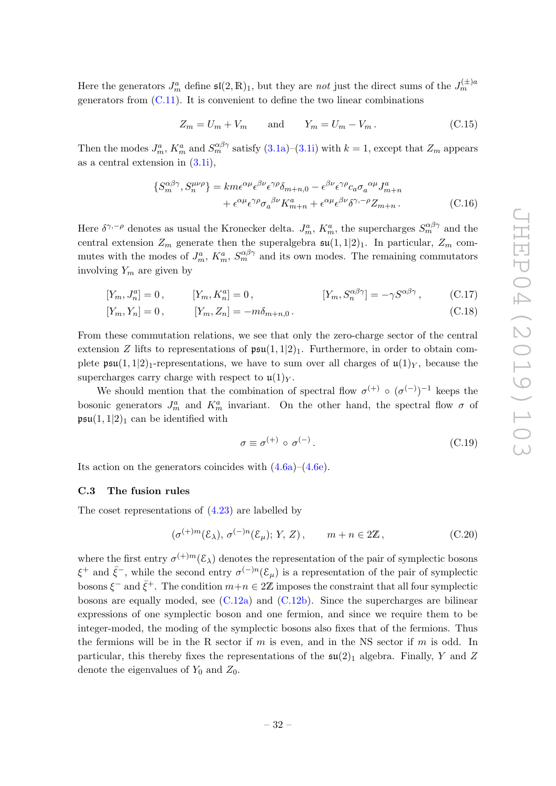Here the generators  $J_m^a$  define  $\mathfrak{sl}(2,\mathbb{R})_1$ , but they are *not* just the direct sums of the  $J_m^{(\pm)a}$ generators from  $(C.11)$ . It is convenient to define the two linear combinations

$$
Z_m = U_m + V_m \qquad \text{and} \qquad Y_m = U_m - V_m. \tag{C.15}
$$

Then the modes  $J_m^a$ ,  $K_m^a$  and  $S_m^{\alpha\beta\gamma}$  satisfy  $(3.1a)$ – $(3.1i)$  with  $k = 1$ , except that  $Z_m$  appears as a central extension in [\(3.1i\)](#page-7-2),

$$
\{S_m^{\alpha\beta\gamma}, S_n^{\mu\nu\rho}\} = km\epsilon^{\alpha\mu}\epsilon^{\beta\nu}\epsilon^{\gamma\rho}\delta_{m+n,0} - \epsilon^{\beta\nu}\epsilon^{\gamma\rho}c_a\sigma_a^{\ \alpha\mu}J_{m+n}^a
$$

$$
+ \epsilon^{\alpha\mu}\epsilon^{\gamma\rho}\sigma_a^{\ \beta\nu}K_{m+n}^a + \epsilon^{\alpha\mu}\epsilon^{\beta\nu}\delta^{\gamma,-\rho}Z_{m+n} \,. \tag{C.16}
$$

Here  $\delta^{\gamma,-\rho}$  denotes as usual the Kronecker delta.  $J_m^a$ ,  $K_m^a$ , the supercharges  $S_m^{\alpha\beta\gamma}$  and the central extension  $Z_m$  generate then the superalgebra  $\mathfrak{su}(1,1|2)_1$ . In particular,  $Z_m$  commutes with the modes of  $J_m^a$ ,  $K_m^a$ ,  $S_m^{\alpha\beta\gamma}$  and its own modes. The remaining commutators involving  $Y_m$  are given by

$$
[Y_m, J_n^a] = 0, \t [Y_m, K_n^a] = 0, \t [Y_m, S_n^{\alpha\beta\gamma}] = -\gamma S^{\alpha\beta\gamma}, \t (C.17)
$$

$$
[Y_m, Y_n] = 0, \t\t [Y_m, Z_n] = -m\delta_{m+n,0}.
$$
\t(C.18)

From these commutation relations, we see that only the zero-charge sector of the central extension Z lifts to representations of  $\mathfrak{psu}(1,1|2)_1$ . Furthermore, in order to obtain complete  $\mathfrak{psu}(1,1|2)$ <sub>1</sub>-representations, we have to sum over all charges of  $\mathfrak{u}(1)_Y$ , because the supercharges carry charge with respect to  $\mathfrak{u}(1)_Y$ .

We should mention that the combination of spectral flow  $\sigma^{(+)} \circ (\sigma^{(-)})^{-1}$  keeps the bosonic generators  $J_m^a$  and  $K_m^a$  invariant. On the other hand, the spectral flow  $\sigma$  of  $\mathfrak{psu}(1,1|2)_1$  can be identified with

$$
\sigma \equiv \sigma^{(+)} \circ \sigma^{(-)}.
$$
\n(C.19)

Its action on the generators coincides with [\(4.6a\)](#page-14-2)–[\(4.6e\)](#page-14-4).

#### <span id="page-34-0"></span>C.3 The fusion rules

The coset representations of [\(4.23\)](#page-17-3) are labelled by

$$
(\sigma^{(+)m}(\mathcal{E}_{\lambda}), \sigma^{(-)n}(\mathcal{E}_{\mu}); Y, Z), \qquad m + n \in 2\mathbb{Z}, \qquad (C.20)
$$

where the first entry  $\sigma^{(+)m}(\mathcal{E}_{\lambda})$  denotes the representation of the pair of symplectic bosons  $\xi^+$  and  $\bar{\xi}^-$ , while the second entry  $\sigma^{(-)n}(\mathcal{E}_\mu)$  is a representation of the pair of symplectic bosons  $\xi^-$  and  $\bar{\xi}^+$ . The condition  $m+n \in 2\mathbb{Z}$  imposes the constraint that all four symplectic bosons are equally moded, see  $(C.12a)$  and  $(C.12b)$ . Since the supercharges are bilinear expressions of one symplectic boson and one fermion, and since we require them to be integer-moded, the moding of the symplectic bosons also fixes that of the fermions. Thus the fermions will be in the R sector if  $m$  is even, and in the NS sector if  $m$  is odd. In particular, this thereby fixes the representations of the  $\mathfrak{su}(2)_1$  algebra. Finally, Y and Z denote the eigenvalues of  $Y_0$  and  $Z_0$ .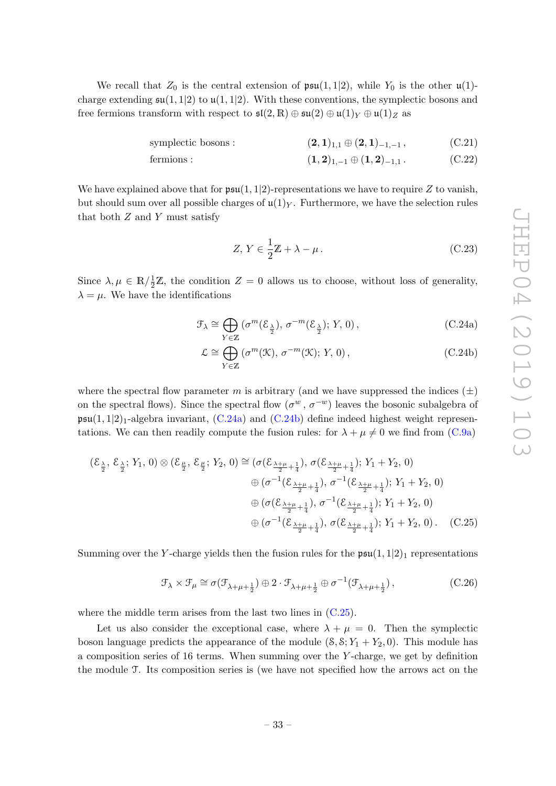We recall that  $Z_0$  is the central extension of  $\mathfrak{psu}(1,1|2)$ , while  $Y_0$  is the other  $\mathfrak{u}(1)$ charge extending  $\mathfrak{su}(1,1|2)$  to  $\mathfrak{u}(1,1|2)$ . With these conventions, the symplectic bosons and free fermions transform with respect to  $\mathfrak{sl}(2,\mathbb{R})\oplus \mathfrak{su}(2)\oplus \mathfrak{u}(1)_Y\oplus \mathfrak{u}(1)_Z$  as

symplectic bosons : 
$$
(2,1)_{1,1} \oplus (2,1)_{-1,-1}
$$
,  $(C.21)$ 

fermions : 
$$
(1,2)_{1,-1} \oplus (1,2)_{-1,1}
$$
.  $(C.22)$ 

We have explained above that for  $\mathfrak{psu}(1,1|2)$ -representations we have to require Z to vanish, but should sum over all possible charges of  $\mathfrak{u}(1)_Y$ . Furthermore, we have the selection rules that both  $Z$  and  $Y$  must satisfy

<span id="page-35-4"></span><span id="page-35-3"></span><span id="page-35-1"></span><span id="page-35-0"></span>
$$
Z, Y \in \frac{1}{2}\mathbb{Z} + \lambda - \mu.
$$
 (C.23)

Since  $\lambda, \mu \in \mathbb{R}/\frac{1}{2}\mathbb{Z}$ , the condition  $Z = 0$  allows us to choose, without loss of generality,  $\lambda = \mu$ . We have the identifications

$$
\mathcal{F}_{\lambda} \cong \bigoplus_{Y \in \mathbb{Z}} \left( \sigma^m(\mathcal{E}_{\frac{\lambda}{2}}), \, \sigma^{-m}(\mathcal{E}_{\frac{\lambda}{2}}); \, Y, \, 0 \right), \tag{C.24a}
$$

$$
\mathcal{L} \cong \bigoplus_{Y \in \mathbb{Z}} \left( \sigma^m(\mathcal{K}), \, \sigma^{-m}(\mathcal{K}); \, Y, \, 0 \right), \tag{C.24b}
$$

where the spectral flow parameter m is arbitrary (and we have suppressed the indices  $(\pm)$ on the spectral flows). Since the spectral flow  $(\sigma^w, \sigma^{-w})$  leaves the bosonic subalgebra of  $\mathfrak{psu}(1,1|2)_1$ -algebra invariant,  $(C.24a)$  and  $(C.24b)$  define indeed highest weight representations. We can then readily compute the fusion rules: for  $\lambda + \mu \neq 0$  we find from [\(C.9a\)](#page-33-4)

$$
(\mathcal{E}_{\frac{\lambda}{2}}, \mathcal{E}_{\frac{\lambda}{2}}; Y_1, 0) \otimes (\mathcal{E}_{\frac{\mu}{2}}, \mathcal{E}_{\frac{\mu}{2}}; Y_2, 0) \cong (\sigma(\mathcal{E}_{\frac{\lambda+\mu}{2}+\frac{1}{4}}), \sigma(\mathcal{E}_{\frac{\lambda+\mu}{2}+\frac{1}{4}}); Y_1 + Y_2, 0)
$$
  

$$
\oplus (\sigma^{-1}(\mathcal{E}_{\frac{\lambda+\mu}{2}+\frac{1}{4}}), \sigma^{-1}(\mathcal{E}_{\frac{\lambda+\mu}{2}+\frac{1}{4}}); Y_1 + Y_2, 0)
$$
  

$$
\oplus (\sigma(\mathcal{E}_{\frac{\lambda+\mu}{2}+\frac{1}{4}}), \sigma^{-1}(\mathcal{E}_{\frac{\lambda+\mu}{2}+\frac{1}{4}}); Y_1 + Y_2, 0)
$$
  

$$
\oplus (\sigma^{-1}(\mathcal{E}_{\frac{\lambda+\mu}{2}+\frac{1}{4}}), \sigma(\mathcal{E}_{\frac{\lambda+\mu}{2}+\frac{1}{4}}); Y_1 + Y_2, 0).
$$
 (C.25)

Summing over the Y-charge yields then the fusion rules for the  $\mathfrak{psu}(1,1|2)_1$  representations

<span id="page-35-2"></span>
$$
\mathcal{F}_{\lambda} \times \mathcal{F}_{\mu} \cong \sigma(\mathcal{F}_{\lambda+\mu+\frac{1}{2}}) \oplus 2 \cdot \mathcal{F}_{\lambda+\mu+\frac{1}{2}} \oplus \sigma^{-1}(\mathcal{F}_{\lambda+\mu+\frac{1}{2}}), \tag{C.26}
$$

where the middle term arises from the last two lines in  $(C.25)$ .

Let us also consider the exceptional case, where  $\lambda + \mu = 0$ . Then the symplectic boson language predicts the appearance of the module  $(8, 8; Y_1 + Y_2, 0)$ . This module has a composition series of 16 terms. When summing over the Y -charge, we get by definition the module T. Its composition series is (we have not specified how the arrows act on the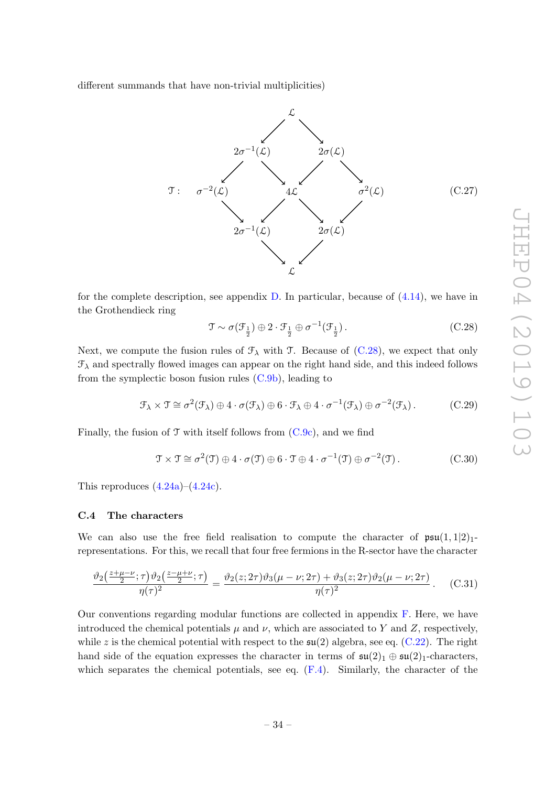different summands that have non-trivial multiplicities)

<span id="page-36-3"></span>

for the complete description, see appendix  $D$ . In particular, because of  $(4.14)$ , we have in the Grothendieck ring

<span id="page-36-1"></span>
$$
\mathcal{T} \sim \sigma(\mathcal{F}_{\frac{1}{2}}) \oplus 2 \cdot \mathcal{F}_{\frac{1}{2}} \oplus \sigma^{-1}(\mathcal{F}_{\frac{1}{2}}).
$$
 (C.28)

Next, we compute the fusion rules of  $\mathcal{F}_{\lambda}$  with T. Because of [\(C.28\)](#page-36-1), we expect that only  $\mathcal{F}_{\lambda}$  and spectrally flowed images can appear on the right hand side, and this indeed follows from the symplectic boson fusion rules [\(C.9b\)](#page-33-5), leading to

$$
\mathcal{F}_{\lambda} \times \mathcal{T} \cong \sigma^2(\mathcal{F}_{\lambda}) \oplus 4 \cdot \sigma(\mathcal{F}_{\lambda}) \oplus 6 \cdot \mathcal{F}_{\lambda} \oplus 4 \cdot \sigma^{-1}(\mathcal{F}_{\lambda}) \oplus \sigma^{-2}(\mathcal{F}_{\lambda}). \tag{C.29}
$$

Finally, the fusion of  $\mathcal T$  with itself follows from  $(C.9c)$ , and we find

$$
\mathcal{T} \times \mathcal{T} \cong \sigma^2(\mathcal{T}) \oplus 4 \cdot \sigma(\mathcal{T}) \oplus 6 \cdot \mathcal{T} \oplus 4 \cdot \sigma^{-1}(\mathcal{T}) \oplus \sigma^{-2}(\mathcal{T}). \tag{C.30}
$$

This reproduces  $(4.24a)$ – $(4.24c)$ .

#### <span id="page-36-0"></span>C.4 The characters

We can also use the free field realisation to compute the character of  $\mathfrak{psu}(1,1|2)<sub>1</sub>$ representations. For this, we recall that four free fermions in the R-sector have the character

<span id="page-36-2"></span>
$$
\frac{\vartheta_2(\frac{z+\mu-\nu}{2};\tau)\vartheta_2(\frac{z-\mu+\nu}{2};\tau)}{\eta(\tau)^2} = \frac{\vartheta_2(z;2\tau)\vartheta_3(\mu-\nu;2\tau) + \vartheta_3(z;2\tau)\vartheta_2(\mu-\nu;2\tau)}{\eta(\tau)^2}.
$$
 (C.31)

Our conventions regarding modular functions are collected in appendix [F.](#page-44-0) Here, we have introduced the chemical potentials  $\mu$  and  $\nu$ , which are associated to Y and Z, respectively, while z is the chemical potential with respect to the  $\mathfrak{su}(2)$  algebra, see eq. [\(C.22\)](#page-35-3). The right hand side of the equation expresses the character in terms of  $\mathfrak{su}(2)_1 \oplus \mathfrak{su}(2)_1$ -characters, which separates the chemical potentials, see eq.  $(F.4)$ . Similarly, the character of the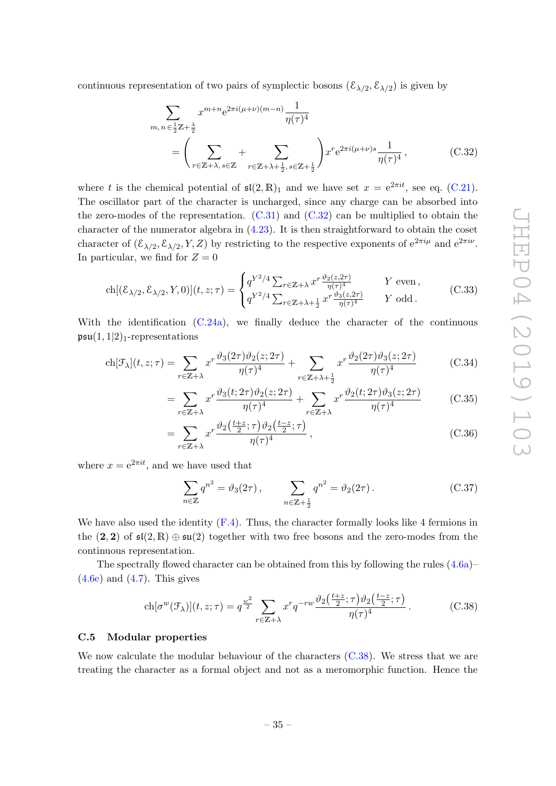continuous representation of two pairs of symplectic bosons  $(\mathcal{E}_{\lambda/2}, \mathcal{E}_{\lambda/2})$  is given by

<span id="page-37-2"></span>
$$
\sum_{m,n \in \frac{1}{2}\mathbb{Z} + \frac{\lambda}{2}} x^{m+n} e^{2\pi i(\mu+\nu)(m-n)} \frac{1}{\eta(\tau)^4}
$$
\n
$$
= \left(\sum_{r \in \mathbb{Z} + \lambda, s \in \mathbb{Z}} + \sum_{r \in \mathbb{Z} + \lambda + \frac{1}{2}, s \in \mathbb{Z} + \frac{1}{2}}\right) x^r e^{2\pi i(\mu+\nu)s} \frac{1}{\eta(\tau)^4},
$$
\n(C.32)

where t is the chemical potential of  $\mathfrak{sl}(2,\mathbb{R})_1$  and we have set  $x = e^{2\pi it}$ , see eq. [\(C.21\)](#page-35-4). The oscillator part of the character is uncharged, since any charge can be absorbed into the zero-modes of the representation.  $(C.31)$  and  $(C.32)$  can be multiplied to obtain the character of the numerator algebra in [\(4.23\)](#page-17-3). It is then straightforward to obtain the coset character of  $(\mathcal{E}_{\lambda/2}, \mathcal{E}_{\lambda/2}, Y, Z)$  by restricting to the respective exponents of  $e^{2\pi i \mu}$  and  $e^{2\pi i \nu}$ . In particular, we find for  $Z = 0$ 

$$
\text{ch}[(\mathcal{E}_{\lambda/2}, \mathcal{E}_{\lambda/2}, Y, 0)](t, z; \tau) = \begin{cases} q^{Y^2/4} \sum_{r \in \mathbb{Z} + \lambda} x^r \frac{\vartheta_2(z, 2\tau)}{\eta(\tau)^4} & Y \text{ even,} \\ q^{Y^2/4} \sum_{r \in \mathbb{Z} + \lambda + \frac{1}{2}} x^r \frac{\vartheta_3(z, 2\tau)}{\eta(\tau)^4} & Y \text{ odd.} \end{cases} (C.33)
$$

With the identification  $(C.24a)$ , we finally deduce the character of the continuous  $\mathfrak{psu}(1,1|2)_1$ -representations

$$
\text{ch}[\mathcal{F}_{\lambda}](t,z;\tau) = \sum_{r \in \mathbb{Z}+\lambda} x^r \frac{\vartheta_3(2\tau)\vartheta_2(z;2\tau)}{\eta(\tau)^4} + \sum_{r \in \mathbb{Z}+\lambda+\frac{1}{2}} x^r \frac{\vartheta_2(2\tau)\vartheta_3(z;2\tau)}{\eta(\tau)^4}
$$
(C.34)

$$
= \sum_{r \in \mathbb{Z} + \lambda} x^r \frac{\vartheta_3(t; 2\tau)\vartheta_2(z; 2\tau)}{\eta(\tau)^4} + \sum_{r \in \mathbb{Z} + \lambda} x^r \frac{\vartheta_2(t; 2\tau)\vartheta_3(z; 2\tau)}{\eta(\tau)^4}
$$
(C.35)

$$
=\sum_{r\in\mathbb{Z}+\lambda}x^r\frac{\vartheta_2\left(\frac{t+z}{2};\tau\right)\vartheta_2\left(\frac{t-z}{2};\tau\right)}{\eta(\tau)^4},\tag{C.36}
$$

where  $x = e^{2\pi it}$ , and we have used that

<span id="page-37-1"></span>
$$
\sum_{n \in \mathbb{Z}} q^{n^2} = \vartheta_3(2\tau), \qquad \sum_{n \in \mathbb{Z} + \frac{1}{2}} q^{n^2} = \vartheta_2(2\tau). \tag{C.37}
$$

We have also used the identity  $(F.4)$ . Thus, the character formally looks like 4 fermions in the  $(2, 2)$  of  $\mathfrak{sl}(2, \mathbb{R}) \oplus \mathfrak{su}(2)$  together with two free bosons and the zero-modes from the continuous representation.

The spectrally flowed character can be obtained from this by following the rules  $(4.6a)$ –  $(4.6e)$  and  $(4.7)$ . This gives

$$
\operatorname{ch}[\sigma^w(\mathcal{F}_\lambda)](t,z;\tau) = q^{\frac{w^2}{2}} \sum_{r \in \mathbb{Z}+\lambda} x^r q^{-rw} \frac{\vartheta_2\left(\frac{t+z}{2};\tau\right)\vartheta_2\left(\frac{t-z}{2};\tau\right)}{\eta(\tau)^4}.
$$
 (C.38)

#### <span id="page-37-0"></span>C.5 Modular properties

We now calculate the modular behaviour of the characters  $(C.38)$ . We stress that we are treating the character as a formal object and not as a meromorphic function. Hence the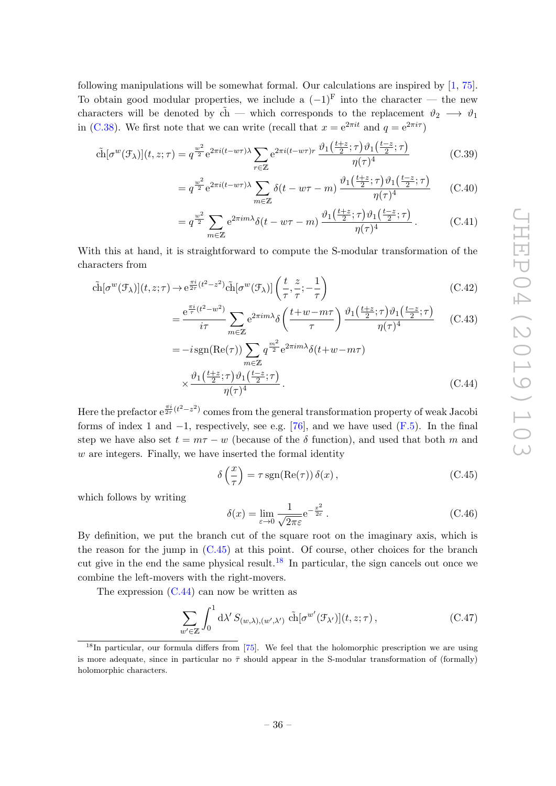following manipulations will be somewhat formal. Our calculations are inspired by [\[1,](#page-45-0) [75\]](#page-48-10). To obtain good modular properties, we include a  $(-1)^{F}$  into the character — the new characters will be denoted by  $\tilde{ch}$  — which corresponds to the replacement  $\vartheta_2 \longrightarrow \vartheta_1$ in [\(C.38\)](#page-37-1). We first note that we can write (recall that  $x = e^{2\pi i t}$  and  $q = e^{2\pi i \tau}$ )

$$
\tilde{\text{ch}}[\sigma^w(\mathcal{F}_\lambda)](t,z;\tau) = q^{\frac{w^2}{2}} e^{2\pi i (t-w\tau)\lambda} \sum_{r \in \mathbb{Z}} e^{2\pi i (t-w\tau)r} \frac{\vartheta_1\left(\frac{t+z}{2};\tau\right)\vartheta_1\left(\frac{t-z}{2};\tau\right)}{\eta(\tau)^4}
$$
(C.39)

$$
= q^{\frac{w^2}{2}} e^{2\pi i (t - w\tau)\lambda} \sum_{m \in \mathbb{Z}} \delta(t - w\tau - m) \frac{\vartheta_1\left(\frac{t+z}{2}; \tau\right) \vartheta_1\left(\frac{t-z}{2}; \tau\right)}{\eta(\tau)^4}
$$
(C.40)

$$
= q^{\frac{w^2}{2}} \sum_{m \in \mathbb{Z}} e^{2\pi i m \lambda} \delta(t - w\tau - m) \frac{\vartheta_1\left(\frac{t+z}{2}; \tau\right) \vartheta_1\left(\frac{t-z}{2}; \tau\right)}{\eta(\tau)^4}.
$$
 (C.41)

With this at hand, it is straightforward to compute the S-modular transformation of the characters from

$$
\tilde{\text{ch}}[\sigma^w(\mathcal{F}_\lambda)](t,z;\tau) \to e^{\frac{\pi i}{2\tau}(t^2-z^2)} \tilde{\text{ch}}[\sigma^w(\mathcal{F}_\lambda)]\left(\frac{t}{\tau}, \frac{z}{\tau}; -\frac{1}{\tau}\right)
$$
\n(C.42)

$$
=\frac{e^{\frac{\pi i}{\tau}(t^2-w^2)}}{i\tau}\sum_{m\in\mathbb{Z}}e^{2\pi im\lambda}\delta\left(\frac{t+w-m\tau}{\tau}\right)\frac{\vartheta_1\left(\frac{t+z}{2};\tau\right)\vartheta_1\left(\frac{t-z}{2};\tau\right)}{\eta(\tau)^4}\qquad\text{(C.43)}
$$

$$
= -i \operatorname{sgn}(\operatorname{Re}(\tau)) \sum_{m \in \mathbb{Z}} q^{\frac{m^2}{2}} e^{2\pi i m \lambda} \delta(t + w - m\tau)
$$

$$
\times \frac{\vartheta_1(\frac{t+z}{2}; \tau) \vartheta_1(\frac{t-z}{2}; \tau)}{\eta(\tau)^4}.
$$
(C.44)

Here the prefactor  $e^{\frac{\pi i}{2\tau}(t^2-z^2)}$  comes from the general transformation property of weak Jacobi forms of index 1 and  $-1$ , respectively, see e.g. [\[76\]](#page-48-11), and we have used [\(F.5\)](#page-44-2). In the final step we have also set  $t = m\tau - w$  (because of the  $\delta$  function), and used that both m and  $w$  are integers. Finally, we have inserted the formal identity

<span id="page-38-2"></span><span id="page-38-0"></span>
$$
\delta\left(\frac{x}{\tau}\right) = \tau \operatorname{sgn}(\operatorname{Re}(\tau)) \delta(x),\tag{C.45}
$$

which follows by writing

$$
\delta(x) = \lim_{\varepsilon \to 0} \frac{1}{\sqrt{2\pi\varepsilon}} e^{-\frac{x^2}{2\varepsilon}}.
$$
\n(C.46)

By definition, we put the branch cut of the square root on the imaginary axis, which is the reason for the jump in [\(C.45\)](#page-38-0) at this point. Of course, other choices for the branch cut give in the end the same physical result.<sup>[18](#page-38-1)</sup> In particular, the sign cancels out once we combine the left-movers with the right-movers.

The expression  $(C.44)$  can now be written as

$$
\sum_{w' \in \mathbb{Z}} \int_0^1 d\lambda' S_{(w,\lambda),(w',\lambda')} \tilde{\text{ch}}[\sigma^{w'}(\mathcal{F}_{\lambda'})](t,z;\tau) , \qquad (C.47)
$$

<span id="page-38-1"></span> $^{18}$ In particular, our formula differs from [\[75\]](#page-48-10). We feel that the holomorphic prescription we are using is more adequate, since in particular no  $\bar{\tau}$  should appear in the S-modular transformation of (formally) holomorphic characters.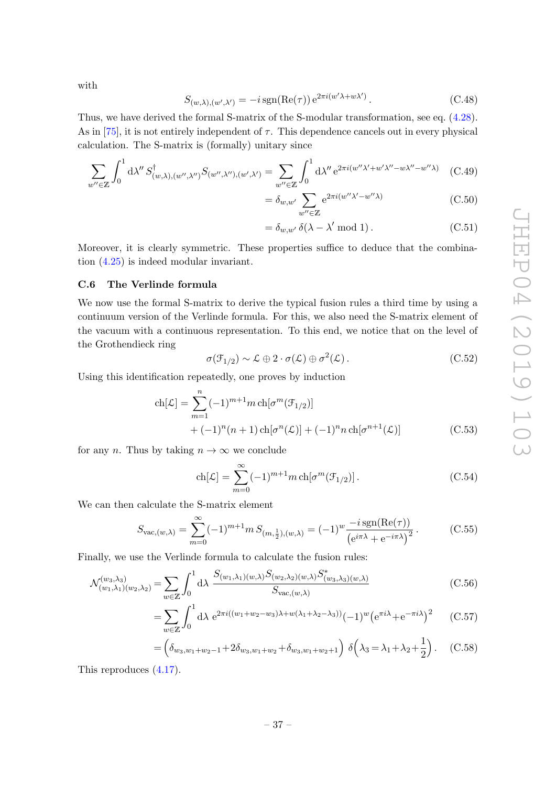with

$$
S_{(w,\lambda),(w',\lambda')} = -i \operatorname{sgn}(\operatorname{Re}(\tau)) e^{2\pi i (w'\lambda + w\lambda')}.
$$
 (C.48)

Thus, we have derived the formal S-matrix of the S-modular transformation, see eq. [\(4.28\)](#page-18-2). As in [\[75\]](#page-48-10), it is not entirely independent of  $\tau$ . This dependence cancels out in every physical calculation. The S-matrix is (formally) unitary since

$$
\sum_{w'' \in \mathbb{Z}} \int_0^1 d\lambda'' S^{\dagger}_{(w,\lambda),(w'',\lambda'')} S_{(w'',\lambda''),(w',\lambda')} = \sum_{w'' \in \mathbb{Z}} \int_0^1 d\lambda'' e^{2\pi i (w''\lambda' + w'\lambda'' - w\lambda'' - w''\lambda)} \quad (C.49)
$$

$$
= \delta_{w,w'} \sum_{w'' \in \mathbb{Z}} e^{2\pi i (w''\lambda' - w''\lambda)} \tag{C.50}
$$

$$
= \delta_{w,w'} \,\delta(\lambda - \lambda' \bmod 1). \tag{C.51}
$$

Moreover, it is clearly symmetric. These properties suffice to deduce that the combination [\(4.25\)](#page-17-2) is indeed modular invariant.

#### <span id="page-39-0"></span>C.6 The Verlinde formula

We now use the formal S-matrix to derive the typical fusion rules a third time by using a continuum version of the Verlinde formula. For this, we also need the S-matrix element of the vacuum with a continuous representation. To this end, we notice that on the level of the Grothendieck ring

$$
\sigma(\mathcal{F}_{1/2}) \sim \mathcal{L} \oplus 2 \cdot \sigma(\mathcal{L}) \oplus \sigma^2(\mathcal{L}). \tag{C.52}
$$

Using this identification repeatedly, one proves by induction

$$
ch[\mathcal{L}] = \sum_{m=1}^{n} (-1)^{m+1} m ch[\sigma^m(\mathcal{F}_{1/2})]
$$
  
+  $(-1)^n (n+1) ch[\sigma^n(\mathcal{L})] + (-1)^n n ch[\sigma^{n+1}(\mathcal{L})]$  (C.53)

for any n. Thus by taking  $n \to \infty$  we conclude

$$
ch[\mathcal{L}] = \sum_{m=0}^{\infty} (-1)^{m+1} m ch[\sigma^m(\mathcal{F}_{1/2})].
$$
 (C.54)

We can then calculate the S-matrix element

$$
S_{\text{vac},(w,\lambda)} = \sum_{m=0}^{\infty} (-1)^{m+1} m S_{(m,\frac{1}{2}),(w,\lambda)} = (-1)^w \frac{-i \operatorname{sgn}(\text{Re}(\tau))}{\left(e^{i\pi\lambda} + e^{-i\pi\lambda}\right)^2}.
$$
 (C.55)

Finally, we use the Verlinde formula to calculate the fusion rules:

$$
\mathcal{N}^{(w_3,\lambda_3)}_{(w_1,\lambda_1)(w_2,\lambda_2)} = \sum_{w \in \mathbb{Z}} \int_0^1 d\lambda \frac{S_{(w_1,\lambda_1)(w,\lambda)} S_{(w_2,\lambda_2)(w,\lambda)} S_{(w_3,\lambda_3)(w,\lambda)}^*}{S_{\text{vac},(w,\lambda)}}
$$
(C.56)

$$
= \sum_{w \in \mathbb{Z}} \int_0^1 d\lambda \ e^{2\pi i ((w_1 + w_2 - w_3)\lambda + w(\lambda_1 + \lambda_2 - \lambda_3))} (-1)^w \left(e^{\pi i \lambda} + e^{-\pi i \lambda}\right)^2 \tag{C.57}
$$

$$
= \left(\delta_{w_3, w_1 + w_2 - 1} + 2\delta_{w_3, w_1 + w_2} + \delta_{w_3, w_1 + w_2 + 1}\right) \delta\left(\lambda_3 = \lambda_1 + \lambda_2 + \frac{1}{2}\right). \quad (C.58)
$$

This reproduces [\(4.17\)](#page-16-1).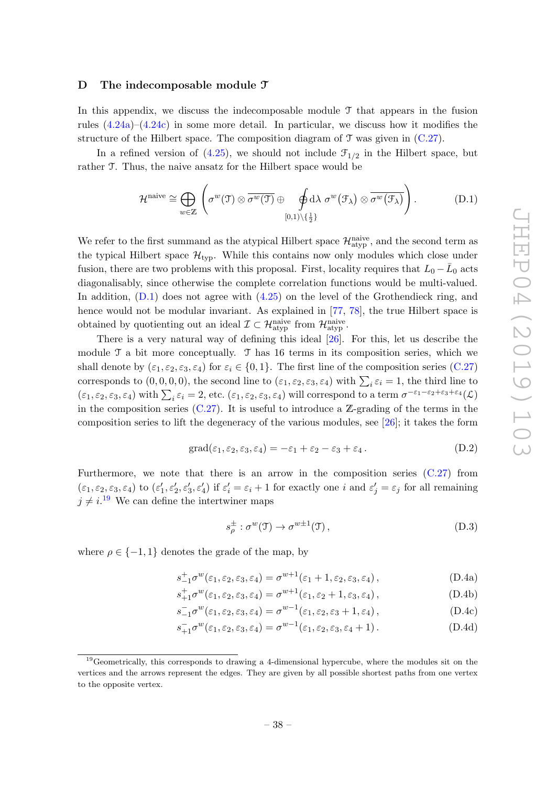#### <span id="page-40-0"></span>D The indecomposable module  $\mathfrak I$

In this appendix, we discuss the indecomposable module  $\mathcal T$  that appears in the fusion rules  $(4.24a)$ – $(4.24c)$  in some more detail. In particular, we discuss how it modifies the structure of the Hilbert space. The composition diagram of  $\mathcal T$  was given in [\(C.27\)](#page-36-3).

In a refined version of  $(4.25)$ , we should not include  $\mathcal{F}_{1/2}$  in the Hilbert space, but rather T. Thus, the naive ansatz for the Hilbert space would be

<span id="page-40-1"></span>
$$
\mathcal{H}^{\text{naive}} \cong \bigoplus_{w \in \mathbb{Z}} \left( \sigma^w(\mathfrak{T}) \otimes \overline{\sigma^w(\mathfrak{T})} \oplus \oint_{[0,1) \setminus \{\frac{1}{2}\}} d\lambda \sigma^w(\mathfrak{F}_{\lambda}) \otimes \overline{\sigma^w(\mathfrak{F}_{\lambda})} \right). \tag{D.1}
$$

We refer to the first summand as the atypical Hilbert space  $\mathcal{H}_{\text{atyp}}^{\text{naive}}$ , and the second term as the typical Hilbert space  $\mathcal{H}_{\text{tvo}}$ . While this contains now only modules which close under fusion, there are two problems with this proposal. First, locality requires that  $L_0 - \bar{L}_0$  acts diagonalisably, since otherwise the complete correlation functions would be multi-valued. In addition,  $(D.1)$  does not agree with  $(4.25)$  on the level of the Grothendieck ring, and hence would not be modular invariant. As explained in [\[77,](#page-48-12) [78\]](#page-48-13), the true Hilbert space is obtained by quotienting out an ideal  $\mathcal{I} \subset \mathcal{H}_{\text{atyp}}^{\text{naive}}$  from  $\mathcal{H}_{\text{atyp}}^{\text{naive}}$ .

There is a very natural way of defining this ideal [\[26\]](#page-46-12). For this, let us describe the module  $\mathcal T$  a bit more conceptually.  $\mathcal T$  has 16 terms in its composition series, which we shall denote by  $(\varepsilon_1, \varepsilon_2, \varepsilon_3, \varepsilon_4)$  for  $\varepsilon_i \in \{0, 1\}$ . The first line of the composition series  $(C.27)$ corresponds to  $(0,0,0,0)$ , the second line to  $(\varepsilon_1, \varepsilon_2, \varepsilon_3, \varepsilon_4)$  with  $\sum_i \varepsilon_i = 1$ , the third line to  $(\varepsilon_1, \varepsilon_2, \varepsilon_3, \varepsilon_4)$  with  $\sum_i \varepsilon_i = 2$ , etc.  $(\varepsilon_1, \varepsilon_2, \varepsilon_3, \varepsilon_4)$  will correspond to a term  $\sigma^{-\varepsilon_1-\varepsilon_2+\varepsilon_3+\varepsilon_4}(\mathcal{L})$ in the composition series  $(C.27)$ . It is useful to introduce a Z-grading of the terms in the composition series to lift the degeneracy of the various modules, see [\[26\]](#page-46-12); it takes the form

$$
\text{grad}(\varepsilon_1, \varepsilon_2, \varepsilon_3, \varepsilon_4) = -\varepsilon_1 + \varepsilon_2 - \varepsilon_3 + \varepsilon_4. \tag{D.2}
$$

Furthermore, we note that there is an arrow in the composition series  $(C.27)$  from  $(\varepsilon_1, \varepsilon_2, \varepsilon_3, \varepsilon_4)$  to  $(\varepsilon_1', \varepsilon_2', \varepsilon_3', \varepsilon_4')$  if  $\varepsilon_i' = \varepsilon_i + 1$  for exactly one i and  $\varepsilon_j' = \varepsilon_j$  for all remaining  $j \neq i$ <sup>[19](#page-40-2)</sup> We can define the intertwiner maps

$$
s_{\rho}^{\pm} : \sigma^w(\mathfrak{I}) \to \sigma^{w \pm 1}(\mathfrak{I}), \qquad (D.3)
$$

where  $\rho \in \{-1, 1\}$  denotes the grade of the map, by

$$
s_{-1}^+\sigma^w(\varepsilon_1,\varepsilon_2,\varepsilon_3,\varepsilon_4) = \sigma^{w+1}(\varepsilon_1+1,\varepsilon_2,\varepsilon_3,\varepsilon_4),\tag{D.4a}
$$

$$
s_{+1}^+\sigma^w(\varepsilon_1, \varepsilon_2, \varepsilon_3, \varepsilon_4) = \sigma^{w+1}(\varepsilon_1, \varepsilon_2 + 1, \varepsilon_3, \varepsilon_4), \tag{D.4b}
$$

$$
s_{-1}^{-} \sigma^{w}(\varepsilon_1, \varepsilon_2, \varepsilon_3, \varepsilon_4) = \sigma^{w-1}(\varepsilon_1, \varepsilon_2, \varepsilon_3 + 1, \varepsilon_4), \qquad (D.4c)
$$

$$
s_{+1}^- \sigma^w(\varepsilon_1, \varepsilon_2, \varepsilon_3, \varepsilon_4) = \sigma^{w-1}(\varepsilon_1, \varepsilon_2, \varepsilon_3, \varepsilon_4 + 1). \tag{D.4d}
$$

<span id="page-40-2"></span><sup>&</sup>lt;sup>19</sup>Geometrically, this corresponds to drawing a 4-dimensional hypercube, where the modules sit on the vertices and the arrows represent the edges. They are given by all possible shortest paths from one vertex to the opposite vertex.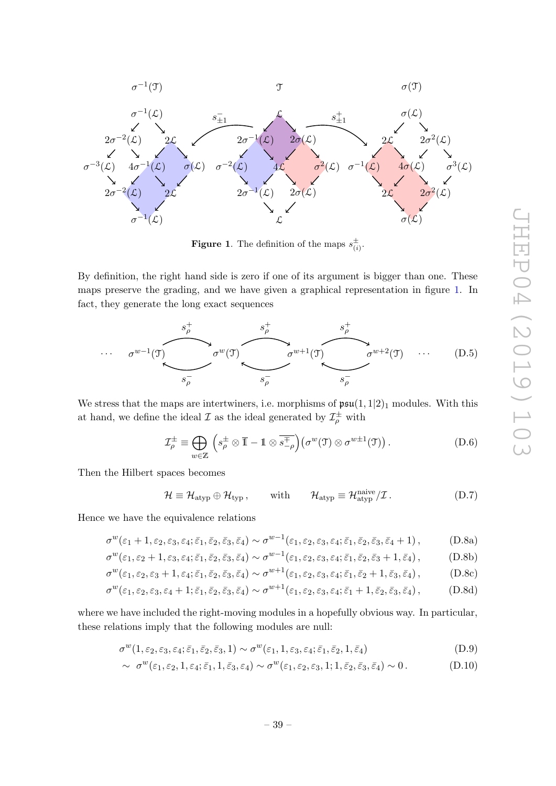

<span id="page-41-0"></span>**Figure 1.** The definition of the maps  $s_{(i)}^{\pm}$ .

By definition, the right hand side is zero if one of its argument is bigger than one. These maps preserve the grading, and we have given a graphical representation in figure [1.](#page-41-0) In fact, they generate the long exact sequences



We stress that the maps are intertwiners, i.e. morphisms of  $\mathfrak{psu}(1,1|2)_1$  modules. With this at hand, we define the ideal  $\mathcal I$  as the ideal generated by  $\mathcal I^\pm_\rho$  with

$$
\mathcal{I}_{\rho}^{\pm} \equiv \bigoplus_{w \in \mathbb{Z}} \left( s_{\rho}^{\pm} \otimes \overline{\mathbb{1}} - \mathbb{1} \otimes \overline{s_{-\rho}^{\mp}} \right) \left( \sigma^{w}(\mathfrak{I}) \otimes \sigma^{w \pm 1}(\mathfrak{I}) \right). \tag{D.6}
$$

Then the Hilbert spaces becomes

<span id="page-41-3"></span><span id="page-41-2"></span><span id="page-41-1"></span>
$$
\mathcal{H} \equiv \mathcal{H}_{\text{atyp}} \oplus \mathcal{H}_{\text{typ}} \,, \qquad \text{with} \qquad \mathcal{H}_{\text{atyp}} \equiv \mathcal{H}_{\text{atyp}}^{\text{naive}} / \mathcal{I} \,. \tag{D.7}
$$

Hence we have the equivalence relations

$$
\sigma^w(\varepsilon_1+1,\varepsilon_2,\varepsilon_3,\varepsilon_4;\bar{\varepsilon}_1,\bar{\varepsilon}_2,\bar{\varepsilon}_3,\bar{\varepsilon}_4)\sim \sigma^{w-1}(\varepsilon_1,\varepsilon_2,\varepsilon_3,\varepsilon_4;\bar{\varepsilon}_1,\bar{\varepsilon}_2,\bar{\varepsilon}_3,\bar{\varepsilon}_4+1),\tag{D.8a}
$$

$$
\sigma^w(\varepsilon_1, \varepsilon_2 + 1, \varepsilon_3, \varepsilon_4; \bar{\varepsilon}_1, \bar{\varepsilon}_2, \bar{\varepsilon}_3, \bar{\varepsilon}_4) \sim \sigma^{w-1}(\varepsilon_1, \varepsilon_2, \varepsilon_3, \varepsilon_4; \bar{\varepsilon}_1, \bar{\varepsilon}_2, \bar{\varepsilon}_3 + 1, \bar{\varepsilon}_4), \tag{D.8b}
$$

$$
\sigma^w(\varepsilon_1, \varepsilon_2, \varepsilon_3 + 1, \varepsilon_4; \bar{\varepsilon}_1, \bar{\varepsilon}_2, \bar{\varepsilon}_3, \bar{\varepsilon}_4) \sim \sigma^{w+1}(\varepsilon_1, \varepsilon_2, \varepsilon_3, \varepsilon_4; \bar{\varepsilon}_1, \bar{\varepsilon}_2 + 1, \bar{\varepsilon}_3, \bar{\varepsilon}_4),
$$
 (D.8c)

$$
\sigma^w(\varepsilon_1, \varepsilon_2, \varepsilon_3, \varepsilon_4 + 1; \bar{\varepsilon}_1, \bar{\varepsilon}_2, \bar{\varepsilon}_3, \bar{\varepsilon}_4) \sim \sigma^{w+1}(\varepsilon_1, \varepsilon_2, \varepsilon_3, \varepsilon_4; \bar{\varepsilon}_1 + 1, \bar{\varepsilon}_2, \bar{\varepsilon}_3, \bar{\varepsilon}_4),
$$
 (D.8d)

where we have included the right-moving modules in a hopefully obvious way. In particular, these relations imply that the following modules are null:

$$
\sigma^w(1, \varepsilon_2, \varepsilon_3, \varepsilon_4; \bar{\varepsilon}_1, \bar{\varepsilon}_2, \bar{\varepsilon}_3, 1) \sim \sigma^w(\varepsilon_1, 1, \varepsilon_3, \varepsilon_4; \bar{\varepsilon}_1, \bar{\varepsilon}_2, 1, \bar{\varepsilon}_4)
$$
(D.9)

$$
\sim \sigma^w(\varepsilon_1, \varepsilon_2, 1, \varepsilon_4; \bar{\varepsilon}_1, 1, \bar{\varepsilon}_3, \varepsilon_4) \sim \sigma^w(\varepsilon_1, \varepsilon_2, \varepsilon_3, 1; 1, \bar{\varepsilon}_2, \bar{\varepsilon}_3, \bar{\varepsilon}_4) \sim 0.
$$
 (D.10)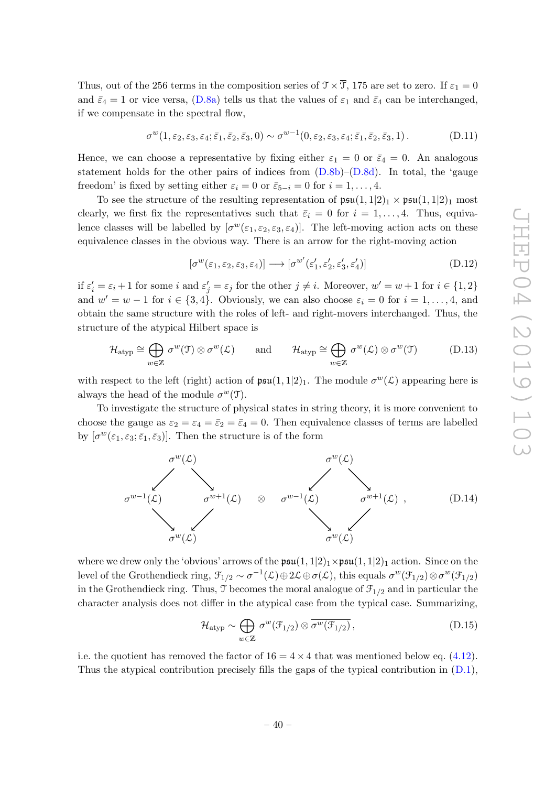Thus, out of the 256 terms in the composition series of  $\mathcal{T} \times \overline{\mathcal{T}}$ , 175 are set to zero. If  $\varepsilon_1 = 0$ and  $\bar{\varepsilon}_4 = 1$  or vice versa, [\(D.8a\)](#page-41-1) tells us that the values of  $\varepsilon_1$  and  $\bar{\varepsilon}_4$  can be interchanged, if we compensate in the spectral flow,

$$
\sigma^w(1,\varepsilon_2,\varepsilon_3,\varepsilon_4;\bar{\varepsilon}_1,\bar{\varepsilon}_2,\bar{\varepsilon}_3,0) \sim \sigma^{w-1}(0,\varepsilon_2,\varepsilon_3,\varepsilon_4;\bar{\varepsilon}_1,\bar{\varepsilon}_2,\bar{\varepsilon}_3,1). \tag{D.11}
$$

Hence, we can choose a representative by fixing either  $\varepsilon_1 = 0$  or  $\bar{\varepsilon}_4 = 0$ . An analogous statement holds for the other pairs of indices from  $(D.8b)$ – $(D.8d)$ . In total, the 'gauge freedom' is fixed by setting either  $\varepsilon_i = 0$  or  $\bar{\varepsilon}_{5-i} = 0$  for  $i = 1, \ldots, 4$ .

To see the structure of the resulting representation of  $\mathfrak{psu}(1,1|2)_1 \times \mathfrak{psu}(1,1|2)_1$  most clearly, we first fix the representatives such that  $\bar{\varepsilon}_i = 0$  for  $i = 1, \ldots, 4$ . Thus, equivalence classes will be labelled by  $[\sigma^w(\varepsilon_1, \varepsilon_2, \varepsilon_3, \varepsilon_4)]$ . The left-moving action acts on these equivalence classes in the obvious way. There is an arrow for the right-moving action

$$
[\sigma^w(\varepsilon_1, \varepsilon_2, \varepsilon_3, \varepsilon_4)] \longrightarrow [\sigma^{w'}(\varepsilon_1', \varepsilon_2', \varepsilon_3', \varepsilon_4')]
$$
(D.12)

if  $\varepsilon'_i = \varepsilon_i + 1$  for some i and  $\varepsilon'_j = \varepsilon_j$  for the other  $j \neq i$ . Moreover,  $w' = w + 1$  for  $i \in \{1, 2\}$ and  $w' = w - 1$  for  $i \in \{3, 4\}$ . Obviously, we can also choose  $\varepsilon_i = 0$  for  $i = 1, ..., 4$ , and obtain the same structure with the roles of left- and right-movers interchanged. Thus, the structure of the atypical Hilbert space is

$$
\mathcal{H}_{\text{atyp}} \cong \bigoplus_{w \in \mathbb{Z}} \sigma^w(\mathfrak{I}) \otimes \sigma^w(\mathcal{L}) \quad \text{and} \quad \mathcal{H}_{\text{atyp}} \cong \bigoplus_{w \in \mathbb{Z}} \sigma^w(\mathcal{L}) \otimes \sigma^w(\mathfrak{I}) \quad (D.13)
$$

with respect to the left (right) action of  $\mathfrak{psu}(1,1|2)_1$ . The module  $\sigma^w(\mathcal{L})$  appearing here is always the head of the module  $\sigma^w(\mathfrak{I})$ .

To investigate the structure of physical states in string theory, it is more convenient to choose the gauge as  $\varepsilon_2 = \varepsilon_4 = \overline{\varepsilon}_2 = \overline{\varepsilon}_4 = 0$ . Then equivalence classes of terms are labelled by  $[\sigma^w(\varepsilon_1, \varepsilon_3; \bar{\varepsilon}_1, \bar{\varepsilon}_3)]$ . Then the structure is of the form



where we drew only the 'obvious' arrows of the  $\mathfrak{psu}(1,1|2)_1 \times \mathfrak{psu}(1,1|2)_1$  action. Since on the level of the Grothendieck ring,  $\mathcal{F}_{1/2} \sim \sigma^{-1}(\mathcal{L}) \oplus 2\mathcal{L} \oplus \sigma(\mathcal{L})$ , this equals  $\sigma^w(\mathcal{F}_{1/2}) \otimes \sigma^w(\mathcal{F}_{1/2})$ in the Grothendieck ring. Thus,  $\mathcal{I}$  becomes the moral analogue of  $\mathcal{F}_{1/2}$  and in particular the character analysis does not differ in the atypical case from the typical case. Summarizing,

<span id="page-42-0"></span>
$$
\mathcal{H}_{\text{atyp}} \sim \bigoplus_{w \in \mathbb{Z}} \sigma^w(\mathcal{F}_{1/2}) \otimes \overline{\sigma^w(\mathcal{F}_{1/2})},\tag{D.15}
$$

i.e. the quotient has removed the factor of  $16 = 4 \times 4$  that was mentioned below eq. [\(4.12\)](#page-15-4). Thus the atypical contribution precisely fills the gaps of the typical contribution in [\(D.1\)](#page-40-1),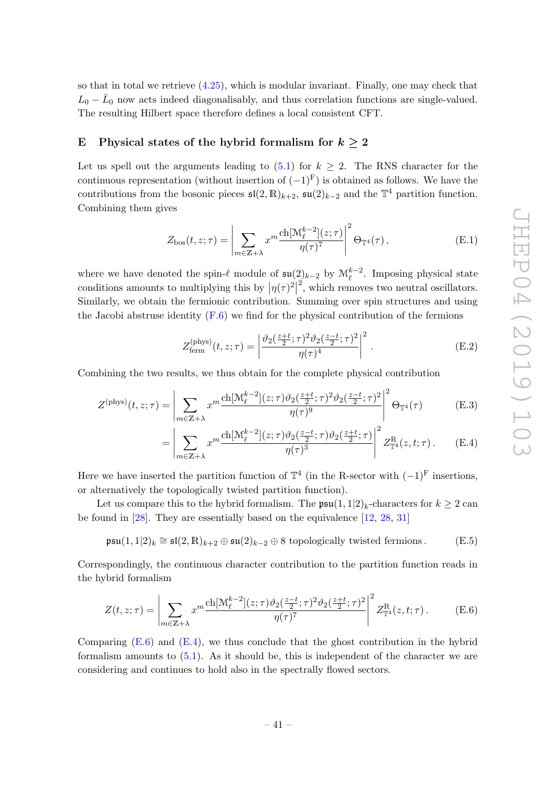so that in total we retrieve  $(4.25)$ , which is modular invariant. Finally, one may check that  $L_0 - \bar{L}_0$  now acts indeed diagonalisably, and thus correlation functions are single-valued. The resulting Hilbert space therefore defines a local consistent CFT.

# <span id="page-43-0"></span>E Physical states of the hybrid formalism for  $k > 2$

Let us spell out the arguments leading to  $(5.1)$  for  $k \geq 2$ . The RNS character for the continuous representation (without insertion of  $(-1)^{F}$ ) is obtained as follows. We have the contributions from the bosonic pieces  $\mathfrak{sl}(2,\mathbb{R})_{k+2}$ ,  $\mathfrak{su}(2)_{k-2}$  and the  $\mathbb{T}^4$  partition function. Combining them gives

$$
Z_{\text{bos}}(t,z;\tau) = \left| \sum_{m \in \mathbb{Z} + \lambda} x^m \frac{\text{ch}[\mathcal{M}_{\ell}^{k-2}](z;\tau)}{\eta(\tau)^7} \right|^2 \Theta_{\mathbb{T}^4}(\tau), \tag{E.1}
$$

where we have denoted the spin- $\ell$  module of  $\mathfrak{su}(2)_{k-2}$  by  $\mathfrak{M}_{\ell}^{k-2}$ . Imposing physical state conditions amounts to multiplying this by  $|\eta(\tau)^2|$  $\frac{2}{3}$ , which removes two neutral oscillators. Similarly, we obtain the fermionic contribution. Summing over spin structures and using the Jacobi abstruse identity  $(F.6)$  we find for the physical contribution of the fermions

<span id="page-43-2"></span>
$$
Z_{\text{ferm}}^{(\text{phys})}(t, z; \tau) = \left| \frac{\vartheta_2(\frac{z+t}{2}; \tau)^2 \vartheta_2(\frac{z-t}{2}; \tau)^2}{\eta(\tau)^4} \right|^2. \tag{E.2}
$$

Combining the two results, we thus obtain for the complete physical contribution

$$
Z^{(\text{phys})}(t,z;\tau) = \left| \sum_{m \in \mathbb{Z}+\lambda} x^m \frac{\text{ch}[\mathcal{M}_{\ell}^{k-2}](z;\tau)\vartheta_2(\frac{z+t}{2};\tau)^2 \vartheta_2(\frac{z-t}{2};\tau)^2}{\eta(\tau)^9} \right|^2 \Theta_{\mathbb{T}^4}(\tau) \tag{E.3}
$$

$$
= \left| \sum_{m \in \mathbb{Z} + \lambda} x^m \frac{\text{ch}[\mathcal{M}_{\ell}^{k-2}](z; \tau) \vartheta_2(\frac{z-t}{2}; \tau) \vartheta_2(\frac{z+t}{2}; \tau)}{\eta(\tau)^3} \right|^2 Z^{\mathcal{R}}_{\mathbb{T}^4}(z, t; \tau). \tag{E.4}
$$

Here we have inserted the partition function of  $\mathbb{T}^4$  (in the R-sector with  $(-1)^{\text{F}}$  insertions, or alternatively the topologically twisted partition function).

Let us compare this to the hybrid formalism. The  $\mathfrak{psu}(1,1|2)_k$ -characters for  $k \geq 2$  can be found in [\[28\]](#page-46-6). They are essentially based on the equivalence [\[12,](#page-45-11) [28,](#page-46-6) [31\]](#page-46-9)

$$
\mathfrak{psu}(1,1|2)_k \cong \mathfrak{sl}(2,\mathbb{R})_{k+2} \oplus \mathfrak{su}(2)_{k-2} \oplus 8 \text{ topologically twisted fermions.}
$$
 (E.5)

Correspondingly, the continuous character contribution to the partition function reads in the hybrid formalism

<span id="page-43-1"></span>
$$
Z(t, z; \tau) = \left| \sum_{m \in \mathbb{Z} + \lambda} x^m \frac{\text{ch}[\mathcal{M}_{\ell}^{k-2}](z; \tau) \vartheta_2(\frac{z-t}{2}; \tau)^2 \vartheta_2(\frac{z+t}{2}; \tau)^2}{\eta(\tau)^7} \right|^2 Z_{\mathbb{T}^4}^R(z, t; \tau).
$$
(E.6)

Comparing  $(E.6)$  and  $(E.4)$ , we thus conclude that the ghost contribution in the hybrid formalism amounts to  $(5.1)$ . As it should be, this is independent of the character we are considering and continues to hold also in the spectrally flowed sectors.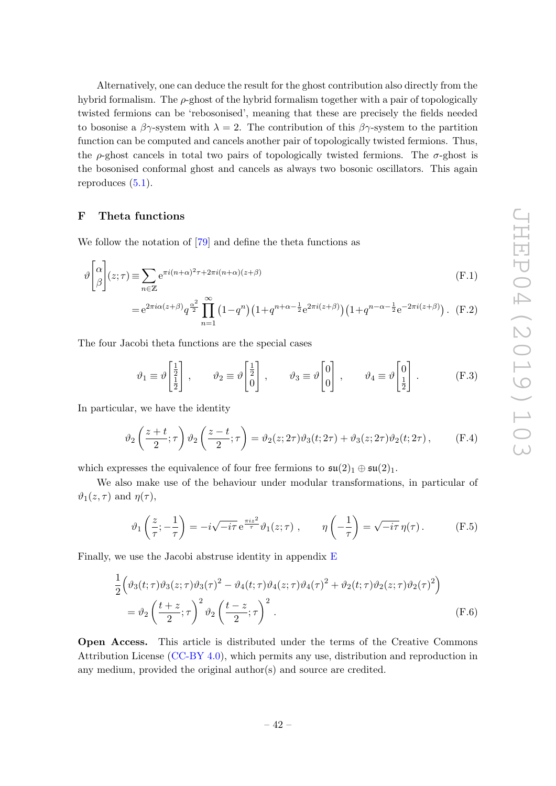Alternatively, one can deduce the result for the ghost contribution also directly from the hybrid formalism. The  $\rho$ -ghost of the hybrid formalism together with a pair of topologically twisted fermions can be 'rebosonised', meaning that these are precisely the fields needed to bosonise a  $\beta \gamma$ -system with  $\lambda = 2$ . The contribution of this  $\beta \gamma$ -system to the partition function can be computed and cancels another pair of topologically twisted fermions. Thus, the  $\rho$ -ghost cancels in total two pairs of topologically twisted fermions. The  $\sigma$ -ghost is the bosonised conformal ghost and cancels as always two bosonic oscillators. This again reproduces  $(5.1)$ .

# <span id="page-44-0"></span>F Theta functions

We follow the notation of [\[79\]](#page-48-14) and define the theta functions as

$$
\vartheta \begin{bmatrix} \alpha \\ \beta \end{bmatrix} (z;\tau) \equiv \sum_{n \in \mathbb{Z}} e^{\pi i (n+\alpha)^2 \tau + 2\pi i (n+\alpha)(z+\beta)} \tag{F.1}
$$

$$
= e^{2\pi i \alpha (z+\beta)} q^{\frac{\alpha^2}{2}} \prod_{n=1}^{\infty} (1-q^n) \left(1+q^{n+\alpha-\frac{1}{2}} e^{2\pi i (z+\beta)}\right) \left(1+q^{n-\alpha-\frac{1}{2}} e^{-2\pi i (z+\beta)}\right). \tag{F.2}
$$

The four Jacobi theta functions are the special cases

$$
\vartheta_1 \equiv \vartheta \begin{bmatrix} \frac{1}{2} \\ \frac{1}{2} \end{bmatrix} , \qquad \vartheta_2 \equiv \vartheta \begin{bmatrix} \frac{1}{2} \\ 0 \end{bmatrix} , \qquad \vartheta_3 \equiv \vartheta \begin{bmatrix} 0 \\ 0 \end{bmatrix} , \qquad \vartheta_4 \equiv \vartheta \begin{bmatrix} 0 \\ \frac{1}{2} \end{bmatrix} . \tag{F.3}
$$

In particular, we have the identity

<span id="page-44-1"></span>
$$
\vartheta_2\left(\frac{z+t}{2};\tau\right)\vartheta_2\left(\frac{z-t}{2};\tau\right) = \vartheta_2(z;2\tau)\vartheta_3(t;2\tau) + \vartheta_3(z;2\tau)\vartheta_2(t;2\tau),\tag{F.4}
$$

which expresses the equivalence of four free fermions to  $\mathfrak{su}(2)_1 \oplus \mathfrak{su}(2)_1$ .

We also make use of the behaviour under modular transformations, in particular of  $\vartheta_1(z,\tau)$  and  $\eta(\tau)$ ,

<span id="page-44-3"></span><span id="page-44-2"></span>
$$
\vartheta_1\left(\frac{z}{\tau}; -\frac{1}{\tau}\right) = -i\sqrt{-i\tau} e^{\frac{\pi i z^2}{\tau}} \vartheta_1(z;\tau) , \qquad \eta\left(-\frac{1}{\tau}\right) = \sqrt{-i\tau} \eta(\tau). \tag{F.5}
$$

Finally, we use the Jacobi abstruse identity in appendix [E](#page-43-0)

$$
\frac{1}{2} \left( \vartheta_3(t;\tau) \vartheta_3(z;\tau) \vartheta_3(\tau)^2 - \vartheta_4(t;\tau) \vartheta_4(z;\tau) \vartheta_4(\tau)^2 + \vartheta_2(t;\tau) \vartheta_2(z;\tau) \vartheta_2(\tau)^2 \right)
$$
\n
$$
= \vartheta_2 \left( \frac{t+z}{2};\tau \right)^2 \vartheta_2 \left( \frac{t-z}{2};\tau \right)^2. \tag{F.6}
$$

Open Access. This article is distributed under the terms of the Creative Commons Attribution License [\(CC-BY 4.0\)](https://creativecommons.org/licenses/by/4.0/), which permits any use, distribution and reproduction in any medium, provided the original author(s) and source are credited.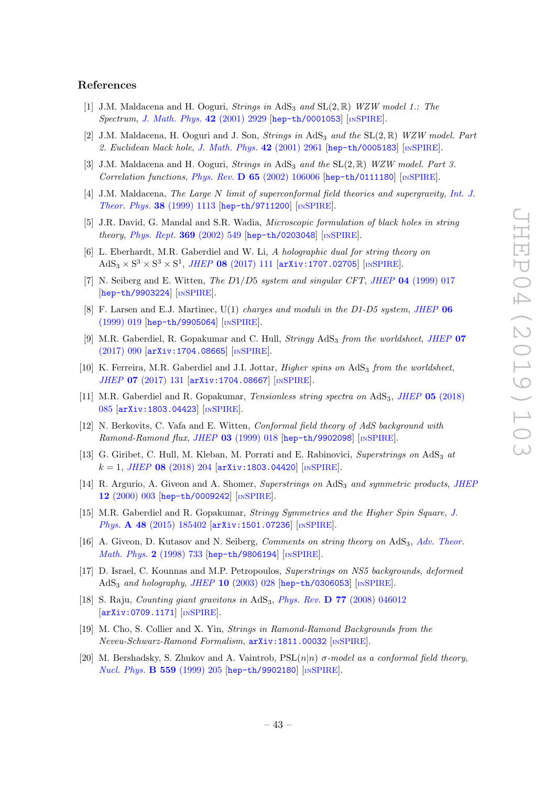#### References

- <span id="page-45-0"></span>[1] J.M. Maldacena and H. Ooguri, Strings in AdS<sub>3</sub> and  $SL(2,\mathbb{R})$  WZW model 1.: The Spectrum, [J. Math. Phys.](https://doi.org/10.1063/1.1377273) 42 (2001) 2929 [[hep-th/0001053](https://arxiv.org/abs/hep-th/0001053)] [IN[SPIRE](https://inspirehep.net/search?p=find+EPRINT+hep-th/0001053)].
- <span id="page-45-1"></span>[2] J.M. Maldacena, H. Ooguri and J. Son, *Strings in* AdS<sub>3</sub> and the  $SL(2,\mathbb{R})$  WZW model. Part 2. Euclidean black hole, [J. Math. Phys.](https://doi.org/10.1063/1.1377039) 42 (2001) 2961 [[hep-th/0005183](https://arxiv.org/abs/hep-th/0005183)] [IN[SPIRE](https://inspirehep.net/search?p=find+EPRINT+hep-th/0005183)].
- <span id="page-45-2"></span>[3] J.M. Maldacena and H. Ooguri, Strings in AdS<sub>3</sub> and the  $SL(2,\mathbb{R})$  WZW model. Part 3. Correlation functions, Phys. Rev.  $D$  65 [\(2002\) 106006](https://doi.org/10.1103/PhysRevD.65.106006) [[hep-th/0111180](https://arxiv.org/abs/hep-th/0111180)] [IN[SPIRE](https://inspirehep.net/search?p=find+EPRINT+hep-th/0111180)].
- <span id="page-45-3"></span>[4] J.M. Maldacena, The Large N limit of superconformal field theories and supergravity, [Int. J.](https://doi.org/10.1023/A:1026654312961) [Theor. Phys.](https://doi.org/10.1023/A:1026654312961) 38 (1999) 1113 [[hep-th/9711200](https://arxiv.org/abs/hep-th/9711200)] [IN[SPIRE](https://inspirehep.net/search?p=find+EPRINT+hep-th/9711200)].
- <span id="page-45-4"></span>[5] J.R. David, G. Mandal and S.R. Wadia, Microscopic formulation of black holes in string theory, [Phys. Rept.](https://doi.org/10.1016/S0370-1573(02)00271-5) 369 (2002) 549 [[hep-th/0203048](https://arxiv.org/abs/hep-th/0203048)] [IN[SPIRE](https://inspirehep.net/search?p=find+EPRINT+hep-th/0203048)].
- <span id="page-45-5"></span>[6] L. Eberhardt, M.R. Gaberdiel and W. Li, A holographic dual for string theory on  $AdS_3 \times S^3 \times S^3 \times S^1$ , JHEP 08 [\(2017\) 111](https://doi.org/10.1007/JHEP08(2017)111) [[arXiv:1707.02705](https://arxiv.org/abs/1707.02705)] [IN[SPIRE](https://inspirehep.net/search?p=find+EPRINT+arXiv:1707.02705)].
- <span id="page-45-6"></span>[7] N. Seiberg and E. Witten, The D1/D5 system and singular CFT, JHEP 04 [\(1999\) 017](https://doi.org/10.1088/1126-6708/1999/04/017) [[hep-th/9903224](https://arxiv.org/abs/hep-th/9903224)] [IN[SPIRE](https://inspirehep.net/search?p=find+EPRINT+hep-th/9903224)].
- <span id="page-45-7"></span>[8] F. Larsen and E.J. Martinec, U(1) charges and moduli in the D1-D5 system, [JHEP](https://doi.org/10.1088/1126-6708/1999/06/019) 06 [\(1999\) 019](https://doi.org/10.1088/1126-6708/1999/06/019) [[hep-th/9905064](https://arxiv.org/abs/hep-th/9905064)] [IN[SPIRE](https://inspirehep.net/search?p=find+EPRINT+hep-th/9905064)].
- <span id="page-45-8"></span>[9] M.R. Gaberdiel, R. Gopakumar and C. Hull, *Stringy*  $AdS<sub>3</sub>$  *from the worldsheet, [JHEP](https://doi.org/10.1007/JHEP07(2017)090)* 07 [\(2017\) 090](https://doi.org/10.1007/JHEP07(2017)090) [[arXiv:1704.08665](https://arxiv.org/abs/1704.08665)] [IN[SPIRE](https://inspirehep.net/search?p=find+EPRINT+arXiv:1704.08665)].
- <span id="page-45-9"></span>[10] K. Ferreira, M.R. Gaberdiel and J.I. Jottar, *Higher spins on*  $AdS<sub>3</sub>$  *from the worldsheet*, JHEP 07 [\(2017\) 131](https://doi.org/10.1007/JHEP07(2017)131) [[arXiv:1704.08667](https://arxiv.org/abs/1704.08667)] [IN[SPIRE](https://inspirehep.net/search?p=find+EPRINT+arXiv:1704.08667)].
- <span id="page-45-10"></span>[11] M.R. Gaberdiel and R. Gopakumar, *Tensionless string spectra on* AdS<sub>3</sub>, *JHEP* 05 [\(2018\)](https://doi.org/10.1007/JHEP05(2018)085) [085](https://doi.org/10.1007/JHEP05(2018)085) [[arXiv:1803.04423](https://arxiv.org/abs/1803.04423)] [IN[SPIRE](https://inspirehep.net/search?p=find+EPRINT+arXiv:1803.04423)].
- <span id="page-45-11"></span>[12] N. Berkovits, C. Vafa and E. Witten, Conformal field theory of AdS background with Ramond-Ramond flux, JHEP 03 [\(1999\) 018](https://doi.org/10.1088/1126-6708/1999/03/018) [[hep-th/9902098](https://arxiv.org/abs/hep-th/9902098)] [IN[SPIRE](https://inspirehep.net/search?p=find+EPRINT+hep-th/9902098)].
- <span id="page-45-12"></span>[13] G. Giribet, C. Hull, M. Kleban, M. Porrati and E. Rabinovici, Superstrings on  $AdS<sub>3</sub>$  at  $k = 1$ , JHEP 08 [\(2018\) 204](https://doi.org/10.1007/JHEP08(2018)204) [[arXiv:1803.04420](https://arxiv.org/abs/1803.04420)] [IN[SPIRE](https://inspirehep.net/search?p=find+EPRINT+arXiv:1803.04420)].
- <span id="page-45-13"></span>[14] R. Argurio, A. Giveon and A. Shomer, Superstrings on AdS<sub>3</sub> and symmetric products, [JHEP](https://doi.org/10.1088/1126-6708/2000/12/003) 12 [\(2000\) 003](https://doi.org/10.1088/1126-6708/2000/12/003) [[hep-th/0009242](https://arxiv.org/abs/hep-th/0009242)] [IN[SPIRE](https://inspirehep.net/search?p=find+EPRINT+hep-th/0009242)].
- <span id="page-45-14"></span>[15] M.R. Gaberdiel and R. Gopakumar, Stringy Symmetries and the Higher Spin Square, [J.](https://doi.org/10.1088/1751-8113/48/18/185402) Phys. **A 48** [\(2015\) 185402](https://doi.org/10.1088/1751-8113/48/18/185402) [[arXiv:1501.07236](https://arxiv.org/abs/1501.07236)] [IN[SPIRE](https://inspirehep.net/search?p=find+EPRINT+arXiv:1501.07236)].
- <span id="page-45-15"></span>[16] A. Giveon, D. Kutasov and N. Seiberg, *Comments on string theory on* AdS<sub>3</sub>, *[Adv. Theor.](https://doi.org/10.4310/ATMP.1998.v2.n4.a3)* [Math. Phys.](https://doi.org/10.4310/ATMP.1998.v2.n4.a3) 2 (1998) 733 [[hep-th/9806194](https://arxiv.org/abs/hep-th/9806194)] [IN[SPIRE](https://inspirehep.net/search?p=find+EPRINT+hep-th/9806194)].
- <span id="page-45-16"></span>[17] D. Israel, C. Kounnas and M.P. Petropoulos, Superstrings on NS5 backgrounds, deformed AdS<sub>3</sub> and holography, JHEP 10 [\(2003\) 028](https://doi.org/10.1088/1126-6708/2003/10/028) [[hep-th/0306053](https://arxiv.org/abs/hep-th/0306053)] [IN[SPIRE](https://inspirehep.net/search?p=find+EPRINT+hep-th/0306053)].
- <span id="page-45-17"></span>[18] S. Raju, *Counting giant gravitons in*  $AdS_3$ , *Phys. Rev.* **D** 77 [\(2008\) 046012](https://doi.org/10.1103/PhysRevD.77.046012) [[arXiv:0709.1171](https://arxiv.org/abs/0709.1171)] [IN[SPIRE](https://inspirehep.net/search?p=find+EPRINT+arXiv:0709.1171)].
- <span id="page-45-18"></span>[19] M. Cho, S. Collier and X. Yin, Strings in Ramond-Ramond Backgrounds from the Neveu-Schwarz-Ramond Formalism, [arXiv:1811.00032](https://arxiv.org/abs/1811.00032) [IN[SPIRE](https://inspirehep.net/search?p=find+EPRINT+arXiv:1811.00032)].
- <span id="page-45-19"></span>[20] M. Bershadsky, S. Zhukov and A. Vaintrob,  $PSL(n|n)$   $\sigma$ -model as a conformal field theory, [Nucl. Phys.](https://doi.org/10.1016/S0550-3213(99)00378-8) B 559 (1999) 205 [[hep-th/9902180](https://arxiv.org/abs/hep-th/9902180)] [IN[SPIRE](https://inspirehep.net/search?p=find+EPRINT+hep-th/9902180)].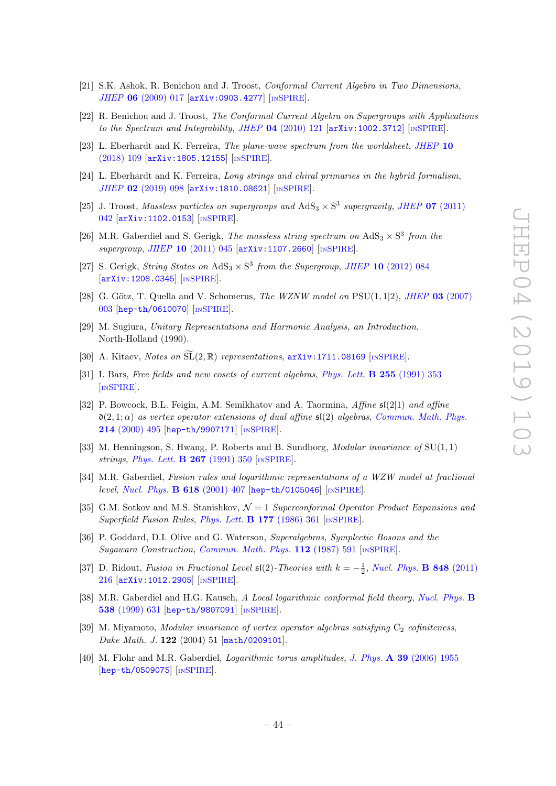- <span id="page-46-0"></span>[21] S.K. Ashok, R. Benichou and J. Troost, Conformal Current Algebra in Two Dimensions, JHEP 06 [\(2009\) 017](https://doi.org/10.1088/1126-6708/2009/06/017) [[arXiv:0903.4277](https://arxiv.org/abs/0903.4277)] [IN[SPIRE](https://inspirehep.net/search?p=find+EPRINT+arXiv:0903.4277)].
- <span id="page-46-1"></span>[22] R. Benichou and J. Troost, The Conformal Current Algebra on Supergroups with Applications to the Spectrum and Integrability, JHEP  $04$  [\(2010\) 121](https://doi.org/10.1007/JHEP04(2010)121) [[arXiv:1002.3712](https://arxiv.org/abs/1002.3712)] [IN[SPIRE](https://inspirehep.net/search?p=find+EPRINT+arXiv:1002.3712)].
- <span id="page-46-2"></span>[23] L. Eberhardt and K. Ferreira, The plane-wave spectrum from the worldsheet, [JHEP](https://doi.org/10.1007/JHEP10(2018)109) 10 [\(2018\) 109](https://doi.org/10.1007/JHEP10(2018)109) [[arXiv:1805.12155](https://arxiv.org/abs/1805.12155)] [IN[SPIRE](https://inspirehep.net/search?p=find+EPRINT+arXiv:1805.12155)].
- <span id="page-46-3"></span>[24] L. Eberhardt and K. Ferreira, Long strings and chiral primaries in the hybrid formalism, JHEP 02 [\(2019\) 098](https://doi.org/10.1007/JHEP02(2019)098) [[arXiv:1810.08621](https://arxiv.org/abs/1810.08621)] [IN[SPIRE](https://inspirehep.net/search?p=find+EPRINT+arXiv:1810.08621)].
- <span id="page-46-4"></span>[25] J. Troost, Massless particles on supergroups and  $AdS_3 \times S^3$  supergravity, JHEP 07 [\(2011\)](https://doi.org/10.1007/JHEP07(2011)042) [042](https://doi.org/10.1007/JHEP07(2011)042) [[arXiv:1102.0153](https://arxiv.org/abs/1102.0153)] [IN[SPIRE](https://inspirehep.net/search?p=find+EPRINT+arXiv:1102.0153)].
- <span id="page-46-12"></span>[26] M.R. Gaberdiel and S. Gerigk, The massless string spectrum on  $AdS_3 \times S^3$  from the supergroup, JHEP 10 [\(2011\) 045](https://doi.org/10.1007/JHEP10(2011)045) [[arXiv:1107.2660](https://arxiv.org/abs/1107.2660)] [IN[SPIRE](https://inspirehep.net/search?p=find+EPRINT+arXiv:1107.2660)].
- <span id="page-46-5"></span>[27] S. Gerigk, *String States on*  $AdS_3 \times S^3$  *from the Supergroup, JHEP* 10 [\(2012\) 084](https://doi.org/10.1007/JHEP10(2012)084) [[arXiv:1208.0345](https://arxiv.org/abs/1208.0345)] [IN[SPIRE](https://inspirehep.net/search?p=find+EPRINT+arXiv:1208.0345)].
- <span id="page-46-6"></span>[28] G. Götz, T. Quella and V. Schomerus, The WZNW model on  $PSU(1, 1|2)$ , JHEP 03 [\(2007\)](https://doi.org/10.1088/1126-6708/2007/03/003) [003](https://doi.org/10.1088/1126-6708/2007/03/003) [[hep-th/0610070](https://arxiv.org/abs/hep-th/0610070)] [IN[SPIRE](https://inspirehep.net/search?p=find+EPRINT+hep-th/0610070)].
- <span id="page-46-7"></span>[29] M. Sugiura, Unitary Representations and Harmonic Analysis, an Introduction, North-Holland (1990).
- <span id="page-46-8"></span>[30] A. Kitaev, Notes on  $\widetilde{\mathrm{SL}}(2,\mathbb{R})$  representations,  $\mathtt{arXiv:1711.08169}$  $\mathtt{arXiv:1711.08169}$  $\mathtt{arXiv:1711.08169}$  [IN[SPIRE](https://inspirehep.net/search?p=find+EPRINT+arXiv:1711.08169)].
- <span id="page-46-9"></span>[31] I. Bars, Free fields and new cosets of current algebras, [Phys. Lett.](https://doi.org/10.1016/0370-2693(91)90778-O) **B** 255 (1991) 353 [IN[SPIRE](https://inspirehep.net/search?p=find+J+%22Phys.Lett.,B255,353%22)].
- <span id="page-46-10"></span>[32] P. Bowcock, B.L. Feigin, A.M. Semikhatov and A. Taormina, Affine sl(2|1) and affine  $\mathfrak{d}(2, 1; \alpha)$  as vertex operator extensions of dual affine  $\mathfrak{sl}(2)$  algebras, [Commun. Math. Phys.](https://doi.org/10.1007/PL00005536) 214 [\(2000\) 495](https://doi.org/10.1007/PL00005536) [[hep-th/9907171](https://arxiv.org/abs/hep-th/9907171)] [IN[SPIRE](https://inspirehep.net/search?p=find+EPRINT+hep-th/9907171)].
- <span id="page-46-11"></span>[33] M. Henningson, S. Hwang, P. Roberts and B. Sundborg, *Modular invariance of*  $SU(1,1)$ strings, *[Phys. Lett.](https://doi.org/10.1016/0370-2693(91)90944-L)* **B 267** (1991) 350 [IN[SPIRE](https://inspirehep.net/search?p=find+J+%22Phys.Lett.,B267,350%22)].
- <span id="page-46-13"></span>[34] M.R. Gaberdiel, Fusion rules and logarithmic representations of a WZW model at fractional level, [Nucl. Phys.](https://doi.org/10.1016/S0550-3213(01)00490-4) B 618 (2001) 407 [[hep-th/0105046](https://arxiv.org/abs/hep-th/0105046)] [IN[SPIRE](https://inspirehep.net/search?p=find+EPRINT+hep-th/0105046)].
- <span id="page-46-14"></span>[35] G.M. Sotkov and M.S. Stanishkov,  $\mathcal{N}=1$  Superconformal Operator Product Expansions and Superfield Fusion Rules, [Phys. Lett.](https://doi.org/10.1016/0370-2693(86)90768-9)  $\bf{B}$  177 (1986) 361 [IN[SPIRE](https://inspirehep.net/search?p=find+J+%22Phys.Lett.,B177,361%22)].
- <span id="page-46-15"></span>[36] P. Goddard, D.I. Olive and G. Waterson, Superalgebras, Symplectic Bosons and the Sugawara Construction, [Commun. Math. Phys.](https://doi.org/10.1007/BF01225374) 112 (1987) 591 [IN[SPIRE](https://inspirehep.net/search?p=find+J+%22Comm.Math.Phys.,112,591%22)].
- <span id="page-46-16"></span>[37] D. Ridout, Fusion in Fractional Level  $\mathfrak{sl}(2)$ -Theories with  $k = -\frac{1}{2}$ , [Nucl. Phys.](https://doi.org/10.1016/j.nuclphysb.2011.02.015) **B 848** (2011) [216](https://doi.org/10.1016/j.nuclphysb.2011.02.015) [[arXiv:1012.2905](https://arxiv.org/abs/1012.2905)] [IN[SPIRE](https://inspirehep.net/search?p=find+EPRINT+arXiv:1012.2905)].
- <span id="page-46-17"></span>[38] M.R. Gaberdiel and H.G. Kausch, A Local logarithmic conformal field theory, [Nucl. Phys.](https://doi.org/10.1016/S0550-3213(98)00701-9) B 538 [\(1999\) 631](https://doi.org/10.1016/S0550-3213(98)00701-9) [[hep-th/9807091](https://arxiv.org/abs/hep-th/9807091)] [IN[SPIRE](https://inspirehep.net/search?p=find+EPRINT+hep-th/9807091)].
- <span id="page-46-18"></span>[39] M. Miyamoto, *Modular invariance of vertex operator algebras satisfying*  $C_2$  *cofiniteness*, Duke Math. J. 122 (2004) 51 [[math/0209101](https://arxiv.org/abs/math/0209101)].
- <span id="page-46-19"></span>[40] M. Flohr and M.R. Gaberdiel, Logarithmic torus amplitudes, J. Phys. A 39 [\(2006\) 1955](https://doi.org/10.1088/0305-4470/39/8/012) [[hep-th/0509075](https://arxiv.org/abs/hep-th/0509075)] [IN[SPIRE](https://inspirehep.net/search?p=find+EPRINT+hep-th/0509075)].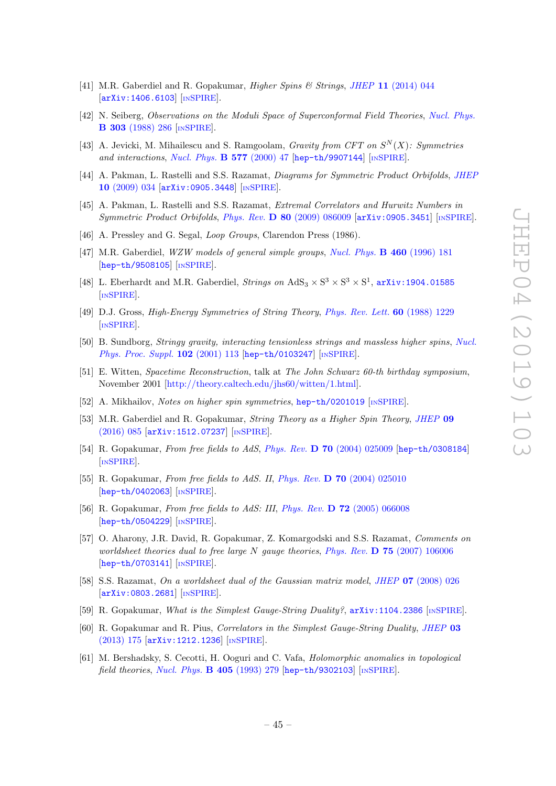- <span id="page-47-0"></span>[41] M.R. Gaberdiel and R. Gopakumar, Higher Spins & Strings, JHEP 11 [\(2014\) 044](https://doi.org/10.1007/JHEP11(2014)044) [[arXiv:1406.6103](https://arxiv.org/abs/1406.6103)] [IN[SPIRE](https://inspirehep.net/search?p=find+EPRINT+arXiv:1406.6103)].
- <span id="page-47-1"></span>[42] N. Seiberg, Observations on the Moduli Space of Superconformal Field Theories, [Nucl. Phys.](https://doi.org/10.1016/0550-3213(88)90183-6) B 303 [\(1988\) 286](https://doi.org/10.1016/0550-3213(88)90183-6) [IN[SPIRE](https://inspirehep.net/search?p=find+J+%22Nucl.Phys.,B303,286%22)].
- <span id="page-47-2"></span>[43] A. Jevicki, M. Mihailescu and S. Ramgoolam, *Gravity from CFT on*  $S<sup>N</sup>(X)$ : Symmetries and interactions, [Nucl. Phys.](https://doi.org/10.1016/S0550-3213(00)00147-4) B 577 (2000) 47 [[hep-th/9907144](https://arxiv.org/abs/hep-th/9907144)] [IN[SPIRE](https://inspirehep.net/search?p=find+EPRINT+hep-th/9907144)].
- <span id="page-47-6"></span>[44] A. Pakman, L. Rastelli and S.S. Razamat, Diagrams for Symmetric Product Orbifolds, [JHEP](https://doi.org/10.1088/1126-6708/2009/10/034) 10 [\(2009\) 034](https://doi.org/10.1088/1126-6708/2009/10/034) [[arXiv:0905.3448](https://arxiv.org/abs/0905.3448)] [IN[SPIRE](https://inspirehep.net/search?p=find+EPRINT+arXiv:0905.3448)].
- <span id="page-47-3"></span>[45] A. Pakman, L. Rastelli and S.S. Razamat, Extremal Correlators and Hurwitz Numbers in Symmetric Product Orbifolds, Phys. Rev. D 80 [\(2009\) 086009](https://doi.org/10.1103/PhysRevD.80.086009) [[arXiv:0905.3451](https://arxiv.org/abs/0905.3451)] [IN[SPIRE](https://inspirehep.net/search?p=find+EPRINT+arXiv:0905.3451)].
- <span id="page-47-4"></span>[46] A. Pressley and G. Segal, *Loop Groups*, Clarendon Press (1986).
- <span id="page-47-5"></span>[47] M.R. Gaberdiel, WZW models of general simple groups, [Nucl. Phys.](https://doi.org/10.1016/0550-3213(95)00587-0) B 460 (1996) 181 [[hep-th/9508105](https://arxiv.org/abs/hep-th/9508105)] [IN[SPIRE](https://inspirehep.net/search?p=find+EPRINT+hep-th/9508105)].
- <span id="page-47-7"></span>[48] L. Eberhardt and M.R. Gaberdiel, *Strings on*  $AdS_3 \times S^3 \times S^3 \times S^1$ , **[arXiv:1904.01585](https://arxiv.org/abs/1904.01585)** [IN[SPIRE](https://inspirehep.net/search?p=find+EPRINT+arXiv:1904.01585)].
- <span id="page-47-8"></span>[49] D.J. Gross, High-Energy Symmetries of String Theory, [Phys. Rev. Lett.](https://doi.org/10.1103/PhysRevLett.60.1229) 60 (1988) 1229 [IN[SPIRE](https://inspirehep.net/search?p=find+J+%22Phys.Rev.Lett.,60,1229%22)].
- [50] B. Sundborg, Stringy gravity, interacting tensionless strings and massless higher spins, [Nucl.](https://doi.org/10.1016/S0920-5632(01)01545-6) [Phys. Proc. Suppl.](https://doi.org/10.1016/S0920-5632(01)01545-6) 102 (2001) 113 [[hep-th/0103247](https://arxiv.org/abs/hep-th/0103247)] [IN[SPIRE](https://inspirehep.net/search?p=find+EPRINT+hep-th/0103247)].
- [51] E. Witten, Spacetime Reconstruction, talk at The John Schwarz 60-th birthday symposium, November 2001 [\[http://theory.caltech.edu/jhs60/witten/1.html\]](http://theory.caltech.edu/jhs60/witten/1.html).
- <span id="page-47-9"></span>[52] A. Mikhailov, Notes on higher spin symmetries, [hep-th/0201019](https://arxiv.org/abs/hep-th/0201019) [IN[SPIRE](https://inspirehep.net/search?p=find+EPRINT+hep-th/0201019)].
- <span id="page-47-10"></span>[53] M.R. Gaberdiel and R. Gopakumar, String Theory as a Higher Spin Theory, [JHEP](https://doi.org/10.1007/JHEP09(2016)085) 09 [\(2016\) 085](https://doi.org/10.1007/JHEP09(2016)085) [[arXiv:1512.07237](https://arxiv.org/abs/1512.07237)] [IN[SPIRE](https://inspirehep.net/search?p=find+EPRINT+arXiv:1512.07237)].
- <span id="page-47-11"></span>[54] R. Gopakumar, From free fields to AdS, Phys. Rev. D 70 [\(2004\) 025009](https://doi.org/10.1103/PhysRevD.70.025009) [[hep-th/0308184](https://arxiv.org/abs/hep-th/0308184)] [IN[SPIRE](https://inspirehep.net/search?p=find+EPRINT+hep-th/0308184)].
- [55] R. Gopakumar, From free fields to AdS. II, Phys. Rev. **D** 70 [\(2004\) 025010](https://doi.org/10.1103/PhysRevD.70.025010) [[hep-th/0402063](https://arxiv.org/abs/hep-th/0402063)] [IN[SPIRE](https://inspirehep.net/search?p=find+EPRINT+hep-th/0402063)].
- <span id="page-47-12"></span>[56] R. Gopakumar, From free fields to AdS: III, Phys. Rev. D 72 [\(2005\) 066008](https://doi.org/10.1103/PhysRevD.72.066008) [[hep-th/0504229](https://arxiv.org/abs/hep-th/0504229)] [IN[SPIRE](https://inspirehep.net/search?p=find+EPRINT+hep-th/0504229)].
- <span id="page-47-13"></span>[57] O. Aharony, J.R. David, R. Gopakumar, Z. Komargodski and S.S. Razamat, Comments on worldsheet theories dual to free large N gauge theories, Phys. Rev.  $\bf{D}$  75 [\(2007\) 106006](https://doi.org/10.1103/PhysRevD.75.106006) [[hep-th/0703141](https://arxiv.org/abs/hep-th/0703141)] [IN[SPIRE](https://inspirehep.net/search?p=find+EPRINT+hep-th/0703141)].
- [58] S.S. Razamat, On a worldsheet dual of the Gaussian matrix model, JHEP 07 [\(2008\) 026](https://doi.org/10.1088/1126-6708/2008/07/026) [[arXiv:0803.2681](https://arxiv.org/abs/0803.2681)] [IN[SPIRE](https://inspirehep.net/search?p=find+EPRINT+arXiv:0803.2681)].
- [59] R. Gopakumar, What is the Simplest Gauge-String Duality?,  $arXiv:1104.2386$  [IN[SPIRE](https://inspirehep.net/search?p=find+EPRINT+arXiv:1104.2386)].
- <span id="page-47-14"></span>[60] R. Gopakumar and R. Pius, Correlators in the Simplest Gauge-String Duality, [JHEP](https://doi.org/10.1007/JHEP03(2013)175) 03 [\(2013\) 175](https://doi.org/10.1007/JHEP03(2013)175) [[arXiv:1212.1236](https://arxiv.org/abs/1212.1236)] [IN[SPIRE](https://inspirehep.net/search?p=find+EPRINT+arXiv:1212.1236)].
- <span id="page-47-15"></span>[61] M. Bershadsky, S. Cecotti, H. Ooguri and C. Vafa, Holomorphic anomalies in topological field theories, [Nucl. Phys.](https://doi.org/10.1016/0550-3213(93)90548-4)  $\bf{B}$  405 (1993) 279 [[hep-th/9302103](https://arxiv.org/abs/hep-th/9302103)] [IN[SPIRE](https://inspirehep.net/search?p=find+EPRINT+hep-th/9302103)].